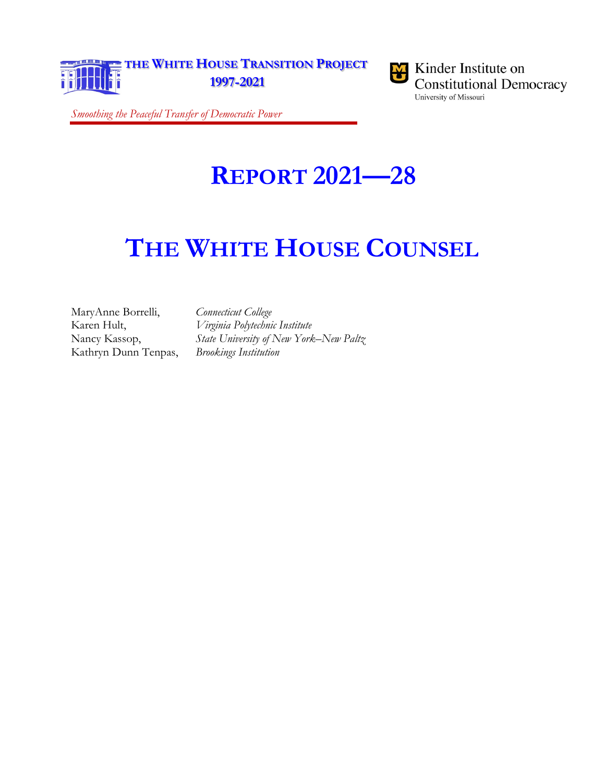



<span id="page-0-0"></span>*Smoothing the Peaceful Transfer of Democratic Power*

# **REPORT 2021—28**

# **THE WHITE HOUSE COUNSEL**

<span id="page-0-1"></span>MaryAnne Borrelli, *Connecticut College* Kathryn Dunn Tenpas, *Brookings Institution*

Karen Hult, *Virginia Polytechnic Institute* Nancy Kassop, *State University of New York–New Paltz*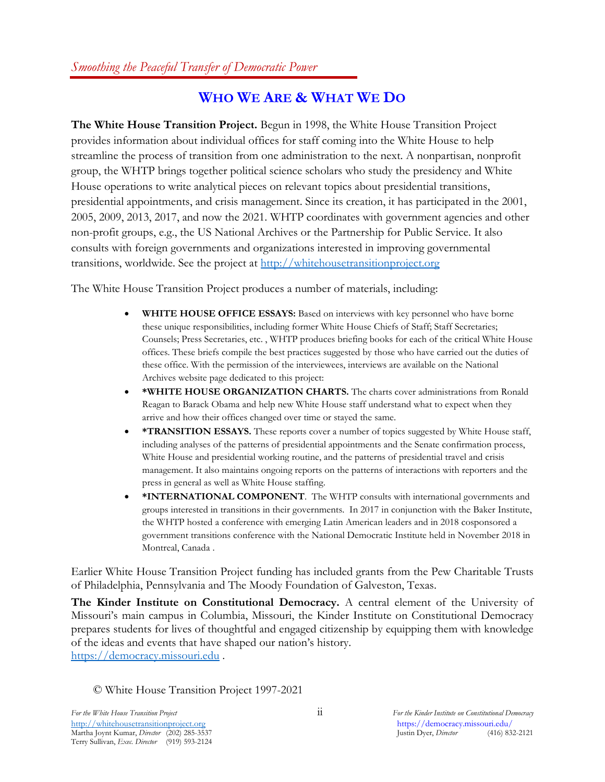## **WHO WE ARE & WHAT WE DO**

**The White House Transition Project.** Begun in 1998, the White House Transition Project provides information about individual offices for staff coming into the White House to help streamline the process of transition from one administration to the next. A nonpartisan, nonprofit group, the WHTP brings together political science scholars who study the presidency and White House operations to write analytical pieces on relevant topics about presidential transitions, presidential appointments, and crisis management. Since its creation, it has participated in the 2001, 2005, 2009, 2013, 2017, and now the 2021. WHTP coordinates with government agencies and other non-profit groups, e.g., the US National Archives or the Partnership for Public Service. It also consults with foreign governments and organizations interested in improving governmental transitions, worldwide. See the project at [http://whitehousetransitionproject.org](http://whitehousetransitionproject.org/)

The White House Transition Project produces a number of materials, including:

- **WHITE HOUSE OFFICE ESSAYS:** Based on interviews with key personnel who have borne these unique responsibilities, including former White House Chiefs of Staff; Staff Secretaries; Counsels; Press Secretaries, etc. , WHTP produces briefing books for each of the critical White House offices. These briefs compile the best practices suggested by those who have carried out the duties of these office. With the permission of the interviewees, interviews are available on the National Archives website page dedicated to this project:
- **\*WHITE HOUSE ORGANIZATION CHARTS.** The charts cover administrations from Ronald Reagan to Barack Obama and help new White House staff understand what to expect when they arrive and how their offices changed over time or stayed the same.
- **\*TRANSITION ESSAYS.** These reports cover a number of topics suggested by White House staff, including analyses of the patterns of presidential appointments and the Senate confirmation process, White House and presidential working routine, and the patterns of presidential travel and crisis management. It also maintains ongoing reports on the patterns of interactions with reporters and the press in general as well as White House staffing.
- **\*INTERNATIONAL COMPONENT**. The WHTP consults with international governments and groups interested in transitions in their governments. In 2017 in conjunction with the Baker Institute, the WHTP hosted a conference with emerging Latin American leaders and in 2018 cosponsored a government transitions conference with the National Democratic Institute held in November 2018 in Montreal, Canada .

Earlier White House Transition Project funding has included grants from the Pew Charitable Trusts of Philadelphia, Pennsylvania and The Moody Foundation of Galveston, Texas.

**The Kinder Institute on Constitutional Democracy.** A central element of the University of Missouri's main campus in Columbia, Missouri, the Kinder Institute on Constitutional Democracy prepares students for lives of thoughtful and engaged citizenship by equipping them with knowledge of the ideas and events that have shaped our nation's history. [https://democracy.missouri.edu](https://democracy.missouri.edu/) .

© White House Transition Project 1997-2021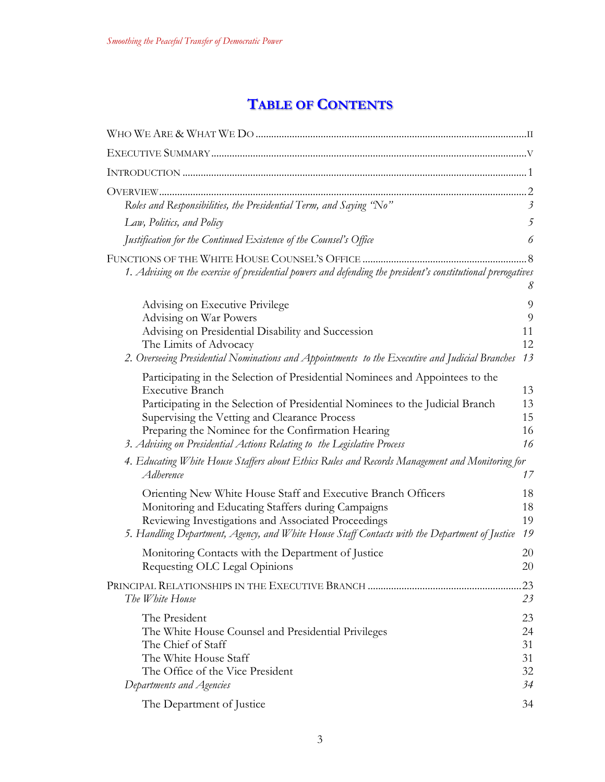## **TABLE OF CONTENTS**

| Roles and Responsibilities, the Presidential Term, and Saying 'No"                                                                                                                                                                                                                                                                                                                                                                                                             | $\mathfrak{Z}$                         |
|--------------------------------------------------------------------------------------------------------------------------------------------------------------------------------------------------------------------------------------------------------------------------------------------------------------------------------------------------------------------------------------------------------------------------------------------------------------------------------|----------------------------------------|
| Law, Politics, and Policy                                                                                                                                                                                                                                                                                                                                                                                                                                                      | 5                                      |
| Justification for the Continued Existence of the Counsel's Office                                                                                                                                                                                                                                                                                                                                                                                                              | 6                                      |
| 1. Advising on the exercise of presidential powers and defending the president's constitutional prerogatives                                                                                                                                                                                                                                                                                                                                                                   | 8<br>8                                 |
| Advising on Executive Privilege<br>Advising on War Powers<br>Advising on Presidential Disability and Succession<br>The Limits of Advocacy<br>2. Overseeing Presidential Nominations and Appointments to the Executive and Judicial Branches                                                                                                                                                                                                                                    | 9<br>9<br>11<br>12<br>13               |
| Participating in the Selection of Presidential Nominees and Appointees to the<br><b>Executive Branch</b><br>Participating in the Selection of Presidential Nominees to the Judicial Branch<br>Supervising the Vetting and Clearance Process<br>Preparing the Nominee for the Confirmation Hearing<br>3. Advising on Presidential Actions Relating to the Legislative Process<br>4. Educating White House Staffers about Ethics Rules and Records Management and Monitoring for | 13<br>13<br>15<br>16<br>16             |
| Adherence<br>Orienting New White House Staff and Executive Branch Officers<br>Monitoring and Educating Staffers during Campaigns<br>Reviewing Investigations and Associated Proceedings<br>5. Handling Department, Agency, and White House Staff Contacts with the Department of Justice<br>Monitoring Contacts with the Department of Justice                                                                                                                                 | 17<br>18<br>18<br>19<br>19<br>20       |
| Requesting OLC Legal Opinions<br>The White House                                                                                                                                                                                                                                                                                                                                                                                                                               | 20<br>23<br>23                         |
| The President<br>The White House Counsel and Presidential Privileges<br>The Chief of Staff<br>The White House Staff<br>The Office of the Vice President<br>Departments and Agencies<br>The Department of Justice                                                                                                                                                                                                                                                               | 23<br>24<br>31<br>31<br>32<br>34<br>34 |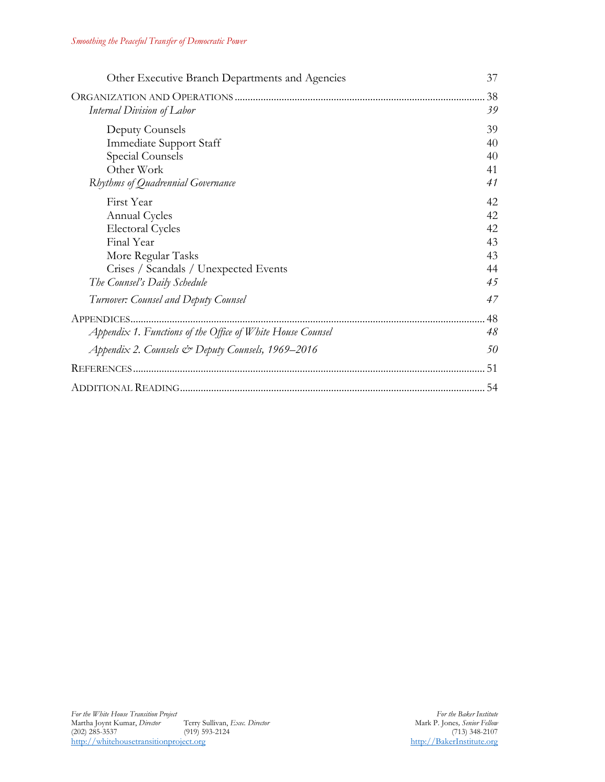| Other Executive Branch Departments and Agencies                                                                                                                            | 37                                     |  |  |
|----------------------------------------------------------------------------------------------------------------------------------------------------------------------------|----------------------------------------|--|--|
| Internal Division of Labor                                                                                                                                                 | 38<br>39                               |  |  |
| Deputy Counsels<br><b>Immediate Support Staff</b><br>Special Counsels<br>Other Work<br>Rhythms of Quadrennial Governance                                                   |                                        |  |  |
| First Year<br><b>Annual Cycles</b><br><b>Electoral Cycles</b><br>Final Year<br>More Regular Tasks<br>Crises / Scandals / Unexpected Events<br>The Counsel's Daily Schedule | 42<br>42<br>42<br>43<br>43<br>44<br>45 |  |  |
| Turnover: Counsel and Deputy Counsel                                                                                                                                       | 47                                     |  |  |
| APPENDICES.<br>Appendix 1. Functions of the Office of White House Counsel<br>Appendix 2. Counsels & Deputy Counsels, 1969–2016                                             | 48<br>48<br>50                         |  |  |
|                                                                                                                                                                            | 51                                     |  |  |
|                                                                                                                                                                            | 54                                     |  |  |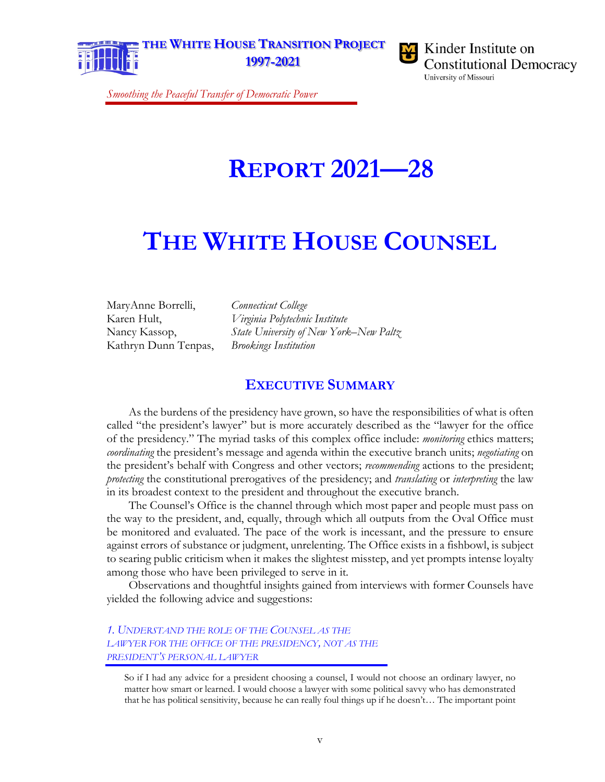**THE WHITE HOUSE TRANSITION PROJECT 1997-2021**



Kinder Institute on **Constitutional Democracy** University of Missouri

*Smoothing the Peaceful Transfer of Democratic Power*

# **[REPORT 2021—28](#page-0-0)**

# **[THE WHITE HOUSE COUNSEL](#page-0-0)**

[MaryAnne Borrelli,](#page-0-1) *Connecticut College* [Kathryn Dunn Tenpas,](#page-0-1) *Brookings Institution*

Karen Hult, *[Virginia Polytechnic Institute](#page-0-1)* Nancy Kassop, *[State University of New York–New Paltz](#page-0-1)*

## **EXECUTIVE SUMMARY**

As the burdens of the presidency have grown, so have the responsibilities of what is often called "the president's lawyer" but is more accurately described as the "lawyer for the office of the presidency." The myriad tasks of this complex office include: *monitoring* ethics matters; *coordinating* the president's message and agenda within the executive branch units; *negotiating* on the president's behalf with Congress and other vectors; *recommending* actions to the president; *protecting* the constitutional prerogatives of the presidency; and *translating* or *interpreting* the law in its broadest context to the president and throughout the executive branch.

The Counsel's Office is the channel through which most paper and people must pass on the way to the president, and, equally, through which all outputs from the Oval Office must be monitored and evaluated. The pace of the work is incessant, and the pressure to ensure against errors of substance or judgment, unrelenting. The Office exists in a fishbowl, is subject to searing public criticism when it makes the slightest misstep, and yet prompts intense loyalty among those who have been privileged to serve in it.

Observations and thoughtful insights gained from interviews with former Counsels have yielded the following advice and suggestions:

*1. UNDERSTAND THE ROLE OF THE COUNSEL AS THE LAWYER FOR THE OFFICE OF THE PRESIDENCY, NOT AS THE PRESIDENT'S PERSONAL LAWYER*

So if I had any advice for a president choosing a counsel, I would not choose an ordinary lawyer, no matter how smart or learned. I would choose a lawyer with some political savvy who has demonstrated that he has political sensitivity, because he can really foul things up if he doesn't… The important point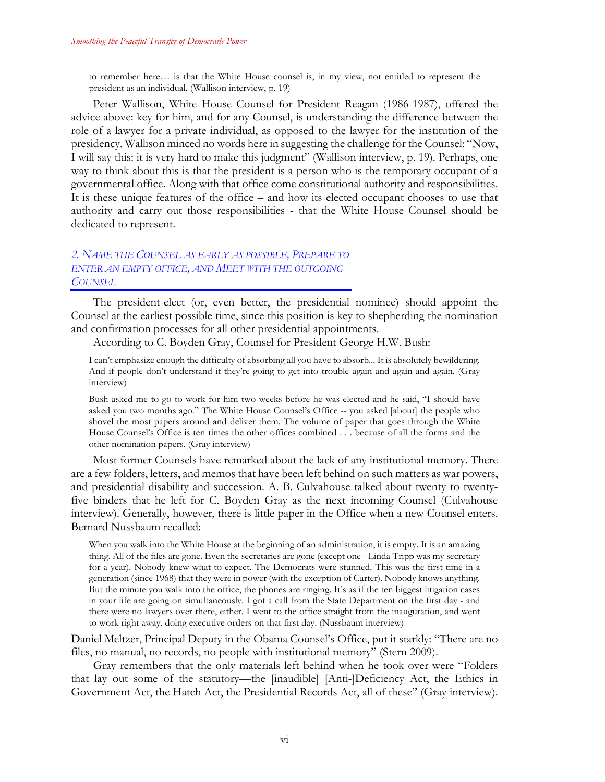#### *Smoothing the Peaceful Transfer of Democratic Power*

to remember here… is that the White House counsel is, in my view, not entitled to represent the president as an individual. (Wallison interview, p. 19)

Peter Wallison, White House Counsel for President Reagan (1986-1987), offered the advice above: key for him, and for any Counsel, is understanding the difference between the role of a lawyer for a private individual, as opposed to the lawyer for the institution of the presidency. Wallison minced no words here in suggesting the challenge for the Counsel: "Now, I will say this: it is very hard to make this judgment" (Wallison interview, p. 19). Perhaps, one way to think about this is that the president is a person who is the temporary occupant of a governmental office. Along with that office come constitutional authority and responsibilities. It is these unique features of the office – and how its elected occupant chooses to use that authority and carry out those responsibilities - that the White House Counsel should be dedicated to represent.

## *2. NAME THE COUNSEL AS EARLY AS POSSIBLE, PREPARE TO ENTER AN EMPTY OFFICE, AND MEET WITH THE OUTGOING COUNSEL*

The president-elect (or, even better, the presidential nominee) should appoint the Counsel at the earliest possible time, since this position is key to shepherding the nomination and confirmation processes for all other presidential appointments.

According to C. Boyden Gray, Counsel for President George H.W. Bush:

I can't emphasize enough the difficulty of absorbing all you have to absorb... It is absolutely bewildering. And if people don't understand it they're going to get into trouble again and again and again. (Gray interview)

Bush asked me to go to work for him two weeks before he was elected and he said, "I should have asked you two months ago." The White House Counsel's Office -- you asked [about] the people who shovel the most papers around and deliver them. The volume of paper that goes through the White House Counsel's Office is ten times the other offices combined . . . because of all the forms and the other nomination papers. (Gray interview)

Most former Counsels have remarked about the lack of any institutional memory. There are a few folders, letters, and memos that have been left behind on such matters as war powers, and presidential disability and succession. A. B. Culvahouse talked about twenty to twentyfive binders that he left for C. Boyden Gray as the next incoming Counsel (Culvahouse interview). Generally, however, there is little paper in the Office when a new Counsel enters. Bernard Nussbaum recalled:

When you walk into the White House at the beginning of an administration, it is empty. It is an amazing thing. All of the files are gone. Even the secretaries are gone (except one - Linda Tripp was my secretary for a year). Nobody knew what to expect. The Democrats were stunned. This was the first time in a generation (since 1968) that they were in power (with the exception of Carter). Nobody knows anything. But the minute you walk into the office, the phones are ringing. It's as if the ten biggest litigation cases in your life are going on simultaneously. I got a call from the State Department on the first day - and there were no lawyers over there, either. I went to the office straight from the inauguration, and went to work right away, doing executive orders on that first day. (Nussbaum interview)

Daniel Meltzer, Principal Deputy in the Obama Counsel's Office, put it starkly: "There are no files, no manual, no records, no people with institutional memory" (Stern 2009).

Gray remembers that the only materials left behind when he took over were "Folders that lay out some of the statutory—the [inaudible] [Anti-]Deficiency Act, the Ethics in Government Act, the Hatch Act, the Presidential Records Act, all of these" (Gray interview).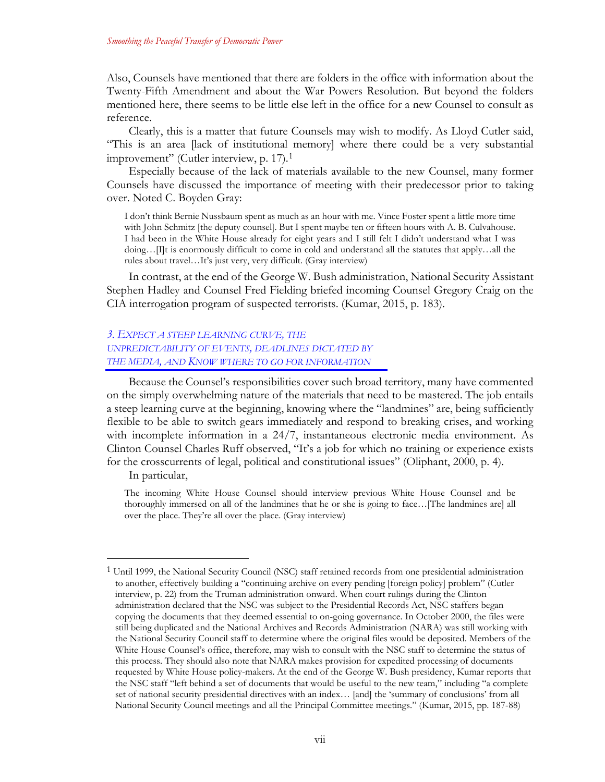Also, Counsels have mentioned that there are folders in the office with information about the Twenty-Fifth Amendment and about the War Powers Resolution. But beyond the folders mentioned here, there seems to be little else left in the office for a new Counsel to consult as reference.

Clearly, this is a matter that future Counsels may wish to modify. As Lloyd Cutler said, "This is an area [lack of institutional memory] where there could be a very substantial improvement" (Cutler interview, p. [1](#page-6-0)7).<sup>1</sup>

Especially because of the lack of materials available to the new Counsel, many former Counsels have discussed the importance of meeting with their predecessor prior to taking over. Noted C. Boyden Gray:

I don't think Bernie Nussbaum spent as much as an hour with me. Vince Foster spent a little more time with John Schmitz [the deputy counsel]. But I spent maybe ten or fifteen hours with A. B. Culvahouse. I had been in the White House already for eight years and I still felt I didn't understand what I was doing…[I]t is enormously difficult to come in cold and understand all the statutes that apply…all the rules about travel…It's just very, very difficult. (Gray interview)

In contrast, at the end of the George W. Bush administration, National Security Assistant Stephen Hadley and Counsel Fred Fielding briefed incoming Counsel Gregory Craig on the CIA interrogation program of suspected terrorists. (Kumar, 2015, p. 183).

## *3. EXPECT A STEEP LEARNING CURVE, THE UNPREDICTABILITY OF EVENTS, DEADLINES DICTATED BY THE MEDIA, AND KNOW WHERE TO GO FOR INFORMATION*

Because the Counsel's responsibilities cover such broad territory, many have commented on the simply overwhelming nature of the materials that need to be mastered. The job entails a steep learning curve at the beginning, knowing where the "landmines" are, being sufficiently flexible to be able to switch gears immediately and respond to breaking crises, and working with incomplete information in a 24/7, instantaneous electronic media environment. As Clinton Counsel Charles Ruff observed, "It's a job for which no training or experience exists for the crosscurrents of legal, political and constitutional issues" (Oliphant, 2000, p. 4).

In particular,

The incoming White House Counsel should interview previous White House Counsel and be thoroughly immersed on all of the landmines that he or she is going to face…[The landmines are] all over the place. They're all over the place. (Gray interview)

<span id="page-6-0"></span><sup>1</sup> Until 1999, the National Security Council (NSC) staff retained records from one presidential administration to another, effectively building a "continuing archive on every pending [foreign policy] problem" (Cutler interview, p. 22) from the Truman administration onward. When court rulings during the Clinton administration declared that the NSC was subject to the Presidential Records Act, NSC staffers began copying the documents that they deemed essential to on-going governance. In October 2000, the files were still being duplicated and the National Archives and Records Administration (NARA) was still working with the National Security Council staff to determine where the original files would be deposited. Members of the White House Counsel's office, therefore, may wish to consult with the NSC staff to determine the status of this process. They should also note that NARA makes provision for expedited processing of documents requested by White House policy-makers. At the end of the George W. Bush presidency, Kumar reports that the NSC staff "left behind a set of documents that would be useful to the new team," including "a complete set of national security presidential directives with an index… [and] the 'summary of conclusions' from all National Security Council meetings and all the Principal Committee meetings." (Kumar, 2015, pp. 187-88)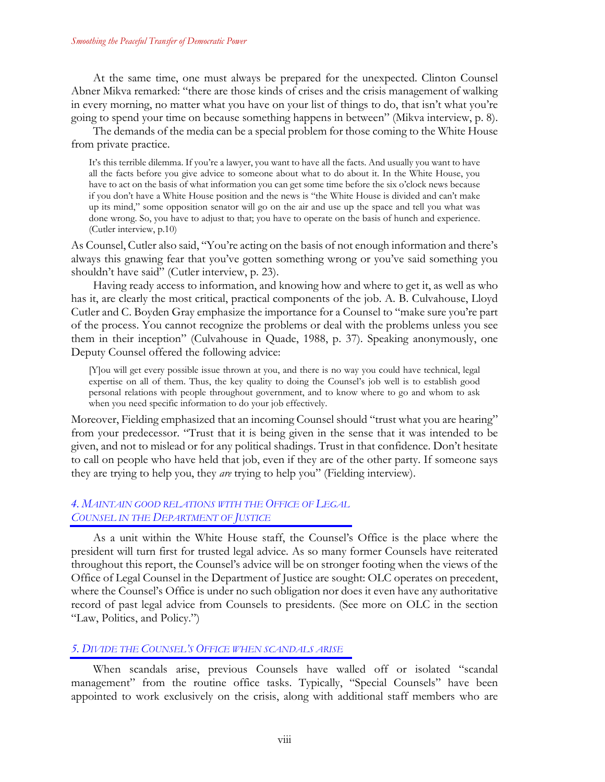#### *Smoothing the Peaceful Transfer of Democratic Power*

At the same time, one must always be prepared for the unexpected. Clinton Counsel Abner Mikva remarked: "there are those kinds of crises and the crisis management of walking in every morning, no matter what you have on your list of things to do, that isn't what you're going to spend your time on because something happens in between" (Mikva interview, p. 8).

The demands of the media can be a special problem for those coming to the White House from private practice.

It's this terrible dilemma. If you're a lawyer, you want to have all the facts. And usually you want to have all the facts before you give advice to someone about what to do about it. In the White House, you have to act on the basis of what information you can get some time before the six o'clock news because if you don't have a White House position and the news is "the White House is divided and can't make up its mind," some opposition senator will go on the air and use up the space and tell you what was done wrong. So, you have to adjust to that; you have to operate on the basis of hunch and experience. (Cutler interview, p.10)

As Counsel, Cutler also said, "You're acting on the basis of not enough information and there's always this gnawing fear that you've gotten something wrong or you've said something you shouldn't have said" (Cutler interview, p. 23).

Having ready access to information, and knowing how and where to get it, as well as who has it, are clearly the most critical, practical components of the job. A. B. Culvahouse, Lloyd Cutler and C. Boyden Gray emphasize the importance for a Counsel to "make sure you're part of the process. You cannot recognize the problems or deal with the problems unless you see them in their inception" (Culvahouse in Quade, 1988, p. 37). Speaking anonymously, one Deputy Counsel offered the following advice:

[Y]ou will get every possible issue thrown at you, and there is no way you could have technical, legal expertise on all of them. Thus, the key quality to doing the Counsel's job well is to establish good personal relations with people throughout government, and to know where to go and whom to ask when you need specific information to do your job effectively.

Moreover, Fielding emphasized that an incoming Counsel should "trust what you are hearing" from your predecessor. "Trust that it is being given in the sense that it was intended to be given, and not to mislead or for any political shadings. Trust in that confidence. Don't hesitate to call on people who have held that job, even if they are of the other party. If someone says they are trying to help you, they *are* trying to help you" (Fielding interview).

## *4. MAINTAIN GOOD RELATIONS WITH THE OFFICE OF LEGAL COUNSEL IN THE DEPARTMENT OF JUSTICE*

As a unit within the White House staff, the Counsel's Office is the place where the president will turn first for trusted legal advice. As so many former Counsels have reiterated throughout this report, the Counsel's advice will be on stronger footing when the views of the Office of Legal Counsel in the Department of Justice are sought: OLC operates on precedent, where the Counsel's Office is under no such obligation nor does it even have any authoritative record of past legal advice from Counsels to presidents. (See more on OLC in the section ["Law, Politics, and Policy.](#page-14-0)")

#### *5. DIVIDE THE COUNSEL'S OFFICE WHEN SCANDALS ARISE*

When scandals arise, previous Counsels have walled off or isolated "scandal management" from the routine office tasks. Typically, "Special Counsels" have been appointed to work exclusively on the crisis, along with additional staff members who are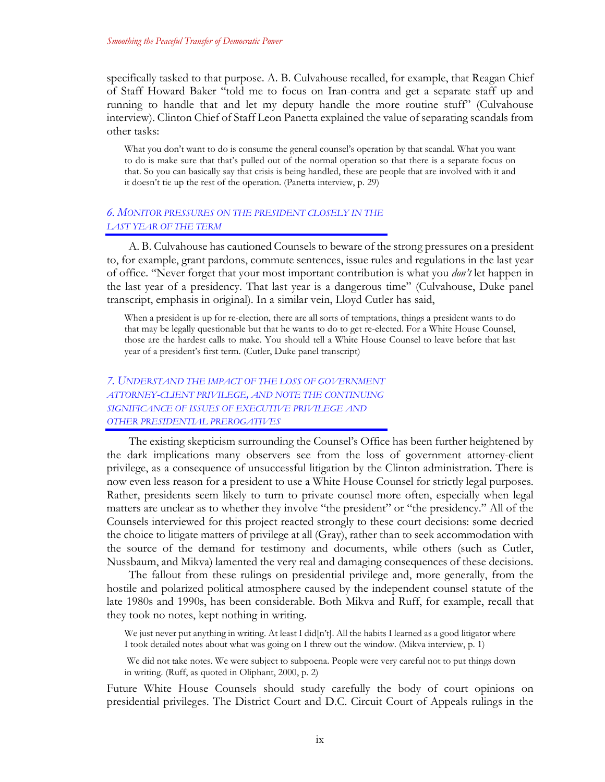specifically tasked to that purpose. A. B. Culvahouse recalled, for example, that Reagan Chief of Staff Howard Baker "told me to focus on Iran-contra and get a separate staff up and running to handle that and let my deputy handle the more routine stuff" (Culvahouse interview). Clinton Chief of Staff Leon Panetta explained the value of separating scandals from other tasks:

What you don't want to do is consume the general counsel's operation by that scandal. What you want to do is make sure that that's pulled out of the normal operation so that there is a separate focus on that. So you can basically say that crisis is being handled, these are people that are involved with it and it doesn't tie up the rest of the operation. (Panetta interview, p. 29)

### *6. MONITOR PRESSURES ON THE PRESIDENT CLOSELY IN THE LAST YEAR OF THE TERM*

A. B. Culvahouse has cautioned Counsels to beware of the strong pressures on a president to, for example, grant pardons, commute sentences, issue rules and regulations in the last year of office. "Never forget that your most important contribution is what you *don't* let happen in the last year of a presidency. That last year is a dangerous time" (Culvahouse, Duke panel transcript, emphasis in original). In a similar vein, Lloyd Cutler has said,

When a president is up for re-election, there are all sorts of temptations, things a president wants to do that may be legally questionable but that he wants to do to get re-elected. For a White House Counsel, those are the hardest calls to make. You should tell a White House Counsel to leave before that last year of a president's first term. (Cutler, Duke panel transcript)

## *7. UNDERSTAND THE IMPACT OF THE LOSS OF GOVERNMENT ATTORNEY-CLIENT PRIVILEGE, AND NOTE THE CONTINUING SIGNIFICANCE OF ISSUES OF EXECUTIVE PRIVILEGE AND OTHER PRESIDENTIAL PREROGATIVES*

The existing skepticism surrounding the Counsel's Office has been further heightened by the dark implications many observers see from the loss of government attorney-client privilege, as a consequence of unsuccessful litigation by the Clinton administration. There is now even less reason for a president to use a White House Counsel for strictly legal purposes. Rather, presidents seem likely to turn to private counsel more often, especially when legal matters are unclear as to whether they involve "the president" or "the presidency." All of the Counsels interviewed for this project reacted strongly to these court decisions: some decried the choice to litigate matters of privilege at all (Gray), rather than to seek accommodation with the source of the demand for testimony and documents, while others (such as Cutler, Nussbaum, and Mikva) lamented the very real and damaging consequences of these decisions.

The fallout from these rulings on presidential privilege and, more generally, from the hostile and polarized political atmosphere caused by the independent counsel statute of the late 1980s and 1990s, has been considerable. Both Mikva and Ruff, for example, recall that they took no notes, kept nothing in writing.

We just never put anything in writing. At least I did<sup>[n't]</sup>. All the habits I learned as a good litigator where I took detailed notes about what was going on I threw out the window. (Mikva interview, p. 1)

We did not take notes. We were subject to subpoena. People were very careful not to put things down in writing. (Ruff, as quoted in Oliphant, 2000, p. 2)

Future White House Counsels should study carefully the body of court opinions on presidential privileges. The District Court and D.C. Circuit Court of Appeals rulings in the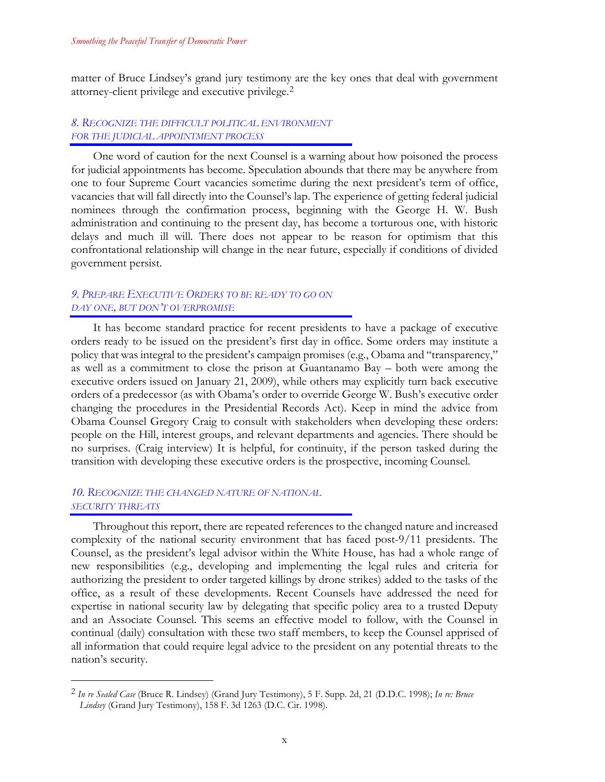matter of Bruce Lindsey's grand jury testimony are the key ones that deal with government attorney-client privilege and executive privilege.[2](#page-9-0)

### *8. RECOGNIZE THE DIFFICULT POLITICAL ENVIRONMENT FOR THE JUDICIAL APPOINTMENT PROCESS*

One word of caution for the next Counsel is a warning about how poisoned the process for judicial appointments has become. Speculation abounds that there may be anywhere from one to four Supreme Court vacancies sometime during the next president's term of office, vacancies that will fall directly into the Counsel's lap. The experience of getting federal judicial nominees through the confirmation process, beginning with the George H. W. Bush administration and continuing to the present day, has become a torturous one, with historic delays and much ill will. There does not appear to be reason for optimism that this confrontational relationship will change in the near future, especially if conditions of divided government persist.

## *9. PREPARE EXECUTIVE ORDERS TO BE READY TO GO ON DAY ONE, BUT DON'T OVERPROMISE*

It has become standard practice for recent presidents to have a package of executive orders ready to be issued on the president's first day in office. Some orders may institute a policy that was integral to the president's campaign promises (e.g., Obama and "transparency," as well as a commitment to close the prison at Guantanamo Bay – both were among the executive orders issued on January 21, 2009), while others may explicitly turn back executive orders of a predecessor (as with Obama's order to override George W. Bush's executive order changing the procedures in the Presidential Records Act). Keep in mind the advice from Obama Counsel Gregory Craig to consult with stakeholders when developing these orders: people on the Hill, interest groups, and relevant departments and agencies. There should be no surprises. (Craig interview) It is helpful, for continuity, if the person tasked during the transition with developing these executive orders is the prospective, incoming Counsel.

## *10. RECOGNIZE THE CHANGED NATURE OF NATIONAL SECURITY THREATS*

Throughout this report, there are repeated references to the changed nature and increased complexity of the national security environment that has faced post-9/11 presidents. The Counsel, as the president's legal advisor within the White House, has had a whole range of new responsibilities (e.g., developing and implementing the legal rules and criteria for authorizing the president to order targeted killings by drone strikes) added to the tasks of the office, as a result of these developments. Recent Counsels have addressed the need for expertise in national security law by delegating that specific policy area to a trusted Deputy and an Associate Counsel. This seems an effective model to follow, with the Counsel in continual (daily) consultation with these two staff members, to keep the Counsel apprised of all information that could require legal advice to the president on any potential threats to the nation's security.

<span id="page-9-0"></span><sup>2</sup> *In re Sealed Case* (Bruce R. Lindsey) (Grand Jury Testimony), 5 F. Supp. 2d, 21 (D.D.C. 1998); *In re: Bruce Lindsey* (Grand Jury Testimony), 158 F. 3d 1263 (D.C. Cir. 1998).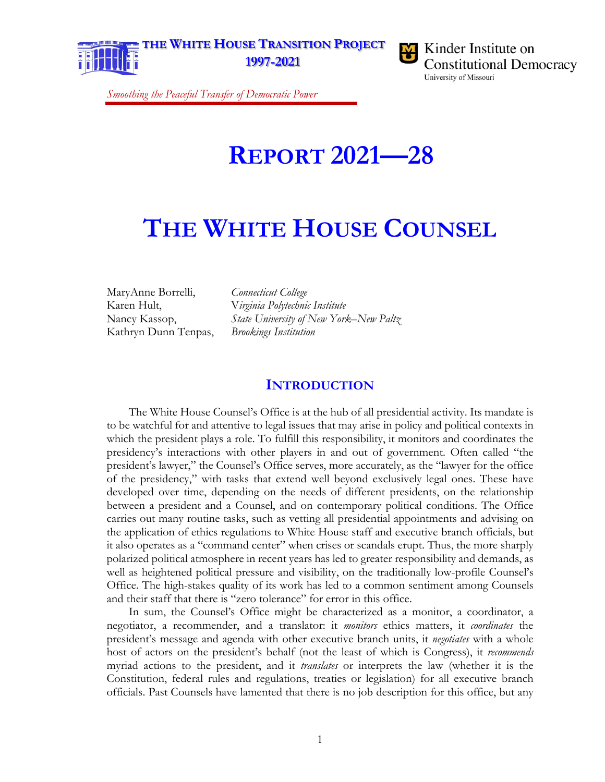**THE WHITE HOUSE TRANSITION PROJECT 1997-2021**



Kinder Institute on **Constitutional Democracy** University of Missouri

*Smoothing the Peaceful Transfer of Democratic Power*

# **[REPORT 2021—28](#page-0-0)**

# **[THE WHITE HOUSE COUNSEL](#page-0-0)**

MaryAnne Borrelli, *Connecticut College* Kathryn Dunn Tenpas, *Brookings Institution*

Karen Hult, V*irginia Polytechnic Institute* Nancy Kassop, *State University of New York–New Paltz*

## **INTRODUCTION**

The White House Counsel's Office is at the hub of all presidential activity. Its mandate is to be watchful for and attentive to legal issues that may arise in policy and political contexts in which the president plays a role. To fulfill this responsibility, it monitors and coordinates the presidency's interactions with other players in and out of government. Often called "the president's lawyer," the Counsel's Office serves, more accurately, as the "lawyer for the office of the presidency," with tasks that extend well beyond exclusively legal ones. These have developed over time, depending on the needs of different presidents, on the relationship between a president and a Counsel, and on contemporary political conditions. The Office carries out many routine tasks, such as vetting all presidential appointments and advising on the application of ethics regulations to White House staff and executive branch officials, but it also operates as a "command center" when crises or scandals erupt. Thus, the more sharply polarized political atmosphere in recent years has led to greater responsibility and demands, as well as heightened political pressure and visibility, on the traditionally low-profile Counsel's Office. The high-stakes quality of its work has led to a common sentiment among Counsels and their staff that there is "zero tolerance" for error in this office.

In sum, the Counsel's Office might be characterized as a monitor, a coordinator, a negotiator, a recommender, and a translator: it *monitors* ethics matters, it *coordinates* the president's message and agenda with other executive branch units, it *negotiates* with a whole host of actors on the president's behalf (not the least of which is Congress), it *recommends* myriad actions to the president, and it *translates* or interprets the law (whether it is the Constitution, federal rules and regulations, treaties or legislation) for all executive branch officials. Past Counsels have lamented that there is no job description for this office, but any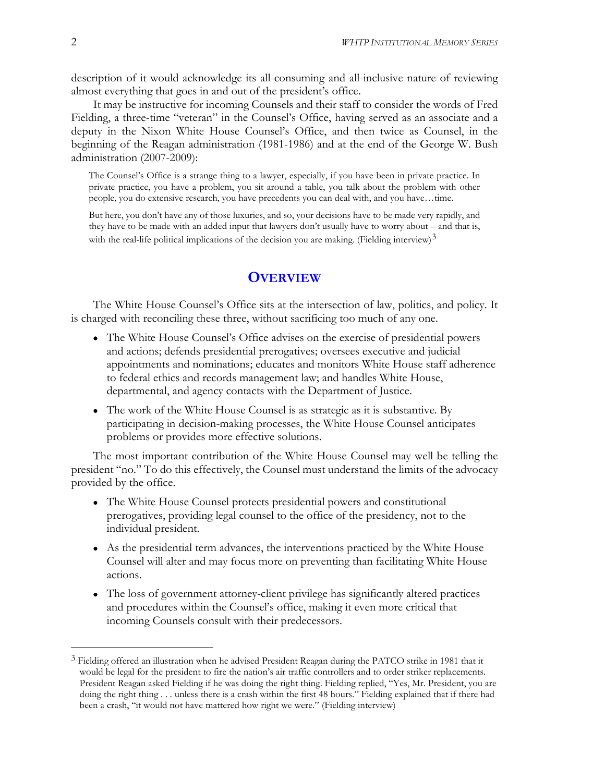description of it would acknowledge its all-consuming and all-inclusive nature of reviewing almost everything that goes in and out of the president's office.

It may be instructive for incoming Counsels and their staff to consider the words of Fred Fielding, a three-time "veteran" in the Counsel's Office, having served as an associate and a deputy in the Nixon White House Counsel's Office, and then twice as Counsel, in the beginning of the Reagan administration (1981-1986) and at the end of the George W. Bush administration (2007-2009):

The Counsel's Office is a strange thing to a lawyer, especially, if you have been in private practice. In private practice, you have a problem, you sit around a table, you talk about the problem with other people, you do extensive research, you have precedents you can deal with, and you have…time.

But here, you don't have any of those luxuries, and so, your decisions have to be made very rapidly, and they have to be made with an added input that lawyers don't usually have to worry about – and that is, with the real-life political implications of the decision you are making. (Fielding interview) $3$ 

## **OVERVIEW**

The White House Counsel's Office sits at the intersection of law, politics, and policy. It is charged with reconciling these three, without sacrificing too much of any one.

- The White House Counsel's Office advises on the exercise of presidential powers and actions; defends presidential prerogatives; oversees executive and judicial appointments and nominations; educates and monitors White House staff adherence to federal ethics and records management law; and handles White House, departmental, and agency contacts with the Department of Justice.
- The work of the White House Counsel is as strategic as it is substantive. By participating in decision-making processes, the White House Counsel anticipates problems or provides more effective solutions.

The most important contribution of the White House Counsel may well be telling the president "no." To do this effectively, the Counsel must understand the limits of the advocacy provided by the office.

- The White House Counsel protects presidential powers and constitutional prerogatives, providing legal counsel to the office of the presidency, not to the individual president.
- As the presidential term advances, the interventions practiced by the White House Counsel will alter and may focus more on preventing than facilitating White House actions.
- The loss of government attorney-client privilege has significantly altered practices and procedures within the Counsel's office, making it even more critical that incoming Counsels consult with their predecessors.

<span id="page-11-0"></span><sup>3</sup> Fielding offered an illustration when he advised President Reagan during the PATCO strike in 1981 that it would be legal for the president to fire the nation's air traffic controllers and to order striker replacements. President Reagan asked Fielding if he was doing the right thing. Fielding replied, "Yes, Mr. President, you are doing the right thing . . . unless there is a crash within the first 48 hours." Fielding explained that if there had been a crash, "it would not have mattered how right we were." (Fielding interview)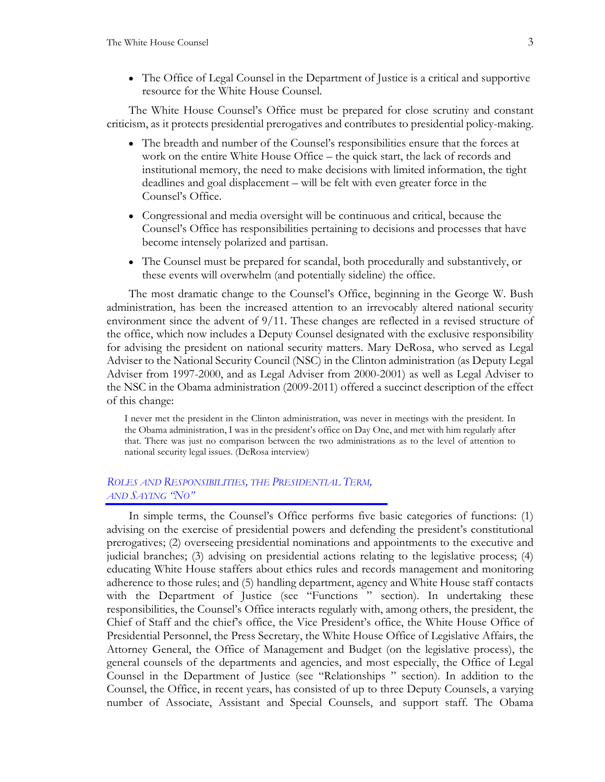• The Office of Legal Counsel in the Department of Justice is a critical and supportive resource for the White House Counsel.

The White House Counsel's Office must be prepared for close scrutiny and constant criticism, as it protects presidential prerogatives and contributes to presidential policy-making.

- The breadth and number of the Counsel's responsibilities ensure that the forces at work on the entire White House Office – the quick start, the lack of records and institutional memory, the need to make decisions with limited information, the tight deadlines and goal displacement – will be felt with even greater force in the Counsel's Office.
- Congressional and media oversight will be continuous and critical, because the Counsel's Office has responsibilities pertaining to decisions and processes that have become intensely polarized and partisan.
- The Counsel must be prepared for scandal, both procedurally and substantively, or these events will overwhelm (and potentially sideline) the office.

The most dramatic change to the Counsel's Office, beginning in the George W. Bush administration, has been the increased attention to an irrevocably altered national security environment since the advent of 9/11. These changes are reflected in a revised structure of the office, which now includes a Deputy Counsel designated with the exclusive responsibility for advising the president on national security matters. Mary DeRosa, who served as Legal Adviser to the National Security Council (NSC) in the Clinton administration (as Deputy Legal Adviser from 1997-2000, and as Legal Adviser from 2000-2001) as well as Legal Adviser to the NSC in the Obama administration (2009-2011) offered a succinct description of the effect of this change:

I never met the president in the Clinton administration, was never in meetings with the president. In the Obama administration, I was in the president's office on Day One, and met with him regularly after that. There was just no comparison between the two administrations as to the level of attention to national security legal issues. (DeRosa interview)

### *ROLES AND RESPONSIBILITIES, THE PRESIDENTIAL TERM, AND SAYING "NO"*

In simple terms, the Counsel's Office performs five basic categories of functions: (1) advising on the exercise of presidential powers and defending the president's constitutional prerogatives; (2) overseeing presidential nominations and appointments to the executive and judicial branches; (3) advising on presidential actions relating to the legislative process; (4) educating White House staffers about ethics rules and records management and monitoring adherence to those rules; and (5) handling department, agency and White House staff contacts with the Department of Justice (see "Functions" section). In undertaking these responsibilities, the Counsel's Office interacts regularly with, among others, the president, the Chief of Staff and the chief's office, the Vice President's office, the White House Office of Presidential Personnel, the Press Secretary, the White House Office of Legislative Affairs, the Attorney General, the Office of Management and Budget (on the legislative process), the general counsels of the departments and agencies, and most especially, the Office of Legal Counsel in the Department of Justice (see ["Relationships "](#page-32-0) section). In addition to the Counsel, the Office, in recent years, has consisted of up to three Deputy Counsels, a varying number of Associate, Assistant and Special Counsels, and support staff. The Obama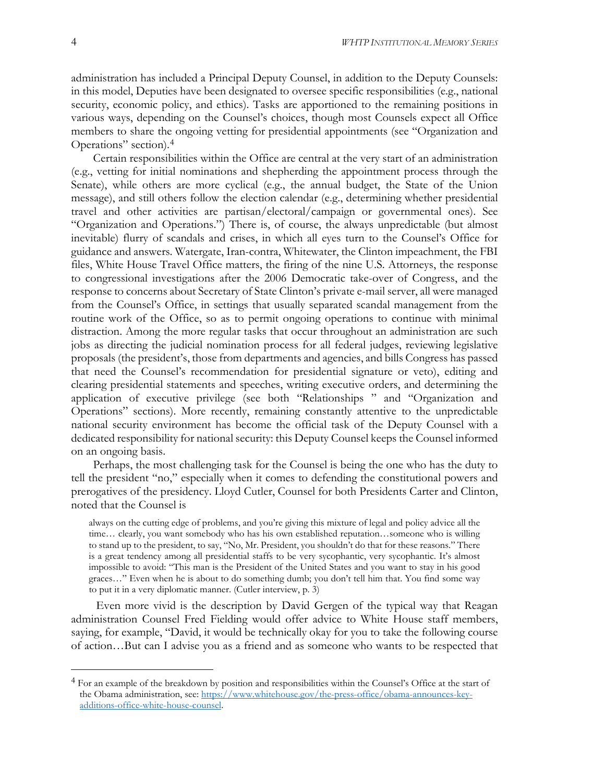administration has included a Principal Deputy Counsel, in addition to the Deputy Counsels: in this model, Deputies have been designated to oversee specific responsibilities (e.g., national security, economic policy, and ethics). Tasks are apportioned to the remaining positions in various ways, depending on the Counsel's choices, though most Counsels expect all Office members to share the ongoing vetting for presidential appointments (see ["Organization and](#page-47-0)  [Operations"](#page-47-0) section).[4](#page-13-0)

Certain responsibilities within the Office are central at the very start of an administration (e.g., vetting for initial nominations and shepherding the appointment process through the Senate), while others are more cyclical (e.g., the annual budget, the State of the Union message), and still others follow the election calendar (e.g., determining whether presidential travel and other activities are partisan/electoral/campaign or governmental ones). See ["Organization and Operations.](#page-47-0)") There is, of course, the always unpredictable (but almost inevitable) flurry of scandals and crises, in which all eyes turn to the Counsel's Office for guidance and answers. Watergate, Iran-contra, Whitewater, the Clinton impeachment, the FBI files, White House Travel Office matters, the firing of the nine U.S. Attorneys, the response to congressional investigations after the 2006 Democratic take-over of Congress, and the response to concerns about Secretary of State Clinton's private e-mail server, all were managed from the Counsel's Office, in settings that usually separated scandal management from the routine work of the Office, so as to permit ongoing operations to continue with minimal distraction. Among the more regular tasks that occur throughout an administration are such jobs as directing the judicial nomination process for all federal judges, reviewing legislative proposals (the president's, those from departments and agencies, and bills Congress has passed that need the Counsel's recommendation for presidential signature or veto), editing and clearing presidential statements and speeches, writing executive orders, and determining the application of executive privilege (see both ["Relationships "](#page-32-0) and ["Organization and](#page-47-0)  [Operations"](#page-47-0) sections). More recently, remaining constantly attentive to the unpredictable national security environment has become the official task of the Deputy Counsel with a dedicated responsibility for national security: this Deputy Counsel keeps the Counsel informed on an ongoing basis.

Perhaps, the most challenging task for the Counsel is being the one who has the duty to tell the president "no," especially when it comes to defending the constitutional powers and prerogatives of the presidency. Lloyd Cutler, Counsel for both Presidents Carter and Clinton, noted that the Counsel is

always on the cutting edge of problems, and you're giving this mixture of legal and policy advice all the time… clearly, you want somebody who has his own established reputation…someone who is willing to stand up to the president, to say, "No, Mr. President, you shouldn't do that for these reasons." There is a great tendency among all presidential staffs to be very sycophantic, very sycophantic. It's almost impossible to avoid: "This man is the President of the United States and you want to stay in his good graces…" Even when he is about to do something dumb; you don't tell him that. You find some way to put it in a very diplomatic manner. (Cutler interview, p. 3)

Even more vivid is the description by David Gergen of the typical way that Reagan administration Counsel Fred Fielding would offer advice to White House staff members, saying, for example, "David, it would be technically okay for you to take the following course of action…But can I advise you as a friend and as someone who wants to be respected that

<span id="page-13-0"></span><sup>4</sup> For an example of the breakdown by position and responsibilities within the Counsel's Office at the start of the Obama administration, see: [https://www.whitehouse.gov/the-press-office/obama-announces-key](https://www.whitehouse.gov/the-press-office/obama-announces-key-additions-office-white-house-counsel)[additions-office-white-house-counsel.](https://www.whitehouse.gov/the-press-office/obama-announces-key-additions-office-white-house-counsel)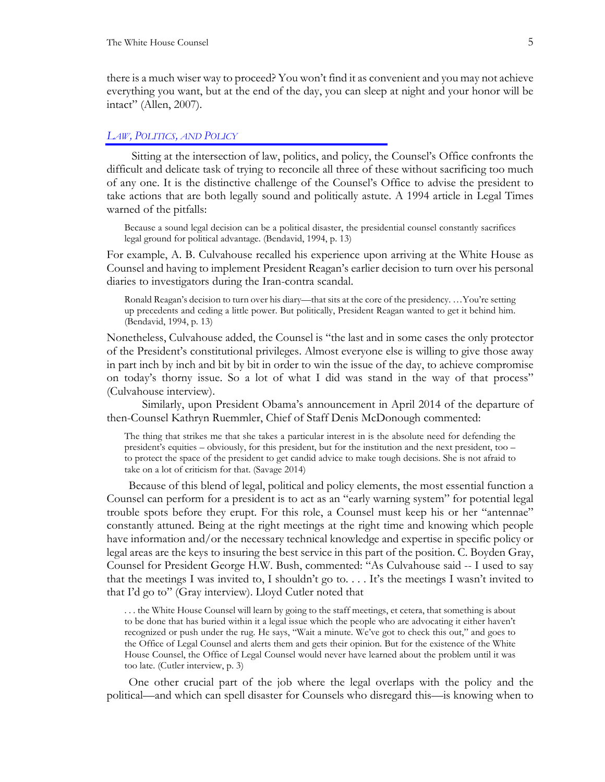there is a much wiser way to proceed? You won't find it as convenient and you may not achieve everything you want, but at the end of the day, you can sleep at night and your honor will be intact" (Allen, 2007).

#### <span id="page-14-0"></span>*LAW, POLITICS, AND POLICY*

Sitting at the intersection of law, politics, and policy, the Counsel's Office confronts the difficult and delicate task of trying to reconcile all three of these without sacrificing too much of any one. It is the distinctive challenge of the Counsel's Office to advise the president to take actions that are both legally sound and politically astute. A 1994 article in Legal Times warned of the pitfalls:

Because a sound legal decision can be a political disaster, the presidential counsel constantly sacrifices legal ground for political advantage. (Bendavid, 1994, p. 13)

For example, A. B. Culvahouse recalled his experience upon arriving at the White House as Counsel and having to implement President Reagan's earlier decision to turn over his personal diaries to investigators during the Iran-contra scandal.

Ronald Reagan's decision to turn over his diary—that sits at the core of the presidency. …You're setting up precedents and ceding a little power. But politically, President Reagan wanted to get it behind him. (Bendavid, 1994, p. 13)

Nonetheless, Culvahouse added, the Counsel is "the last and in some cases the only protector of the President's constitutional privileges. Almost everyone else is willing to give those away in part inch by inch and bit by bit in order to win the issue of the day, to achieve compromise on today's thorny issue. So a lot of what I did was stand in the way of that process" (Culvahouse interview).

Similarly, upon President Obama's announcement in April 2014 of the departure of then-Counsel Kathryn Ruemmler, Chief of Staff Denis McDonough commented:

The thing that strikes me that she takes a particular interest in is the absolute need for defending the president's equities – obviously, for this president, but for the institution and the next president, too – to protect the space of the president to get candid advice to make tough decisions. She is not afraid to take on a lot of criticism for that. (Savage 2014)

Because of this blend of legal, political and policy elements, the most essential function a Counsel can perform for a president is to act as an "early warning system" for potential legal trouble spots before they erupt. For this role, a Counsel must keep his or her "antennae" constantly attuned. Being at the right meetings at the right time and knowing which people have information and/or the necessary technical knowledge and expertise in specific policy or legal areas are the keys to insuring the best service in this part of the position. C. Boyden Gray, Counsel for President George H.W. Bush, commented: "As Culvahouse said -- I used to say that the meetings I was invited to, I shouldn't go to. . . . It's the meetings I wasn't invited to that I'd go to" (Gray interview). Lloyd Cutler noted that

. . . the White House Counsel will learn by going to the staff meetings, et cetera, that something is about to be done that has buried within it a legal issue which the people who are advocating it either haven't recognized or push under the rug. He says, "Wait a minute. We've got to check this out," and goes to the Office of Legal Counsel and alerts them and gets their opinion. But for the existence of the White House Counsel, the Office of Legal Counsel would never have learned about the problem until it was too late. (Cutler interview, p. 3)

One other crucial part of the job where the legal overlaps with the policy and the political—and which can spell disaster for Counsels who disregard this—is knowing when to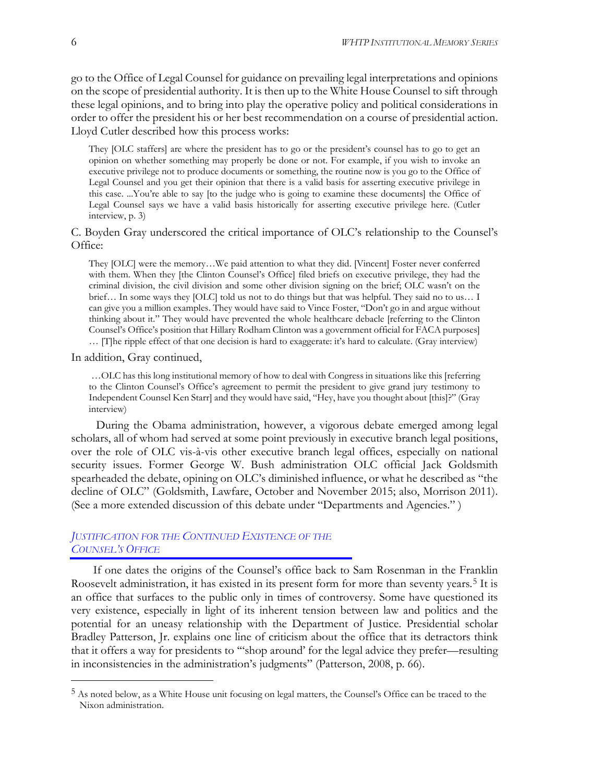go to the Office of Legal Counsel for guidance on prevailing legal interpretations and opinions on the scope of presidential authority. It is then up to the White House Counsel to sift through these legal opinions, and to bring into play the operative policy and political considerations in order to offer the president his or her best recommendation on a course of presidential action. Lloyd Cutler described how this process works:

They [OLC staffers] are where the president has to go or the president's counsel has to go to get an opinion on whether something may properly be done or not. For example, if you wish to invoke an executive privilege not to produce documents or something, the routine now is you go to the Office of Legal Counsel and you get their opinion that there is a valid basis for asserting executive privilege in this case. ...You're able to say [to the judge who is going to examine these documents] the Office of Legal Counsel says we have a valid basis historically for asserting executive privilege here. (Cutler interview, p. 3)

C. Boyden Gray underscored the critical importance of OLC's relationship to the Counsel's Office:

They [OLC] were the memory…We paid attention to what they did. [Vincent] Foster never conferred with them. When they [the Clinton Counsel's Office] filed briefs on executive privilege, they had the criminal division, the civil division and some other division signing on the brief; OLC wasn't on the brief… In some ways they [OLC] told us not to do things but that was helpful. They said no to us… I can give you a million examples. They would have said to Vince Foster, "Don't go in and argue without thinking about it." They would have prevented the whole healthcare debacle [referring to the Clinton Counsel's Office's position that Hillary Rodham Clinton was a government official for FACA purposes] … [T]he ripple effect of that one decision is hard to exaggerate: it's hard to calculate. (Gray interview)

In addition, Gray continued,

…OLC has this long institutional memory of how to deal with Congress in situations like this [referring to the Clinton Counsel's Office's agreement to permit the president to give grand jury testimony to Independent Counsel Ken Starr] and they would have said, "Hey, have you thought about [this]?" (Gray interview)

During the Obama administration, however, a vigorous debate emerged among legal scholars, all of whom had served at some point previously in executive branch legal positions, over the role of OLC vis-à-vis other executive branch legal offices, especially on national security issues. Former George W. Bush administration OLC official Jack Goldsmith spearheaded the debate, opining on OLC's diminished influence, or what he described as "the decline of OLC" (Goldsmith, Lawfare, October and November 2015; also, Morrison 2011). (See a more extended discussion of this debate under ["Departments and Agencies.](#page-43-0)" )

## *JUSTIFICATION FOR THE CONTINUED EXISTENCE OF THE COUNSEL'S OFFICE*

If one dates the origins of the Counsel's office back to Sam Rosenman in the Franklin Roosevelt administration, it has existed in its present form for more than seventy years.<sup>[5](#page-15-0)</sup> It is an office that surfaces to the public only in times of controversy. Some have questioned its very existence, especially in light of its inherent tension between law and politics and the potential for an uneasy relationship with the Department of Justice. Presidential scholar Bradley Patterson, Jr. explains one line of criticism about the office that its detractors think that it offers a way for presidents to '"shop around' for the legal advice they prefer—resulting in inconsistencies in the administration's judgments" (Patterson, 2008, p. 66).

<span id="page-15-0"></span><sup>5</sup> As noted below, as a White House unit focusing on legal matters, the Counsel's Office can be traced to the Nixon administration.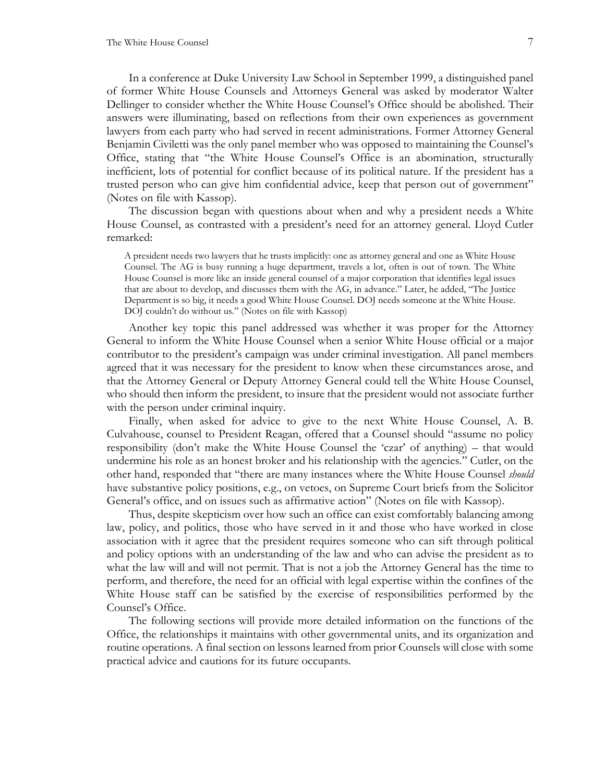In a conference at Duke University Law School in September 1999, a distinguished panel of former White House Counsels and Attorneys General was asked by moderator Walter Dellinger to consider whether the White House Counsel's Office should be abolished. Their answers were illuminating, based on reflections from their own experiences as government lawyers from each party who had served in recent administrations. Former Attorney General Benjamin Civiletti was the only panel member who was opposed to maintaining the Counsel's Office, stating that "the White House Counsel's Office is an abomination, structurally inefficient, lots of potential for conflict because of its political nature. If the president has a trusted person who can give him confidential advice, keep that person out of government" (Notes on file with Kassop).

The discussion began with questions about when and why a president needs a White House Counsel, as contrasted with a president's need for an attorney general. Lloyd Cutler remarked:

A president needs two lawyers that he trusts implicitly: one as attorney general and one as White House Counsel. The AG is busy running a huge department, travels a lot, often is out of town. The White House Counsel is more like an inside general counsel of a major corporation that identifies legal issues that are about to develop, and discusses them with the AG, in advance." Later, he added, "The Justice Department is so big, it needs a good White House Counsel. DOJ needs someone at the White House. DOJ couldn't do without us." (Notes on file with Kassop)

Another key topic this panel addressed was whether it was proper for the Attorney General to inform the White House Counsel when a senior White House official or a major contributor to the president's campaign was under criminal investigation. All panel members agreed that it was necessary for the president to know when these circumstances arose, and that the Attorney General or Deputy Attorney General could tell the White House Counsel, who should then inform the president, to insure that the president would not associate further with the person under criminal inquiry.

Finally, when asked for advice to give to the next White House Counsel, A. B. Culvahouse, counsel to President Reagan, offered that a Counsel should "assume no policy responsibility (don't make the White House Counsel the 'czar' of anything) – that would undermine his role as an honest broker and his relationship with the agencies." Cutler, on the other hand, responded that "there are many instances where the White House Counsel *should* have substantive policy positions, e.g., on vetoes, on Supreme Court briefs from the Solicitor General's office, and on issues such as affirmative action" (Notes on file with Kassop).

Thus, despite skepticism over how such an office can exist comfortably balancing among law, policy, and politics, those who have served in it and those who have worked in close association with it agree that the president requires someone who can sift through political and policy options with an understanding of the law and who can advise the president as to what the law will and will not permit. That is not a job the Attorney General has the time to perform, and therefore, the need for an official with legal expertise within the confines of the White House staff can be satisfied by the exercise of responsibilities performed by the Counsel's Office.

The following sections will provide more detailed information on the functions of the Office, the relationships it maintains with other governmental units, and its organization and routine operations. A final section on lessons learned from prior Counsels will close with some practical advice and cautions for its future occupants.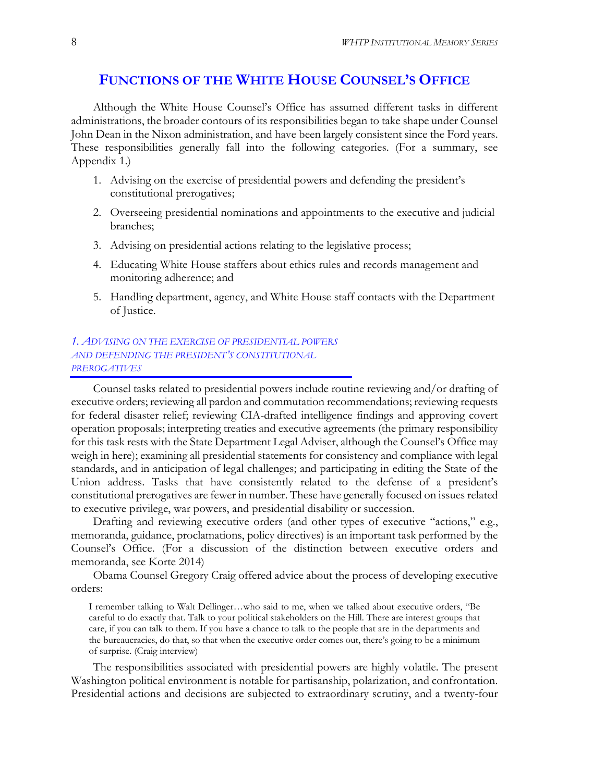## <span id="page-17-0"></span>**FUNCTIONS OF THE WHITE HOUSE COUNSEL'S OFFICE**

Although the White House Counsel's Office has assumed different tasks in different administrations, the broader contours of its responsibilities began to take shape under Counsel John Dean in the Nixon administration, and have been largely consistent since the Ford years. These responsibilities generally fall into the following categories. (For a summary, see [Appendix 1.](#page-57-0))

- 1. Advising on the exercise of presidential powers and defending the president's constitutional prerogatives;
- 2. Overseeing presidential nominations and appointments to the executive and judicial branches;
- 3. Advising on presidential actions relating to the legislative process;
- 4. Educating White House staffers about ethics rules and records management and monitoring adherence; and
- 5. Handling department, agency, and White House staff contacts with the Department of Justice.

## *1. ADVISING ON THE EXERCISE OF PRESIDENTIAL POWERS AND DEFENDING THE PRESIDENT'S CONSTITUTIONAL PREROGATIVES*

Counsel tasks related to presidential powers include routine reviewing and/or drafting of executive orders; reviewing all pardon and commutation recommendations; reviewing requests for federal disaster relief; reviewing CIA-drafted intelligence findings and approving covert operation proposals; interpreting treaties and executive agreements (the primary responsibility for this task rests with the State Department Legal Adviser, although the Counsel's Office may weigh in here); examining all presidential statements for consistency and compliance with legal standards, and in anticipation of legal challenges; and participating in editing the State of the Union address. Tasks that have consistently related to the defense of a president's constitutional prerogatives are fewer in number. These have generally focused on issues related to executive privilege, war powers, and presidential disability or succession.

Drafting and reviewing executive orders (and other types of executive "actions," e.g., memoranda, guidance, proclamations, policy directives) is an important task performed by the Counsel's Office. (For a discussion of the distinction between executive orders and memoranda, see Korte 2014)

Obama Counsel Gregory Craig offered advice about the process of developing executive orders:

I remember talking to Walt Dellinger…who said to me, when we talked about executive orders, "Be careful to do exactly that. Talk to your political stakeholders on the Hill. There are interest groups that care, if you can talk to them. If you have a chance to talk to the people that are in the departments and the bureaucracies, do that, so that when the executive order comes out, there's going to be a minimum of surprise. (Craig interview)

The responsibilities associated with presidential powers are highly volatile. The present Washington political environment is notable for partisanship, polarization, and confrontation. Presidential actions and decisions are subjected to extraordinary scrutiny, and a twenty-four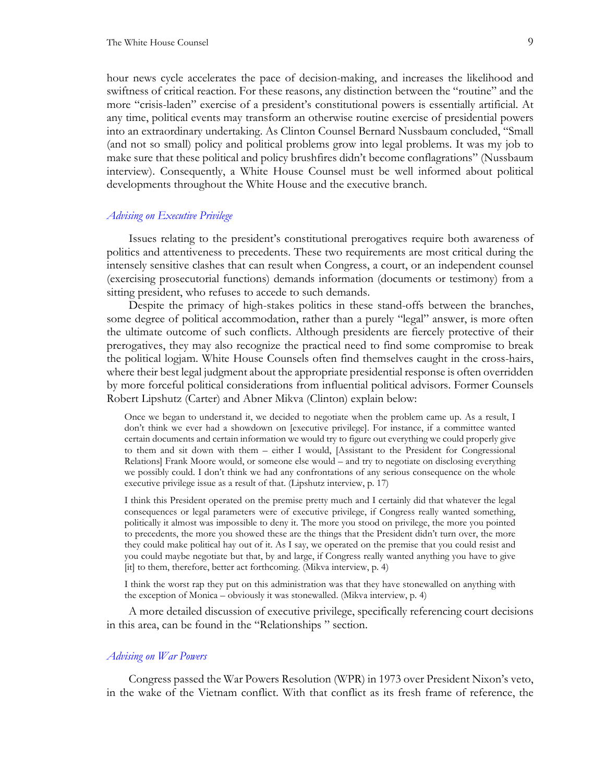hour news cycle accelerates the pace of decision-making, and increases the likelihood and swiftness of critical reaction. For these reasons, any distinction between the "routine" and the more "crisis-laden" exercise of a president's constitutional powers is essentially artificial. At any time, political events may transform an otherwise routine exercise of presidential powers into an extraordinary undertaking. As Clinton Counsel Bernard Nussbaum concluded, "Small (and not so small) policy and political problems grow into legal problems. It was my job to make sure that these political and policy brushfires didn't become conflagrations" (Nussbaum interview). Consequently, a White House Counsel must be well informed about political developments throughout the White House and the executive branch.

#### *Advising on Executive Privilege*

Issues relating to the president's constitutional prerogatives require both awareness of politics and attentiveness to precedents. These two requirements are most critical during the intensely sensitive clashes that can result when Congress, a court, or an independent counsel (exercising prosecutorial functions) demands information (documents or testimony) from a sitting president, who refuses to accede to such demands.

Despite the primacy of high-stakes politics in these stand-offs between the branches, some degree of political accommodation, rather than a purely "legal" answer, is more often the ultimate outcome of such conflicts. Although presidents are fiercely protective of their prerogatives, they may also recognize the practical need to find some compromise to break the political logjam. White House Counsels often find themselves caught in the cross-hairs, where their best legal judgment about the appropriate presidential response is often overridden by more forceful political considerations from influential political advisors. Former Counsels Robert Lipshutz (Carter) and Abner Mikva (Clinton) explain below:

Once we began to understand it, we decided to negotiate when the problem came up. As a result, I don't think we ever had a showdown on [executive privilege]. For instance, if a committee wanted certain documents and certain information we would try to figure out everything we could properly give to them and sit down with them – either I would, [Assistant to the President for Congressional Relations] Frank Moore would, or someone else would – and try to negotiate on disclosing everything we possibly could. I don't think we had any confrontations of any serious consequence on the whole executive privilege issue as a result of that. (Lipshutz interview, p. 17)

I think this President operated on the premise pretty much and I certainly did that whatever the legal consequences or legal parameters were of executive privilege, if Congress really wanted something, politically it almost was impossible to deny it. The more you stood on privilege, the more you pointed to precedents, the more you showed these are the things that the President didn't turn over, the more they could make political hay out of it. As I say, we operated on the premise that you could resist and you could maybe negotiate but that, by and large, if Congress really wanted anything you have to give [it] to them, therefore, better act forthcoming. (Mikva interview, p. 4)

I think the worst rap they put on this administration was that they have stonewalled on anything with the exception of Monica – obviously it was stonewalled. (Mikva interview, p. 4)

A more detailed discussion of executive privilege, specifically referencing court decisions in this area, can be found in the ["Relationships "](#page-32-0) section.

#### *Advising on War Powers*

Congress passed the War Powers Resolution (WPR) in 1973 over President Nixon's veto, in the wake of the Vietnam conflict. With that conflict as its fresh frame of reference, the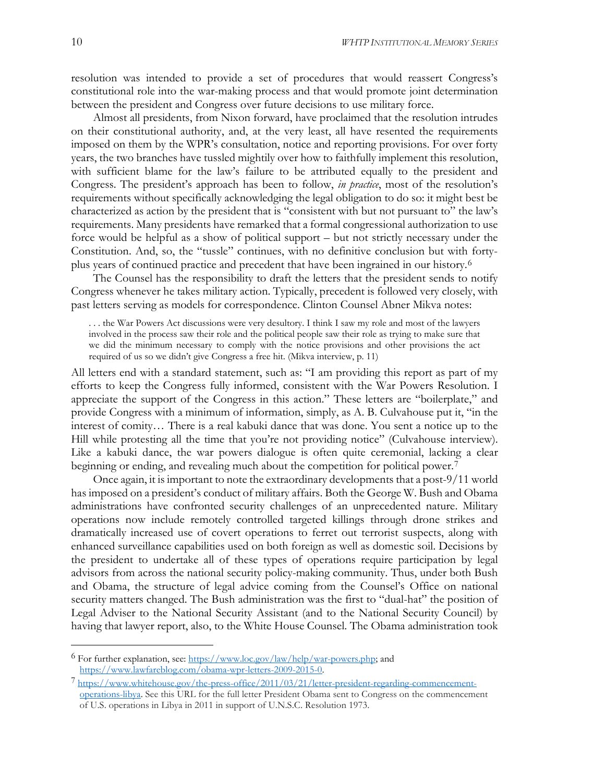resolution was intended to provide a set of procedures that would reassert Congress's constitutional role into the war-making process and that would promote joint determination between the president and Congress over future decisions to use military force.

Almost all presidents, from Nixon forward, have proclaimed that the resolution intrudes on their constitutional authority, and, at the very least, all have resented the requirements imposed on them by the WPR's consultation, notice and reporting provisions. For over forty years, the two branches have tussled mightily over how to faithfully implement this resolution, with sufficient blame for the law's failure to be attributed equally to the president and Congress. The president's approach has been to follow, *in practice*, most of the resolution's requirements without specifically acknowledging the legal obligation to do so: it might best be characterized as action by the president that is "consistent with but not pursuant to" the law's requirements. Many presidents have remarked that a formal congressional authorization to use force would be helpful as a show of political support – but not strictly necessary under the Constitution. And, so, the "tussle" continues, with no definitive conclusion but with fortyplus years of continued practice and precedent that have been ingrained in our history.[6](#page-19-0)

The Counsel has the responsibility to draft the letters that the president sends to notify Congress whenever he takes military action. Typically, precedent is followed very closely, with past letters serving as models for correspondence. Clinton Counsel Abner Mikva notes:

. . . the War Powers Act discussions were very desultory. I think I saw my role and most of the lawyers involved in the process saw their role and the political people saw their role as trying to make sure that we did the minimum necessary to comply with the notice provisions and other provisions the act required of us so we didn't give Congress a free hit. (Mikva interview, p. 11)

All letters end with a standard statement, such as: "I am providing this report as part of my efforts to keep the Congress fully informed, consistent with the War Powers Resolution. I appreciate the support of the Congress in this action." These letters are "boilerplate," and provide Congress with a minimum of information, simply, as A. B. Culvahouse put it, "in the interest of comity… There is a real kabuki dance that was done. You sent a notice up to the Hill while protesting all the time that you're not providing notice" (Culvahouse interview). Like a kabuki dance, the war powers dialogue is often quite ceremonial, lacking a clear beginning or ending, and revealing much about the competition for political power.<sup>[7](#page-19-1)</sup>

Once again, it is important to note the extraordinary developments that a post-9/11 world has imposed on a president's conduct of military affairs. Both the George W. Bush and Obama administrations have confronted security challenges of an unprecedented nature. Military operations now include remotely controlled targeted killings through drone strikes and dramatically increased use of covert operations to ferret out terrorist suspects, along with enhanced surveillance capabilities used on both foreign as well as domestic soil. Decisions by the president to undertake all of these types of operations require participation by legal advisors from across the national security policy-making community. Thus, under both Bush and Obama, the structure of legal advice coming from the Counsel's Office on national security matters changed. The Bush administration was the first to "dual-hat" the position of Legal Adviser to the National Security Assistant (and to the National Security Council) by having that lawyer report, also, to the White House Counsel. The Obama administration took

<span id="page-19-0"></span> $^6$  For further explanation, see: [https://www.loc.gov/law/help/war-powers.php;](https://www.loc.gov/law/help/war-powers.php) and [https://www.lawfareblog.com/obama-wpr-letters-2009-2015-0.](https://www.lawfareblog.com/obama-wpr-letters-2009-2015-0))

<span id="page-19-1"></span><sup>7</sup> [https://www.whitehouse.gov/the-press-office/2011/03/21/letter-president-regarding-commencement](https://www.whitehouse.gov/the-press-office/2011/03/21/letter-president-regarding-commencement-operations-libya)[operations-libya.](https://www.whitehouse.gov/the-press-office/2011/03/21/letter-president-regarding-commencement-operations-libya) See this URL for the full letter President Obama sent to Congress on the commencement of U.S. operations in Libya in 2011 in support of U.N.S.C. Resolution 1973.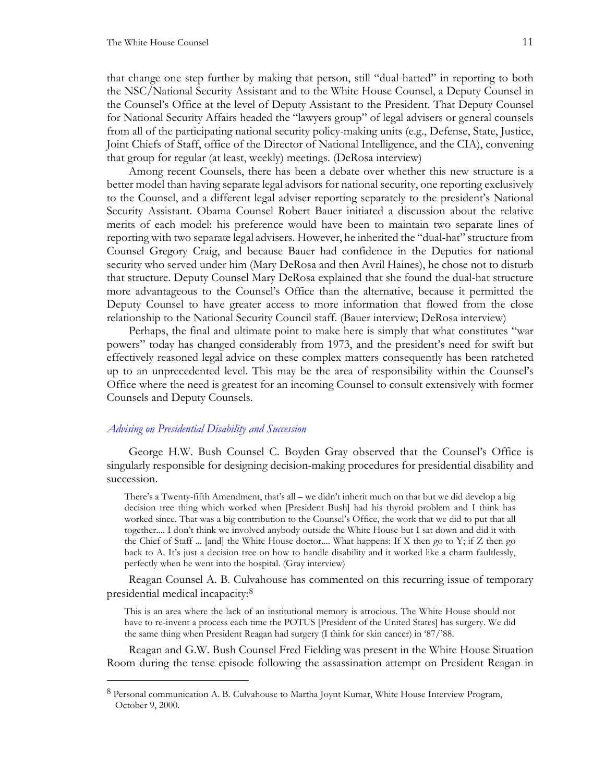that change one step further by making that person, still "dual-hatted" in reporting to both the NSC/National Security Assistant and to the White House Counsel, a Deputy Counsel in the Counsel's Office at the level of Deputy Assistant to the President. That Deputy Counsel for National Security Affairs headed the "lawyers group" of legal advisers or general counsels from all of the participating national security policy-making units (e.g., Defense, State, Justice, Joint Chiefs of Staff, office of the Director of National Intelligence, and the CIA), convening that group for regular (at least, weekly) meetings. (DeRosa interview)

Among recent Counsels, there has been a debate over whether this new structure is a better model than having separate legal advisors for national security, one reporting exclusively to the Counsel, and a different legal adviser reporting separately to the president's National Security Assistant. Obama Counsel Robert Bauer initiated a discussion about the relative merits of each model: his preference would have been to maintain two separate lines of reporting with two separate legal advisers. However, he inherited the "dual-hat" structure from Counsel Gregory Craig, and because Bauer had confidence in the Deputies for national security who served under him (Mary DeRosa and then Avril Haines), he chose not to disturb that structure. Deputy Counsel Mary DeRosa explained that she found the dual-hat structure more advantageous to the Counsel's Office than the alternative, because it permitted the Deputy Counsel to have greater access to more information that flowed from the close relationship to the National Security Council staff. (Bauer interview; DeRosa interview)

Perhaps, the final and ultimate point to make here is simply that what constitutes "war powers" today has changed considerably from 1973, and the president's need for swift but effectively reasoned legal advice on these complex matters consequently has been ratcheted up to an unprecedented level. This may be the area of responsibility within the Counsel's Office where the need is greatest for an incoming Counsel to consult extensively with former Counsels and Deputy Counsels.

#### *Advising on Presidential Disability and Succession*

George H.W. Bush Counsel C. Boyden Gray observed that the Counsel's Office is singularly responsible for designing decision-making procedures for presidential disability and succession.

There's a Twenty-fifth Amendment, that's all – we didn't inherit much on that but we did develop a big decision tree thing which worked when [President Bush] had his thyroid problem and I think has worked since. That was a big contribution to the Counsel's Office, the work that we did to put that all together.... I don't think we involved anybody outside the White House but I sat down and did it with the Chief of Staff ... [and] the White House doctor.... What happens: If X then go to Y; if Z then go back to A. It's just a decision tree on how to handle disability and it worked like a charm faultlessly, perfectly when he went into the hospital. (Gray interview)

Reagan Counsel A. B. Culvahouse has commented on this recurring issue of temporary presidential medical incapacity:[8](#page-20-0)

This is an area where the lack of an institutional memory is atrocious. The White House should not have to re-invent a process each time the POTUS [President of the United States] has surgery. We did the same thing when President Reagan had surgery (I think for skin cancer) in '87/'88.

Reagan and G.W. Bush Counsel Fred Fielding was present in the White House Situation Room during the tense episode following the assassination attempt on President Reagan in

<span id="page-20-0"></span><sup>8</sup> Personal communication A. B. Culvahouse to Martha Joynt Kumar, White House Interview Program, October 9, 2000.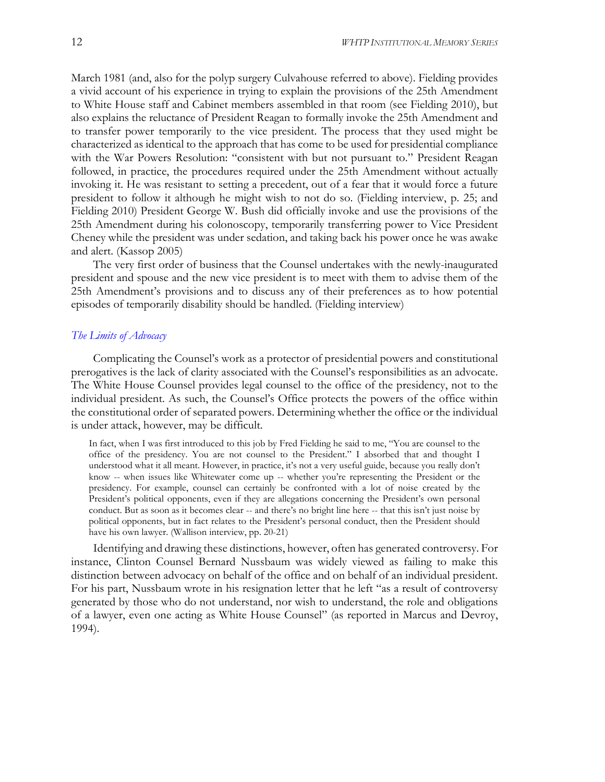March 1981 (and, also for the polyp surgery Culvahouse referred to above). Fielding provides a vivid account of his experience in trying to explain the provisions of the 25th Amendment to White House staff and Cabinet members assembled in that room (see Fielding 2010), but also explains the reluctance of President Reagan to formally invoke the 25th Amendment and to transfer power temporarily to the vice president. The process that they used might be characterized as identical to the approach that has come to be used for presidential compliance with the War Powers Resolution: "consistent with but not pursuant to." President Reagan followed, in practice, the procedures required under the 25th Amendment without actually invoking it. He was resistant to setting a precedent, out of a fear that it would force a future president to follow it although he might wish to not do so. (Fielding interview, p. 25; and Fielding 2010) President George W. Bush did officially invoke and use the provisions of the 25th Amendment during his colonoscopy, temporarily transferring power to Vice President Cheney while the president was under sedation, and taking back his power once he was awake and alert. (Kassop 2005)

The very first order of business that the Counsel undertakes with the newly-inaugurated president and spouse and the new vice president is to meet with them to advise them of the 25th Amendment's provisions and to discuss any of their preferences as to how potential episodes of temporarily disability should be handled. (Fielding interview)

#### *The Limits of Advocacy*

Complicating the Counsel's work as a protector of presidential powers and constitutional prerogatives is the lack of clarity associated with the Counsel's responsibilities as an advocate. The White House Counsel provides legal counsel to the office of the presidency, not to the individual president. As such, the Counsel's Office protects the powers of the office within the constitutional order of separated powers. Determining whether the office or the individual is under attack, however, may be difficult.

In fact, when I was first introduced to this job by Fred Fielding he said to me, "You are counsel to the office of the presidency. You are not counsel to the President." I absorbed that and thought I understood what it all meant. However, in practice, it's not a very useful guide, because you really don't know -- when issues like Whitewater come up -- whether you're representing the President or the presidency. For example, counsel can certainly be confronted with a lot of noise created by the President's political opponents, even if they are allegations concerning the President's own personal conduct. But as soon as it becomes clear -- and there's no bright line here -- that this isn't just noise by political opponents, but in fact relates to the President's personal conduct, then the President should have his own lawyer. (Wallison interview, pp. 20-21)

Identifying and drawing these distinctions, however, often has generated controversy. For instance, Clinton Counsel Bernard Nussbaum was widely viewed as failing to make this distinction between advocacy on behalf of the office and on behalf of an individual president. For his part, Nussbaum wrote in his resignation letter that he left "as a result of controversy generated by those who do not understand, nor wish to understand, the role and obligations of a lawyer, even one acting as White House Counsel" (as reported in Marcus and Devroy, 1994).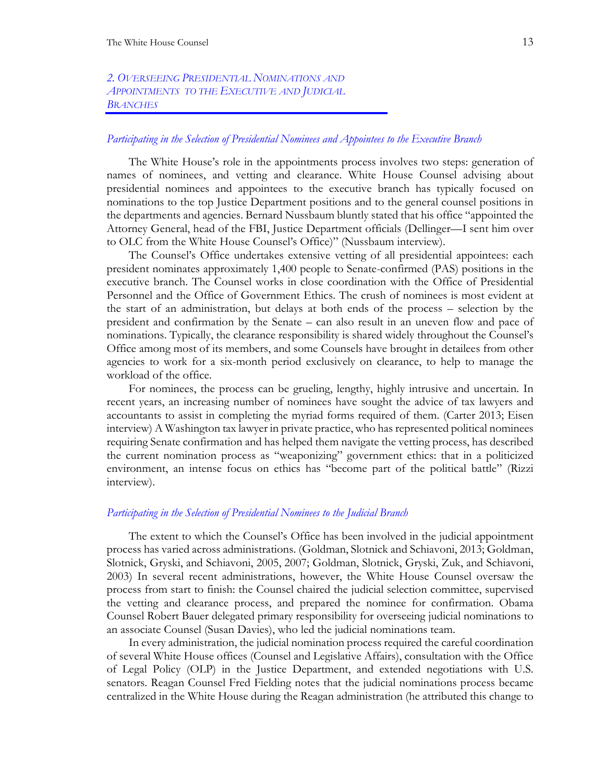*2. OVERSEEING PRESIDENTIAL NOMINATIONS AND APPOINTMENTS TO THE EXECUTIVE AND JUDICIAL BRANCHES* 

#### *Participating in the Selection of Presidential Nominees and Appointees to the Executive Branch*

The White House's role in the appointments process involves two steps: generation of names of nominees, and vetting and clearance. White House Counsel advising about presidential nominees and appointees to the executive branch has typically focused on nominations to the top Justice Department positions and to the general counsel positions in the departments and agencies. Bernard Nussbaum bluntly stated that his office "appointed the Attorney General, head of the FBI, Justice Department officials (Dellinger—I sent him over to OLC from the White House Counsel's Office)" (Nussbaum interview).

The Counsel's Office undertakes extensive vetting of all presidential appointees: each president nominates approximately 1,400 people to Senate-confirmed (PAS) positions in the executive branch. The Counsel works in close coordination with the Office of Presidential Personnel and the Office of Government Ethics. The crush of nominees is most evident at the start of an administration, but delays at both ends of the process – selection by the president and confirmation by the Senate – can also result in an uneven flow and pace of nominations. Typically, the clearance responsibility is shared widely throughout the Counsel's Office among most of its members, and some Counsels have brought in detailees from other agencies to work for a six-month period exclusively on clearance, to help to manage the workload of the office.

For nominees, the process can be grueling, lengthy, highly intrusive and uncertain. In recent years, an increasing number of nominees have sought the advice of tax lawyers and accountants to assist in completing the myriad forms required of them. (Carter 2013; Eisen interview) A Washington tax lawyer in private practice, who has represented political nominees requiring Senate confirmation and has helped them navigate the vetting process, has described the current nomination process as "weaponizing" government ethics: that in a politicized environment, an intense focus on ethics has "become part of the political battle" (Rizzi interview).

#### *Participating in the Selection of Presidential Nominees to the Judicial Branch*

The extent to which the Counsel's Office has been involved in the judicial appointment process has varied across administrations. (Goldman, Slotnick and Schiavoni, 2013; Goldman, Slotnick, Gryski, and Schiavoni, 2005, 2007; Goldman, Slotnick, Gryski, Zuk, and Schiavoni, 2003) In several recent administrations, however, the White House Counsel oversaw the process from start to finish: the Counsel chaired the judicial selection committee, supervised the vetting and clearance process, and prepared the nominee for confirmation. Obama Counsel Robert Bauer delegated primary responsibility for overseeing judicial nominations to an associate Counsel (Susan Davies), who led the judicial nominations team.

In every administration, the judicial nomination process required the careful coordination of several White House offices (Counsel and Legislative Affairs), consultation with the Office of Legal Policy (OLP) in the Justice Department, and extended negotiations with U.S. senators. Reagan Counsel Fred Fielding notes that the judicial nominations process became centralized in the White House during the Reagan administration (he attributed this change to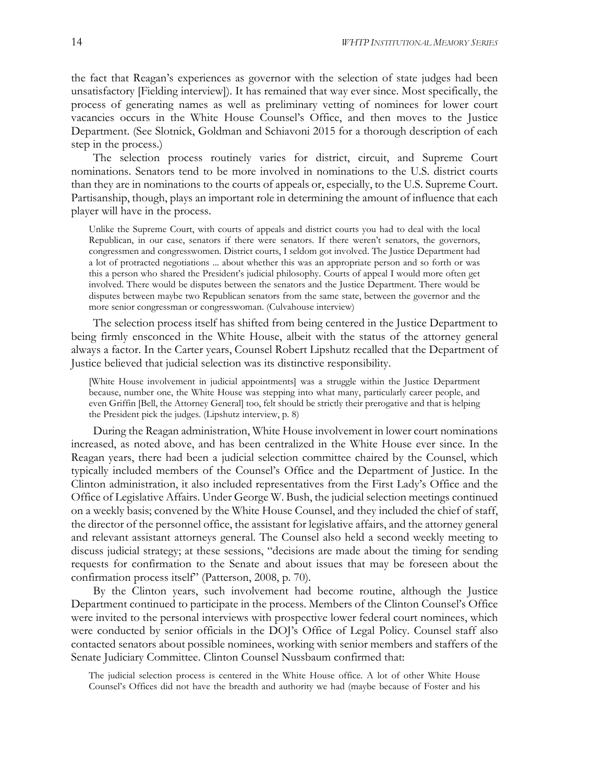the fact that Reagan's experiences as governor with the selection of state judges had been unsatisfactory [Fielding interview]). It has remained that way ever since. Most specifically, the process of generating names as well as preliminary vetting of nominees for lower court vacancies occurs in the White House Counsel's Office, and then moves to the Justice Department. (See Slotnick, Goldman and Schiavoni 2015 for a thorough description of each step in the process.)

The selection process routinely varies for district, circuit, and Supreme Court nominations. Senators tend to be more involved in nominations to the U.S. district courts than they are in nominations to the courts of appeals or, especially, to the U.S. Supreme Court. Partisanship, though, plays an important role in determining the amount of influence that each player will have in the process.

Unlike the Supreme Court, with courts of appeals and district courts you had to deal with the local Republican, in our case, senators if there were senators. If there weren't senators, the governors, congressmen and congresswomen. District courts, I seldom got involved. The Justice Department had a lot of protracted negotiations ... about whether this was an appropriate person and so forth or was this a person who shared the President's judicial philosophy. Courts of appeal I would more often get involved. There would be disputes between the senators and the Justice Department. There would be disputes between maybe two Republican senators from the same state, between the governor and the more senior congressman or congresswoman. (Culvahouse interview)

The selection process itself has shifted from being centered in the Justice Department to being firmly ensconced in the White House, albeit with the status of the attorney general always a factor. In the Carter years, Counsel Robert Lipshutz recalled that the Department of Justice believed that judicial selection was its distinctive responsibility.

[White House involvement in judicial appointments] was a struggle within the Justice Department because, number one, the White House was stepping into what many, particularly career people, and even Griffin [Bell, the Attorney General] too, felt should be strictly their prerogative and that is helping the President pick the judges. (Lipshutz interview, p. 8)

During the Reagan administration, White House involvement in lower court nominations increased, as noted above, and has been centralized in the White House ever since. In the Reagan years, there had been a judicial selection committee chaired by the Counsel, which typically included members of the Counsel's Office and the Department of Justice. In the Clinton administration, it also included representatives from the First Lady's Office and the Office of Legislative Affairs. Under George W. Bush, the judicial selection meetings continued on a weekly basis; convened by the White House Counsel, and they included the chief of staff, the director of the personnel office, the assistant for legislative affairs, and the attorney general and relevant assistant attorneys general. The Counsel also held a second weekly meeting to discuss judicial strategy; at these sessions, "decisions are made about the timing for sending requests for confirmation to the Senate and about issues that may be foreseen about the confirmation process itself" (Patterson, 2008, p. 70).

By the Clinton years, such involvement had become routine, although the Justice Department continued to participate in the process. Members of the Clinton Counsel's Office were invited to the personal interviews with prospective lower federal court nominees, which were conducted by senior officials in the DOJ's Office of Legal Policy. Counsel staff also contacted senators about possible nominees, working with senior members and staffers of the Senate Judiciary Committee. Clinton Counsel Nussbaum confirmed that:

The judicial selection process is centered in the White House office. A lot of other White House Counsel's Offices did not have the breadth and authority we had (maybe because of Foster and his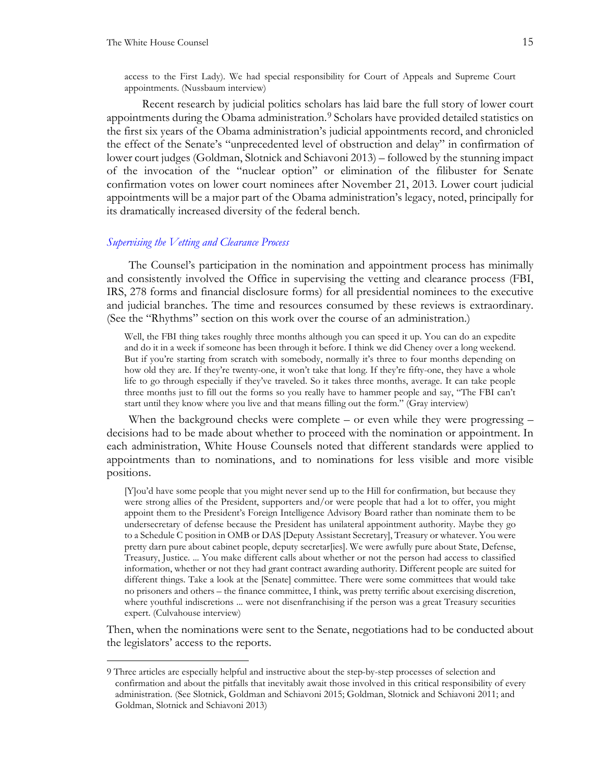access to the First Lady). We had special responsibility for Court of Appeals and Supreme Court appointments. (Nussbaum interview)

Recent research by judicial politics scholars has laid bare the full story of lower court appointments during the Obama administration.<sup>[9](#page-24-0)</sup> Scholars have provided detailed statistics on the first six years of the Obama administration's judicial appointments record, and chronicled the effect of the Senate's "unprecedented level of obstruction and delay" in confirmation of lower court judges (Goldman, Slotnick and Schiavoni 2013) – followed by the stunning impact of the invocation of the "nuclear option" or elimination of the filibuster for Senate confirmation votes on lower court nominees after November 21, 2013. Lower court judicial appointments will be a major part of the Obama administration's legacy, noted, principally for its dramatically increased diversity of the federal bench.

#### *Supervising the Vetting and Clearance Process*

The Counsel's participation in the nomination and appointment process has minimally and consistently involved the Office in supervising the vetting and clearance process (FBI, IRS, 278 forms and financial disclosure forms) for all presidential nominees to the executive and judicial branches. The time and resources consumed by these reviews is extraordinary. (See the ["Rhythms"](#page-50-0) section on this work over the course of an administration.)

Well, the FBI thing takes roughly three months although you can speed it up. You can do an expedite and do it in a week if someone has been through it before. I think we did Cheney over a long weekend. But if you're starting from scratch with somebody, normally it's three to four months depending on how old they are. If they're twenty-one, it won't take that long. If they're fifty-one, they have a whole life to go through especially if they've traveled. So it takes three months, average. It can take people three months just to fill out the forms so you really have to hammer people and say, "The FBI can't start until they know where you live and that means filling out the form." (Gray interview)

When the background checks were complete – or even while they were progressing – decisions had to be made about whether to proceed with the nomination or appointment. In each administration, White House Counsels noted that different standards were applied to appointments than to nominations, and to nominations for less visible and more visible positions.

[Y]ou'd have some people that you might never send up to the Hill for confirmation, but because they were strong allies of the President, supporters and/or were people that had a lot to offer, you might appoint them to the President's Foreign Intelligence Advisory Board rather than nominate them to be undersecretary of defense because the President has unilateral appointment authority. Maybe they go to a Schedule C position in OMB or DAS [Deputy Assistant Secretary], Treasury or whatever. You were pretty darn pure about cabinet people, deputy secretar[ies]. We were awfully pure about State, Defense, Treasury, Justice. ... You make different calls about whether or not the person had access to classified information, whether or not they had grant contract awarding authority. Different people are suited for different things. Take a look at the [Senate] committee. There were some committees that would take no prisoners and others – the finance committee, I think, was pretty terrific about exercising discretion, where youthful indiscretions ... were not disenfranchising if the person was a great Treasury securities expert. (Culvahouse interview)

Then, when the nominations were sent to the Senate, negotiations had to be conducted about the legislators' access to the reports.

<span id="page-24-0"></span><sup>9</sup> Three articles are especially helpful and instructive about the step-by-step processes of selection and confirmation and about the pitfalls that inevitably await those involved in this critical responsibility of every administration. (See Slotnick, Goldman and Schiavoni 2015; Goldman, Slotnick and Schiavoni 2011; and Goldman, Slotnick and Schiavoni 2013)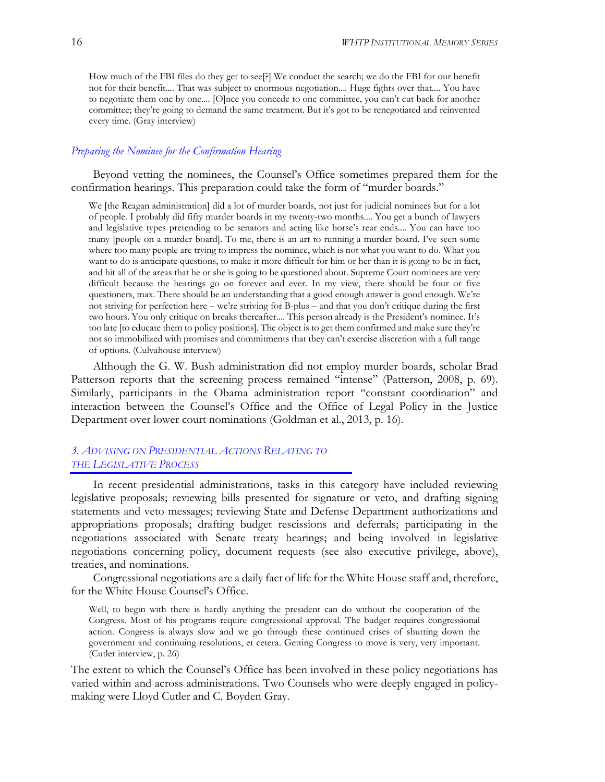How much of the FBI files do they get to see[?] We conduct the search; we do the FBI for our benefit not for their benefit.... That was subject to enormous negotiation.... Huge fights over that.... You have to negotiate them one by one.... [O]nce you concede to one committee, you can't cut back for another committee; they're going to demand the same treatment. But it's got to be renegotiated and reinvented every time. (Gray interview)

#### *Preparing the Nominee for the Confirmation Hearing*

Beyond vetting the nominees, the Counsel's Office sometimes prepared them for the confirmation hearings. This preparation could take the form of "murder boards."

We [the Reagan administration] did a lot of murder boards, not just for judicial nominees but for a lot of people. I probably did fifty murder boards in my twenty-two months.... You get a bunch of lawyers and legislative types pretending to be senators and acting like horse's rear ends.... You can have too many [people on a murder board]. To me, there is an art to running a murder board. I've seen some where too many people are trying to impress the nominee, which is not what you want to do. What you want to do is anticipate questions, to make it more difficult for him or her than it is going to be in fact, and hit all of the areas that he or she is going to be questioned about. Supreme Court nominees are very difficult because the hearings go on forever and ever. In my view, there should be four or five questioners, max. There should be an understanding that a good enough answer is good enough. We're not striving for perfection here – we're striving for B-plus – and that you don't critique during the first two hours. You only critique on breaks thereafter.... This person already is the President's nominee. It's too late [to educate them to policy positions]. The object is to get them confirmed and make sure they're not so immobilized with promises and commitments that they can't exercise discretion with a full range of options. (Culvahouse interview)

Although the G. W. Bush administration did not employ murder boards, scholar Brad Patterson reports that the screening process remained "intense" (Patterson, 2008, p. 69). Similarly, participants in the Obama administration report "constant coordination" and interaction between the Counsel's Office and the Office of Legal Policy in the Justice Department over lower court nominations (Goldman et al., 2013, p. 16).

## *3. ADVISING ON PRESIDENTIAL ACTIONS RELATING TO THE LEGISLATIVE PROCESS*

In recent presidential administrations, tasks in this category have included reviewing legislative proposals; reviewing bills presented for signature or veto, and drafting signing statements and veto messages; reviewing State and Defense Department authorizations and appropriations proposals; drafting budget rescissions and deferrals; participating in the negotiations associated with Senate treaty hearings; and being involved in legislative negotiations concerning policy, document requests (see also executive privilege, above), treaties, and nominations.

Congressional negotiations are a daily fact of life for the White House staff and, therefore, for the White House Counsel's Office.

Well, to begin with there is hardly anything the president can do without the cooperation of the Congress. Most of his programs require congressional approval. The budget requires congressional action. Congress is always slow and we go through these continued crises of shutting down the government and continuing resolutions, et cetera. Getting Congress to move is very, very important. (Cutler interview, p. 26)

The extent to which the Counsel's Office has been involved in these policy negotiations has varied within and across administrations. Two Counsels who were deeply engaged in policymaking were Lloyd Cutler and C. Boyden Gray.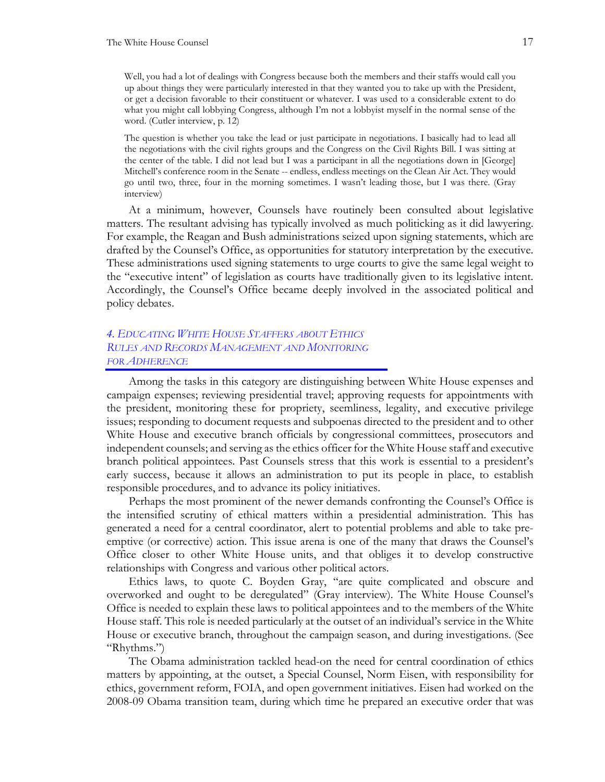Well, you had a lot of dealings with Congress because both the members and their staffs would call you up about things they were particularly interested in that they wanted you to take up with the President, or get a decision favorable to their constituent or whatever. I was used to a considerable extent to do what you might call lobbying Congress, although I'm not a lobbyist myself in the normal sense of the word. (Cutler interview, p. 12)

The question is whether you take the lead or just participate in negotiations. I basically had to lead all the negotiations with the civil rights groups and the Congress on the Civil Rights Bill. I was sitting at the center of the table. I did not lead but I was a participant in all the negotiations down in [George] Mitchell's conference room in the Senate -- endless, endless meetings on the Clean Air Act. They would go until two, three, four in the morning sometimes. I wasn't leading those, but I was there. (Gray interview)

At a minimum, however, Counsels have routinely been consulted about legislative matters. The resultant advising has typically involved as much politicking as it did lawyering. For example, the Reagan and Bush administrations seized upon signing statements, which are drafted by the Counsel's Office, as opportunities for statutory interpretation by the executive. These administrations used signing statements to urge courts to give the same legal weight to the "executive intent" of legislation as courts have traditionally given to its legislative intent. Accordingly, the Counsel's Office became deeply involved in the associated political and policy debates.

## *4. EDUCATING WHITE HOUSE STAFFERS ABOUT ETHICS RULES AND RECORDS MANAGEMENT AND MONITORING FOR ADHERENCE*

Among the tasks in this category are distinguishing between White House expenses and campaign expenses; reviewing presidential travel; approving requests for appointments with the president, monitoring these for propriety, seemliness, legality, and executive privilege issues; responding to document requests and subpoenas directed to the president and to other White House and executive branch officials by congressional committees, prosecutors and independent counsels; and serving as the ethics officer for the White House staff and executive branch political appointees. Past Counsels stress that this work is essential to a president's early success, because it allows an administration to put its people in place, to establish responsible procedures, and to advance its policy initiatives.

Perhaps the most prominent of the newer demands confronting the Counsel's Office is the intensified scrutiny of ethical matters within a presidential administration. This has generated a need for a central coordinator, alert to potential problems and able to take preemptive (or corrective) action. This issue arena is one of the many that draws the Counsel's Office closer to other White House units, and that obliges it to develop constructive relationships with Congress and various other political actors.

Ethics laws, to quote C. Boyden Gray, "are quite complicated and obscure and overworked and ought to be deregulated" (Gray interview). The White House Counsel's Office is needed to explain these laws to political appointees and to the members of the White House staff. This role is needed particularly at the outset of an individual's service in the White House or executive branch, throughout the campaign season, and during investigations. (See ["Rhythms.](#page-50-0)")

The Obama administration tackled head-on the need for central coordination of ethics matters by appointing, at the outset, a Special Counsel, Norm Eisen, with responsibility for ethics, government reform, FOIA, and open government initiatives. Eisen had worked on the 2008-09 Obama transition team, during which time he prepared an executive order that was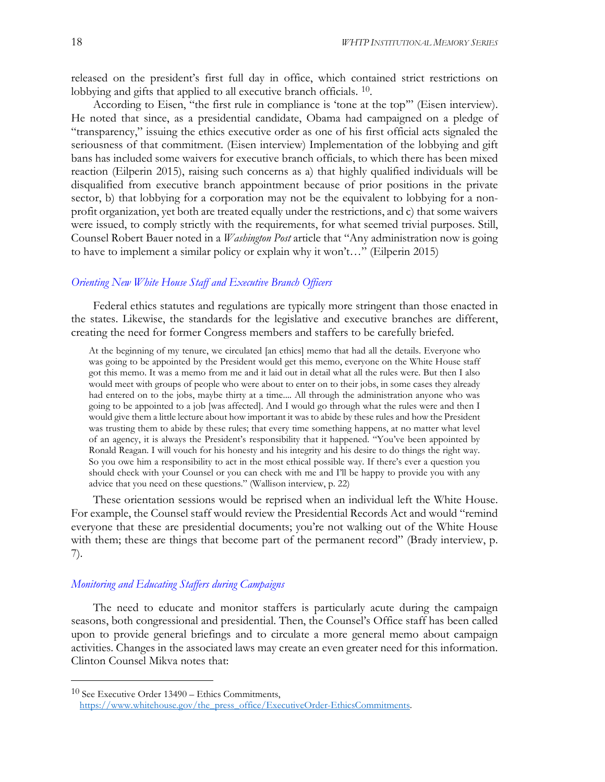released on the president's first full day in office, which contained strict restrictions on lobbying and gifts that applied to all executive branch officials. [10](#page-27-0).

According to Eisen, "the first rule in compliance is 'tone at the top'" (Eisen interview). He noted that since, as a presidential candidate, Obama had campaigned on a pledge of "transparency," issuing the ethics executive order as one of his first official acts signaled the seriousness of that commitment. (Eisen interview) Implementation of the lobbying and gift bans has included some waivers for executive branch officials, to which there has been mixed reaction (Eilperin 2015), raising such concerns as a) that highly qualified individuals will be disqualified from executive branch appointment because of prior positions in the private sector, b) that lobbying for a corporation may not be the equivalent to lobbying for a nonprofit organization, yet both are treated equally under the restrictions, and c) that some waivers were issued, to comply strictly with the requirements, for what seemed trivial purposes. Still, Counsel Robert Bauer noted in a *Washington Post* article that "Any administration now is going to have to implement a similar policy or explain why it won't…" (Eilperin 2015)

#### *Orienting New White House Staff and Executive Branch Officers*

Federal ethics statutes and regulations are typically more stringent than those enacted in the states. Likewise, the standards for the legislative and executive branches are different, creating the need for former Congress members and staffers to be carefully briefed.

At the beginning of my tenure, we circulated [an ethics] memo that had all the details. Everyone who was going to be appointed by the President would get this memo, everyone on the White House staff got this memo. It was a memo from me and it laid out in detail what all the rules were. But then I also would meet with groups of people who were about to enter on to their jobs, in some cases they already had entered on to the jobs, maybe thirty at a time.... All through the administration anyone who was going to be appointed to a job [was affected]. And I would go through what the rules were and then I would give them a little lecture about how important it was to abide by these rules and how the President was trusting them to abide by these rules; that every time something happens, at no matter what level of an agency, it is always the President's responsibility that it happened. "You've been appointed by Ronald Reagan. I will vouch for his honesty and his integrity and his desire to do things the right way. So you owe him a responsibility to act in the most ethical possible way. If there's ever a question you should check with your Counsel or you can check with me and I'll be happy to provide you with any advice that you need on these questions." (Wallison interview, p. 22)

These orientation sessions would be reprised when an individual left the White House. For example, the Counsel staff would review the Presidential Records Act and would "remind everyone that these are presidential documents; you're not walking out of the White House with them; these are things that become part of the permanent record" (Brady interview, p. 7).

#### *Monitoring and Educating Staffers during Campaigns*

The need to educate and monitor staffers is particularly acute during the campaign seasons, both congressional and presidential. Then, the Counsel's Office staff has been called upon to provide general briefings and to circulate a more general memo about campaign activities. Changes in the associated laws may create an even greater need for this information. Clinton Counsel Mikva notes that:

<span id="page-27-0"></span><sup>10</sup> See Executive Order 13490 – Ethics Commitments, [https://www.whitehouse.gov/the\\_press\\_office/ExecutiveOrder-EthicsCommitments.](https://www.whitehouse.gov/the_press_office/ExecutiveOrder-EthicsCommitments)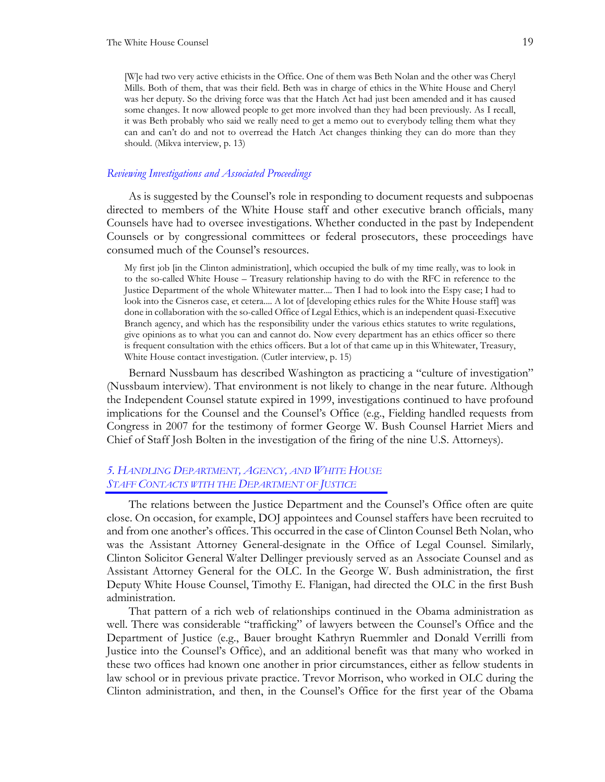[W]e had two very active ethicists in the Office. One of them was Beth Nolan and the other was Cheryl Mills. Both of them, that was their field. Beth was in charge of ethics in the White House and Cheryl was her deputy. So the driving force was that the Hatch Act had just been amended and it has caused some changes. It now allowed people to get more involved than they had been previously. As I recall, it was Beth probably who said we really need to get a memo out to everybody telling them what they can and can't do and not to overread the Hatch Act changes thinking they can do more than they should. (Mikva interview, p. 13)

#### *Reviewing Investigations and Associated Proceedings*

As is suggested by the Counsel's role in responding to document requests and subpoenas directed to members of the White House staff and other executive branch officials, many Counsels have had to oversee investigations. Whether conducted in the past by Independent Counsels or by congressional committees or federal prosecutors, these proceedings have consumed much of the Counsel's resources.

My first job [in the Clinton administration], which occupied the bulk of my time really, was to look in to the so-called White House – Treasury relationship having to do with the RFC in reference to the Justice Department of the whole Whitewater matter.... Then I had to look into the Espy case; I had to look into the Cisneros case, et cetera.... A lot of [developing ethics rules for the White House staff] was done in collaboration with the so-called Office of Legal Ethics, which is an independent quasi-Executive Branch agency, and which has the responsibility under the various ethics statutes to write regulations, give opinions as to what you can and cannot do. Now every department has an ethics officer so there is frequent consultation with the ethics officers. But a lot of that came up in this Whitewater, Treasury, White House contact investigation. (Cutler interview, p. 15)

Bernard Nussbaum has described Washington as practicing a "culture of investigation" (Nussbaum interview). That environment is not likely to change in the near future. Although the Independent Counsel statute expired in 1999, investigations continued to have profound implications for the Counsel and the Counsel's Office (e.g., Fielding handled requests from Congress in 2007 for the testimony of former George W. Bush Counsel Harriet Miers and Chief of Staff Josh Bolten in the investigation of the firing of the nine U.S. Attorneys).

## *5. HANDLING DEPARTMENT, AGENCY, AND WHITE HOUSE STAFF CONTACTS WITH THE DEPARTMENT OF JUSTICE*

The relations between the Justice Department and the Counsel's Office often are quite close. On occasion, for example, DOJ appointees and Counsel staffers have been recruited to and from one another's offices. This occurred in the case of Clinton Counsel Beth Nolan, who was the Assistant Attorney General-designate in the Office of Legal Counsel. Similarly, Clinton Solicitor General Walter Dellinger previously served as an Associate Counsel and as Assistant Attorney General for the OLC. In the George W. Bush administration, the first Deputy White House Counsel, Timothy E. Flanigan, had directed the OLC in the first Bush administration.

That pattern of a rich web of relationships continued in the Obama administration as well. There was considerable "trafficking" of lawyers between the Counsel's Office and the Department of Justice (e.g., Bauer brought Kathryn Ruemmler and Donald Verrilli from Justice into the Counsel's Office), and an additional benefit was that many who worked in these two offices had known one another in prior circumstances, either as fellow students in law school or in previous private practice. Trevor Morrison, who worked in OLC during the Clinton administration, and then, in the Counsel's Office for the first year of the Obama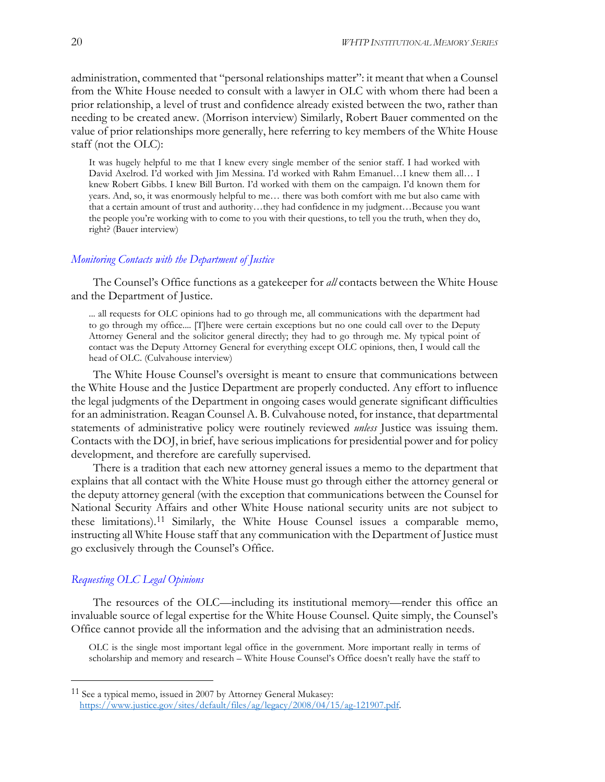administration, commented that "personal relationships matter": it meant that when a Counsel from the White House needed to consult with a lawyer in OLC with whom there had been a prior relationship, a level of trust and confidence already existed between the two, rather than needing to be created anew. (Morrison interview) Similarly, Robert Bauer commented on the value of prior relationships more generally, here referring to key members of the White House staff (not the OLC):

It was hugely helpful to me that I knew every single member of the senior staff. I had worked with David Axelrod. I'd worked with Jim Messina. I'd worked with Rahm Emanuel…I knew them all… I knew Robert Gibbs. I knew Bill Burton. I'd worked with them on the campaign. I'd known them for years. And, so, it was enormously helpful to me… there was both comfort with me but also came with that a certain amount of trust and authority…they had confidence in my judgment…Because you want the people you're working with to come to you with their questions, to tell you the truth, when they do, right? (Bauer interview)

#### *Monitoring Contacts with the Department of Justice*

The Counsel's Office functions as a gatekeeper for *all* contacts between the White House and the Department of Justice.

... all requests for OLC opinions had to go through me, all communications with the department had to go through my office.... [T]here were certain exceptions but no one could call over to the Deputy Attorney General and the solicitor general directly; they had to go through me. My typical point of contact was the Deputy Attorney General for everything except OLC opinions, then, I would call the head of OLC. (Culvahouse interview)

The White House Counsel's oversight is meant to ensure that communications between the White House and the Justice Department are properly conducted. Any effort to influence the legal judgments of the Department in ongoing cases would generate significant difficulties for an administration. Reagan Counsel A. B. Culvahouse noted, for instance, that departmental statements of administrative policy were routinely reviewed *unless* Justice was issuing them. Contacts with the DOJ, in brief, have serious implications for presidential power and for policy development, and therefore are carefully supervised.

There is a tradition that each new attorney general issues a memo to the department that explains that all contact with the White House must go through either the attorney general or the deputy attorney general (with the exception that communications between the Counsel for National Security Affairs and other White House national security units are not subject to these limitations).[11](#page-29-0) Similarly, the White House Counsel issues a comparable memo, instructing all White House staff that any communication with the Department of Justice must go exclusively through the Counsel's Office.

#### *Requesting OLC Legal Opinions*

The resources of the OLC—including its institutional memory—render this office an invaluable source of legal expertise for the White House Counsel. Quite simply, the Counsel's Office cannot provide all the information and the advising that an administration needs.

OLC is the single most important legal office in the government. More important really in terms of scholarship and memory and research – White House Counsel's Office doesn't really have the staff to

<span id="page-29-0"></span><sup>11</sup> See a typical memo, issued in 2007 by Attorney General Mukasey: [https://www.justice.gov/sites/default/files/ag/legacy/2008/04/15/ag-121907.pdf.](https://www.justice.gov/sites/default/files/ag/legacy/2008/04/15/ag-121907.pdf))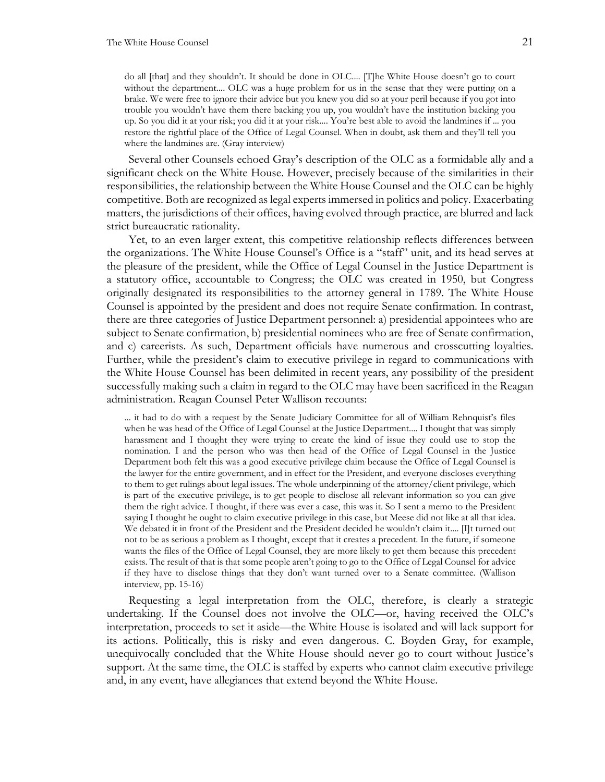do all [that] and they shouldn't. It should be done in OLC.... [T]he White House doesn't go to court without the department.... OLC was a huge problem for us in the sense that they were putting on a brake. We were free to ignore their advice but you knew you did so at your peril because if you got into trouble you wouldn't have them there backing you up, you wouldn't have the institution backing you up. So you did it at your risk; you did it at your risk.... You're best able to avoid the landmines if ... you restore the rightful place of the Office of Legal Counsel. When in doubt, ask them and they'll tell you where the landmines are. (Gray interview)

Several other Counsels echoed Gray's description of the OLC as a formidable ally and a significant check on the White House. However, precisely because of the similarities in their responsibilities, the relationship between the White House Counsel and the OLC can be highly competitive. Both are recognized as legal experts immersed in politics and policy. Exacerbating matters, the jurisdictions of their offices, having evolved through practice, are blurred and lack strict bureaucratic rationality.

Yet, to an even larger extent, this competitive relationship reflects differences between the organizations. The White House Counsel's Office is a "staff" unit, and its head serves at the pleasure of the president, while the Office of Legal Counsel in the Justice Department is a statutory office, accountable to Congress; the OLC was created in 1950, but Congress originally designated its responsibilities to the attorney general in 1789. The White House Counsel is appointed by the president and does not require Senate confirmation. In contrast, there are three categories of Justice Department personnel: a) presidential appointees who are subject to Senate confirmation, b) presidential nominees who are free of Senate confirmation, and c) careerists. As such, Department officials have numerous and crosscutting loyalties. Further, while the president's claim to executive privilege in regard to communications with the White House Counsel has been delimited in recent years, any possibility of the president successfully making such a claim in regard to the OLC may have been sacrificed in the Reagan administration. Reagan Counsel Peter Wallison recounts:

... it had to do with a request by the Senate Judiciary Committee for all of William Rehnquist's files when he was head of the Office of Legal Counsel at the Justice Department.... I thought that was simply harassment and I thought they were trying to create the kind of issue they could use to stop the nomination. I and the person who was then head of the Office of Legal Counsel in the Justice Department both felt this was a good executive privilege claim because the Office of Legal Counsel is the lawyer for the entire government, and in effect for the President, and everyone discloses everything to them to get rulings about legal issues. The whole underpinning of the attorney/client privilege, which is part of the executive privilege, is to get people to disclose all relevant information so you can give them the right advice. I thought, if there was ever a case, this was it. So I sent a memo to the President saying I thought he ought to claim executive privilege in this case, but Meese did not like at all that idea. We debated it in front of the President and the President decided he wouldn't claim it.... [I]t turned out not to be as serious a problem as I thought, except that it creates a precedent. In the future, if someone wants the files of the Office of Legal Counsel, they are more likely to get them because this precedent exists. The result of that is that some people aren't going to go to the Office of Legal Counsel for advice if they have to disclose things that they don't want turned over to a Senate committee. (Wallison interview, pp. 15-16)

Requesting a legal interpretation from the OLC, therefore, is clearly a strategic undertaking. If the Counsel does not involve the OLC—or, having received the OLC's interpretation, proceeds to set it aside—the White House is isolated and will lack support for its actions. Politically, this is risky and even dangerous. C. Boyden Gray, for example, unequivocally concluded that the White House should never go to court without Justice's support. At the same time, the OLC is staffed by experts who cannot claim executive privilege and, in any event, have allegiances that extend beyond the White House.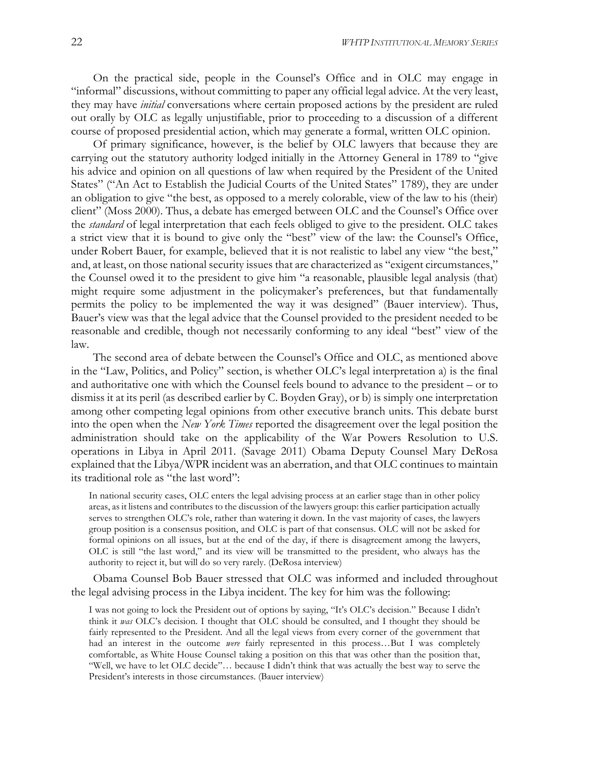On the practical side, people in the Counsel's Office and in OLC may engage in "informal" discussions, without committing to paper any official legal advice. At the very least, they may have *initial* conversations where certain proposed actions by the president are ruled out orally by OLC as legally unjustifiable, prior to proceeding to a discussion of a different course of proposed presidential action, which may generate a formal, written OLC opinion.

Of primary significance, however, is the belief by OLC lawyers that because they are carrying out the statutory authority lodged initially in the Attorney General in 1789 to "give his advice and opinion on all questions of law when required by the President of the United States" ("An Act to Establish the Judicial Courts of the United States" 1789), they are under an obligation to give "the best, as opposed to a merely colorable, view of the law to his (their) client" (Moss 2000). Thus, a debate has emerged between OLC and the Counsel's Office over the *standard* of legal interpretation that each feels obliged to give to the president. OLC takes a strict view that it is bound to give only the "best" view of the law: the Counsel's Office, under Robert Bauer, for example, believed that it is not realistic to label any view "the best," and, at least, on those national security issues that are characterized as "exigent circumstances," the Counsel owed it to the president to give him "a reasonable, plausible legal analysis (that) might require some adjustment in the policymaker's preferences, but that fundamentally permits the policy to be implemented the way it was designed" (Bauer interview). Thus, Bauer's view was that the legal advice that the Counsel provided to the president needed to be reasonable and credible, though not necessarily conforming to any ideal "best" view of the law.

The second area of debate between the Counsel's Office and OLC, as mentioned above in the ["Law, Politics, and Policy"](#page-14-0) section, is whether OLC's legal interpretation a) is the final and authoritative one with which the Counsel feels bound to advance to the president – or to dismiss it at its peril (as described earlier by C. Boyden Gray), or b) is simply one interpretation among other competing legal opinions from other executive branch units. This debate burst into the open when the *New York Times* reported the disagreement over the legal position the administration should take on the applicability of the War Powers Resolution to U.S. operations in Libya in April 2011. (Savage 2011) Obama Deputy Counsel Mary DeRosa explained that the Libya/WPR incident was an aberration, and that OLC continues to maintain its traditional role as "the last word":

In national security cases, OLC enters the legal advising process at an earlier stage than in other policy areas, as it listens and contributes to the discussion of the lawyers group: this earlier participation actually serves to strengthen OLC's role, rather than watering it down. In the vast majority of cases, the lawyers group position is a consensus position, and OLC is part of that consensus. OLC will not be asked for formal opinions on all issues, but at the end of the day, if there is disagreement among the lawyers, OLC is still "the last word," and its view will be transmitted to the president, who always has the authority to reject it, but will do so very rarely. (DeRosa interview)

Obama Counsel Bob Bauer stressed that OLC was informed and included throughout the legal advising process in the Libya incident. The key for him was the following:

I was not going to lock the President out of options by saying, "It's OLC's decision." Because I didn't think it *was* OLC's decision. I thought that OLC should be consulted, and I thought they should be fairly represented to the President. And all the legal views from every corner of the government that had an interest in the outcome *were* fairly represented in this process…But I was completely comfortable, as White House Counsel taking a position on this that was other than the position that, "Well, we have to let OLC decide"… because I didn't think that was actually the best way to serve the President's interests in those circumstances. (Bauer interview)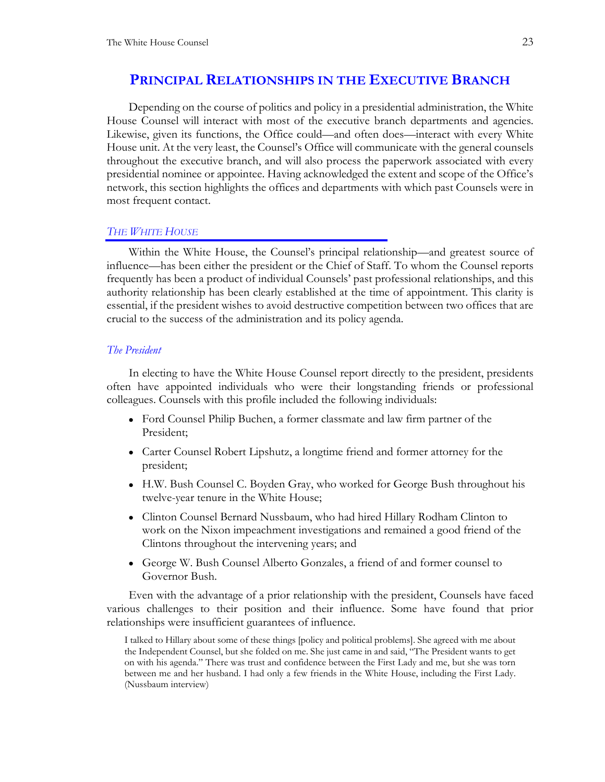## <span id="page-32-0"></span>**PRINCIPAL RELATIONSHIPS IN THE EXECUTIVE BRANCH**

Depending on the course of politics and policy in a presidential administration, the White House Counsel will interact with most of the executive branch departments and agencies. Likewise, given its functions, the Office could—and often does—interact with every White House unit. At the very least, the Counsel's Office will communicate with the general counsels throughout the executive branch, and will also process the paperwork associated with every presidential nominee or appointee. Having acknowledged the extent and scope of the Office's network, this section highlights the offices and departments with which past Counsels were in most frequent contact.

#### *THE WHITE HOUSE*

Within the White House, the Counsel's principal relationship—and greatest source of influence—has been either the president or the Chief of Staff. To whom the Counsel reports frequently has been a product of individual Counsels' past professional relationships, and this authority relationship has been clearly established at the time of appointment. This clarity is essential, if the president wishes to avoid destructive competition between two offices that are crucial to the success of the administration and its policy agenda.

#### *The President*

In electing to have the White House Counsel report directly to the president, presidents often have appointed individuals who were their longstanding friends or professional colleagues. Counsels with this profile included the following individuals:

- Ford Counsel Philip Buchen, a former classmate and law firm partner of the President;
- Carter Counsel Robert Lipshutz, a longtime friend and former attorney for the president;
- H.W. Bush Counsel C. Boyden Gray, who worked for George Bush throughout his twelve-year tenure in the White House;
- Clinton Counsel Bernard Nussbaum, who had hired Hillary Rodham Clinton to work on the Nixon impeachment investigations and remained a good friend of the Clintons throughout the intervening years; and
- George W. Bush Counsel Alberto Gonzales, a friend of and former counsel to Governor Bush.

Even with the advantage of a prior relationship with the president, Counsels have faced various challenges to their position and their influence. Some have found that prior relationships were insufficient guarantees of influence.

I talked to Hillary about some of these things [policy and political problems]. She agreed with me about the Independent Counsel, but she folded on me. She just came in and said, "The President wants to get on with his agenda." There was trust and confidence between the First Lady and me, but she was torn between me and her husband. I had only a few friends in the White House, including the First Lady. (Nussbaum interview)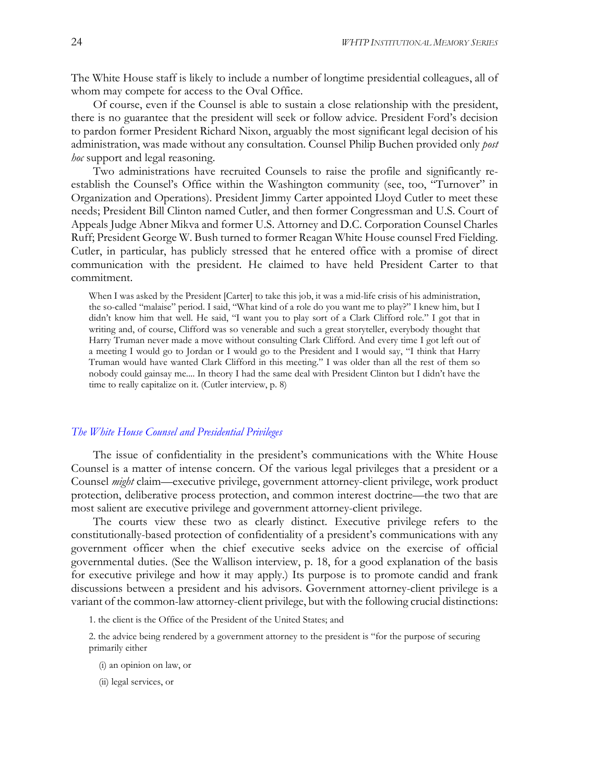The White House staff is likely to include a number of longtime presidential colleagues, all of whom may compete for access to the Oval Office.

Of course, even if the Counsel is able to sustain a close relationship with the president, there is no guarantee that the president will seek or follow advice. President Ford's decision to pardon former President Richard Nixon, arguably the most significant legal decision of his administration, was made without any consultation. Counsel Philip Buchen provided only *post hoc* support and legal reasoning.

Two administrations have recruited Counsels to raise the profile and significantly reestablish the Counsel's Office within the Washington community (see, too, "Turnover" in [Organization and Operations\)](#page-47-0). President Jimmy Carter appointed Lloyd Cutler to meet these needs; President Bill Clinton named Cutler, and then former Congressman and U.S. Court of Appeals Judge Abner Mikva and former U.S. Attorney and D.C. Corporation Counsel Charles Ruff; President George W. Bush turned to former Reagan White House counsel Fred Fielding. Cutler, in particular, has publicly stressed that he entered office with a promise of direct communication with the president. He claimed to have held President Carter to that commitment.

When I was asked by the President [Carter] to take this job, it was a mid-life crisis of his administration, the so-called "malaise" period. I said, "What kind of a role do you want me to play?" I knew him, but I didn't know him that well. He said, "I want you to play sort of a Clark Clifford role." I got that in writing and, of course, Clifford was so venerable and such a great storyteller, everybody thought that Harry Truman never made a move without consulting Clark Clifford. And every time I got left out of a meeting I would go to Jordan or I would go to the President and I would say, "I think that Harry Truman would have wanted Clark Clifford in this meeting." I was older than all the rest of them so nobody could gainsay me.... In theory I had the same deal with President Clinton but I didn't have the time to really capitalize on it. (Cutler interview, p. 8)

#### *The White House Counsel and Presidential Privileges*

The issue of confidentiality in the president's communications with the White House Counsel is a matter of intense concern. Of the various legal privileges that a president or a Counsel *might* claim—executive privilege, government attorney-client privilege, work product protection, deliberative process protection, and common interest doctrine—the two that are most salient are executive privilege and government attorney-client privilege.

The courts view these two as clearly distinct. Executive privilege refers to the constitutionally-based protection of confidentiality of a president's communications with any government officer when the chief executive seeks advice on the exercise of official governmental duties. (See the Wallison interview, p. 18, for a good explanation of the basis for executive privilege and how it may apply.) Its purpose is to promote candid and frank discussions between a president and his advisors. Government attorney-client privilege is a variant of the common-law attorney-client privilege, but with the following crucial distinctions:

1. the client is the Office of the President of the United States; and

- 2. the advice being rendered by a government attorney to the president is "for the purpose of securing primarily either
	- (i) an opinion on law, or
	- (ii) legal services, or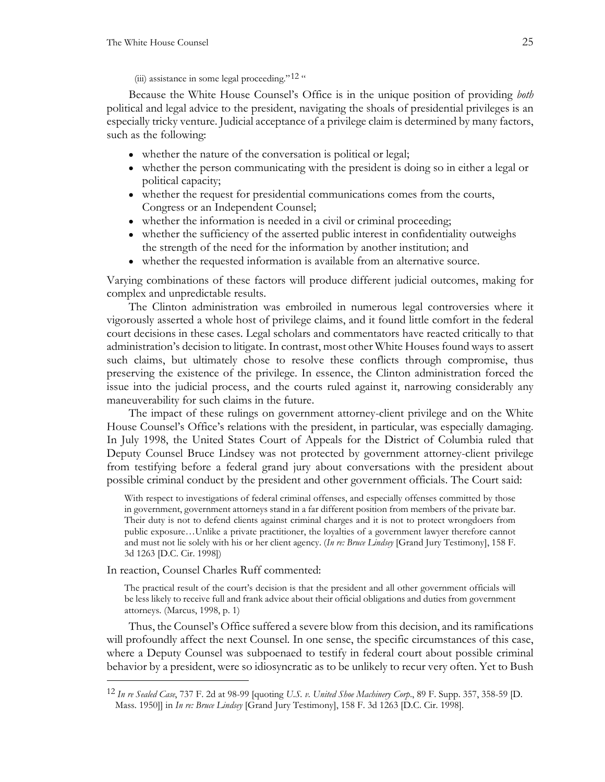(iii) assistance in some legal proceeding." $12 \alpha$  $12 \alpha$ 

Because the White House Counsel's Office is in the unique position of providing *both*  political and legal advice to the president, navigating the shoals of presidential privileges is an especially tricky venture. Judicial acceptance of a privilege claim is determined by many factors, such as the following:

- whether the nature of the conversation is political or legal;
- whether the person communicating with the president is doing so in either a legal or political capacity;
- whether the request for presidential communications comes from the courts, Congress or an Independent Counsel;
- whether the information is needed in a civil or criminal proceeding;
- whether the sufficiency of the asserted public interest in confidentiality outweighs the strength of the need for the information by another institution; and
- whether the requested information is available from an alternative source.

Varying combinations of these factors will produce different judicial outcomes, making for complex and unpredictable results.

The Clinton administration was embroiled in numerous legal controversies where it vigorously asserted a whole host of privilege claims, and it found little comfort in the federal court decisions in these cases. Legal scholars and commentators have reacted critically to that administration's decision to litigate. In contrast, most other White Houses found ways to assert such claims, but ultimately chose to resolve these conflicts through compromise, thus preserving the existence of the privilege. In essence, the Clinton administration forced the issue into the judicial process, and the courts ruled against it, narrowing considerably any maneuverability for such claims in the future.

The impact of these rulings on government attorney-client privilege and on the White House Counsel's Office's relations with the president, in particular, was especially damaging. In July 1998, the United States Court of Appeals for the District of Columbia ruled that Deputy Counsel Bruce Lindsey was not protected by government attorney-client privilege from testifying before a federal grand jury about conversations with the president about possible criminal conduct by the president and other government officials. The Court said:

With respect to investigations of federal criminal offenses, and especially offenses committed by those in government, government attorneys stand in a far different position from members of the private bar. Their duty is not to defend clients against criminal charges and it is not to protect wrongdoers from public exposure…Unlike a private practitioner, the loyalties of a government lawyer therefore cannot and must not lie solely with his or her client agency. (*In re: Bruce Lindsey* [Grand Jury Testimony], 158 F. 3d 1263 [D.C. Cir. 1998])

In reaction, Counsel Charles Ruff commented:

The practical result of the court's decision is that the president and all other government officials will be less likely to receive full and frank advice about their official obligations and duties from government attorneys. (Marcus, 1998, p. 1)

Thus, the Counsel's Office suffered a severe blow from this decision, and its ramifications will profoundly affect the next Counsel. In one sense, the specific circumstances of this case, where a Deputy Counsel was subpoenaed to testify in federal court about possible criminal behavior by a president, were so idiosyncratic as to be unlikely to recur very often. Yet to Bush

<span id="page-34-0"></span><sup>12</sup> *In re Sealed Case*, 737 F. 2d at 98-99 [quoting *U.S. v. United Shoe Machinery Corp*., 89 F. Supp. 357, 358-59 [D. Mass. 1950]] in *In re: Bruce Lindsey* [Grand Jury Testimony], 158 F. 3d 1263 [D.C. Cir. 1998].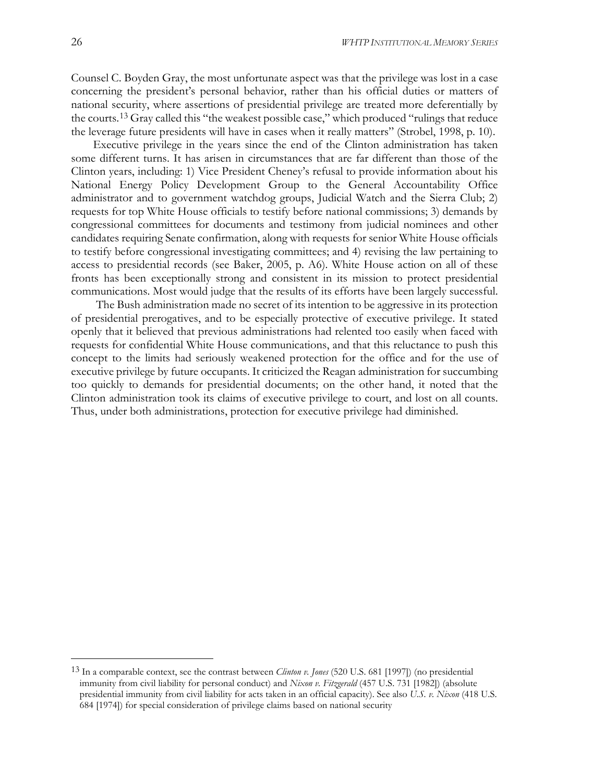Counsel C. Boyden Gray, the most unfortunate aspect was that the privilege was lost in a case concerning the president's personal behavior, rather than his official duties or matters of national security, where assertions of presidential privilege are treated more deferentially by the courts.[13](#page-35-0) Gray called this "the weakest possible case," which produced "rulings that reduce the leverage future presidents will have in cases when it really matters" (Strobel, 1998, p. 10).

Executive privilege in the years since the end of the Clinton administration has taken some different turns. It has arisen in circumstances that are far different than those of the Clinton years, including: 1) Vice President Cheney's refusal to provide information about his National Energy Policy Development Group to the General Accountability Office administrator and to government watchdog groups, Judicial Watch and the Sierra Club; 2) requests for top White House officials to testify before national commissions; 3) demands by congressional committees for documents and testimony from judicial nominees and other candidates requiring Senate confirmation, along with requests for senior White House officials to testify before congressional investigating committees; and 4) revising the law pertaining to access to presidential records (see Baker, 2005, p. A6). White House action on all of these fronts has been exceptionally strong and consistent in its mission to protect presidential communications. Most would judge that the results of its efforts have been largely successful.

The Bush administration made no secret of its intention to be aggressive in its protection of presidential prerogatives, and to be especially protective of executive privilege. It stated openly that it believed that previous administrations had relented too easily when faced with requests for confidential White House communications, and that this reluctance to push this concept to the limits had seriously weakened protection for the office and for the use of executive privilege by future occupants. It criticized the Reagan administration for succumbing too quickly to demands for presidential documents; on the other hand, it noted that the Clinton administration took its claims of executive privilege to court, and lost on all counts. Thus, under both administrations, protection for executive privilege had diminished.

<span id="page-35-0"></span><sup>13</sup> In a comparable context, see the contrast between *Clinton v. Jones* (520 U.S. 681 [1997]) (no presidential immunity from civil liability for personal conduct) and *Nixon v. Fitzgerald* (457 U.S. 731 [1982]) (absolute presidential immunity from civil liability for acts taken in an official capacity). See also *U.S. v. Nixon* (418 U.S. 684 [1974]) for special consideration of privilege claims based on national security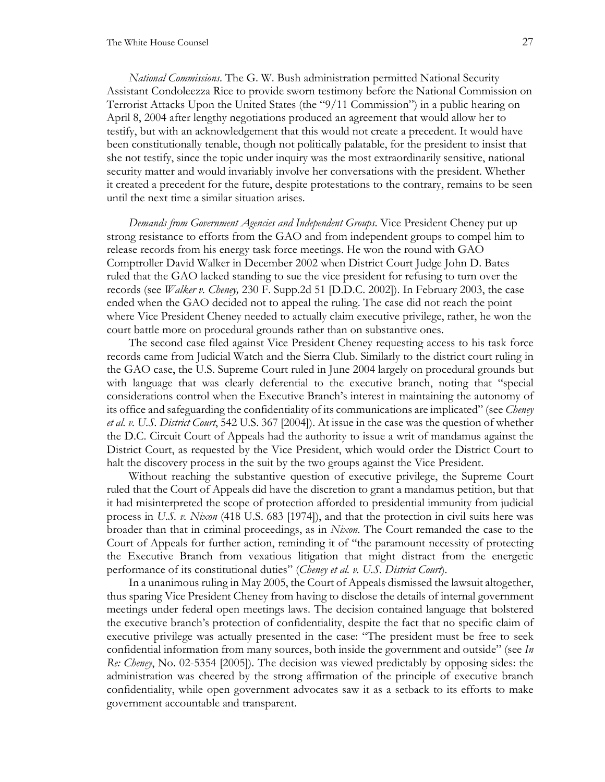*National Commissions*. The G. W. Bush administration permitted National Security Assistant Condoleezza Rice to provide sworn testimony before the National Commission on Terrorist Attacks Upon the United States (the "9/11 Commission") in a public hearing on April 8, 2004 after lengthy negotiations produced an agreement that would allow her to testify, but with an acknowledgement that this would not create a precedent. It would have been constitutionally tenable, though not politically palatable, for the president to insist that she not testify, since the topic under inquiry was the most extraordinarily sensitive, national security matter and would invariably involve her conversations with the president. Whether it created a precedent for the future, despite protestations to the contrary, remains to be seen until the next time a similar situation arises.

*Demands from Government Agencies and Independent Groups*. Vice President Cheney put up strong resistance to efforts from the GAO and from independent groups to compel him to release records from his energy task force meetings. He won the round with GAO Comptroller David Walker in December 2002 when District Court Judge John D. Bates ruled that the GAO lacked standing to sue the vice president for refusing to turn over the records (see *Walker v. Cheney,* 230 F. Supp.2d 51 [D.D.C. 2002]). In February 2003, the case ended when the GAO decided not to appeal the ruling. The case did not reach the point where Vice President Cheney needed to actually claim executive privilege, rather, he won the court battle more on procedural grounds rather than on substantive ones.

The second case filed against Vice President Cheney requesting access to his task force records came from Judicial Watch and the Sierra Club. Similarly to the district court ruling in the GAO case, the U.S. Supreme Court ruled in June 2004 largely on procedural grounds but with language that was clearly deferential to the executive branch, noting that "special considerations control when the Executive Branch's interest in maintaining the autonomy of its office and safeguarding the confidentiality of its communications are implicated" (see *Cheney et al. v. U.S. District Court*, 542 U.S. 367 [2004]). At issue in the case was the question of whether the D.C. Circuit Court of Appeals had the authority to issue a writ of mandamus against the District Court, as requested by the Vice President, which would order the District Court to halt the discovery process in the suit by the two groups against the Vice President.

Without reaching the substantive question of executive privilege, the Supreme Court ruled that the Court of Appeals did have the discretion to grant a mandamus petition, but that it had misinterpreted the scope of protection afforded to presidential immunity from judicial process in *U.S. v. Nixon* (418 U.S. 683 [1974]), and that the protection in civil suits here was broader than that in criminal proceedings, as in *Nixon*. The Court remanded the case to the Court of Appeals for further action, reminding it of "the paramount necessity of protecting the Executive Branch from vexatious litigation that might distract from the energetic performance of its constitutional duties" (*Cheney et al. v. U.S. District Court*).

In a unanimous ruling in May 2005, the Court of Appeals dismissed the lawsuit altogether, thus sparing Vice President Cheney from having to disclose the details of internal government meetings under federal open meetings laws. The decision contained language that bolstered the executive branch's protection of confidentiality, despite the fact that no specific claim of executive privilege was actually presented in the case: "The president must be free to seek confidential information from many sources, both inside the government and outside" (see *In Re: Cheney*, No. 02-5354 [2005]). The decision was viewed predictably by opposing sides: the administration was cheered by the strong affirmation of the principle of executive branch confidentiality, while open government advocates saw it as a setback to its efforts to make government accountable and transparent.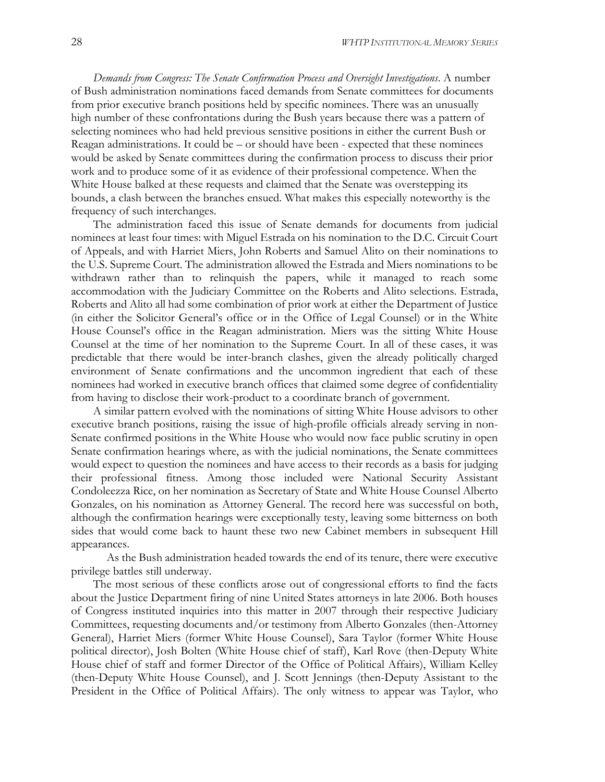*Demands from Congress: The Senate Confirmation Process and Oversight Investigations*. A number of Bush administration nominations faced demands from Senate committees for documents from prior executive branch positions held by specific nominees. There was an unusually high number of these confrontations during the Bush years because there was a pattern of selecting nominees who had held previous sensitive positions in either the current Bush or Reagan administrations. It could be  $-$  or should have been  $-$  expected that these nominees would be asked by Senate committees during the confirmation process to discuss their prior work and to produce some of it as evidence of their professional competence. When the White House balked at these requests and claimed that the Senate was overstepping its bounds, a clash between the branches ensued. What makes this especially noteworthy is the frequency of such interchanges.

The administration faced this issue of Senate demands for documents from judicial nominees at least four times: with Miguel Estrada on his nomination to the D.C. Circuit Court of Appeals, and with Harriet Miers, John Roberts and Samuel Alito on their nominations to the U.S. Supreme Court. The administration allowed the Estrada and Miers nominations to be withdrawn rather than to relinquish the papers, while it managed to reach some accommodation with the Judiciary Committee on the Roberts and Alito selections. Estrada, Roberts and Alito all had some combination of prior work at either the Department of Justice (in either the Solicitor General's office or in the Office of Legal Counsel) or in the White House Counsel's office in the Reagan administration. Miers was the sitting White House Counsel at the time of her nomination to the Supreme Court. In all of these cases, it was predictable that there would be inter-branch clashes, given the already politically charged environment of Senate confirmations and the uncommon ingredient that each of these nominees had worked in executive branch offices that claimed some degree of confidentiality from having to disclose their work-product to a coordinate branch of government.

A similar pattern evolved with the nominations of sitting White House advisors to other executive branch positions, raising the issue of high-profile officials already serving in non-Senate confirmed positions in the White House who would now face public scrutiny in open Senate confirmation hearings where, as with the judicial nominations, the Senate committees would expect to question the nominees and have access to their records as a basis for judging their professional fitness. Among those included were National Security Assistant Condoleezza Rice, on her nomination as Secretary of State and White House Counsel Alberto Gonzales, on his nomination as Attorney General. The record here was successful on both, although the confirmation hearings were exceptionally testy, leaving some bitterness on both sides that would come back to haunt these two new Cabinet members in subsequent Hill appearances.

As the Bush administration headed towards the end of its tenure, there were executive privilege battles still underway.

The most serious of these conflicts arose out of congressional efforts to find the facts about the Justice Department firing of nine United States attorneys in late 2006. Both houses of Congress instituted inquiries into this matter in 2007 through their respective Judiciary Committees, requesting documents and/or testimony from Alberto Gonzales (then-Attorney General), Harriet Miers (former White House Counsel), Sara Taylor (former White House political director), Josh Bolten (White House chief of staff), Karl Rove (then-Deputy White House chief of staff and former Director of the Office of Political Affairs), William Kelley (then-Deputy White House Counsel), and J. Scott Jennings (then-Deputy Assistant to the President in the Office of Political Affairs). The only witness to appear was Taylor, who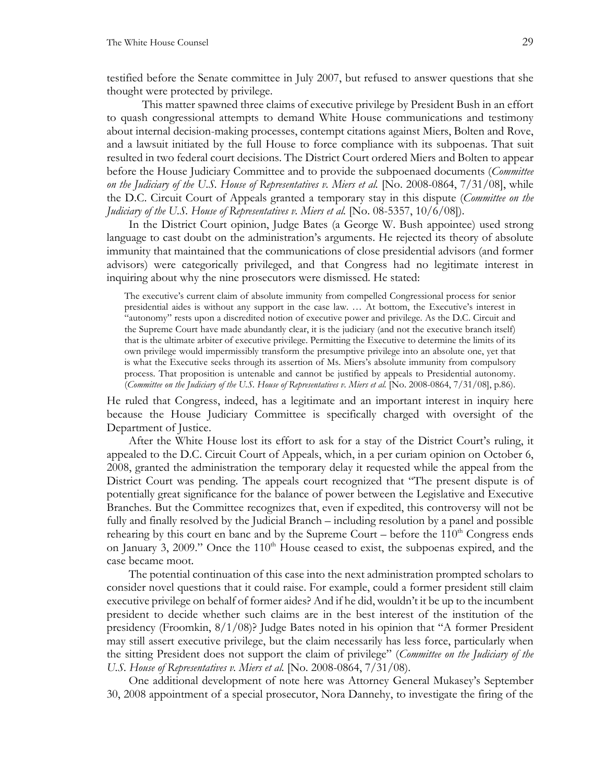testified before the Senate committee in July 2007, but refused to answer questions that she thought were protected by privilege.

This matter spawned three claims of executive privilege by President Bush in an effort to quash congressional attempts to demand White House communications and testimony about internal decision-making processes, contempt citations against Miers, Bolten and Rove, and a lawsuit initiated by the full House to force compliance with its subpoenas. That suit resulted in two federal court decisions. The District Court ordered Miers and Bolten to appear before the House Judiciary Committee and to provide the subpoenaed documents (*Committee on the Judiciary of the U.S. House of Representatives v. Miers et al.* [No. 2008-0864, 7/31/08], while the D.C. Circuit Court of Appeals granted a temporary stay in this dispute (*Committee on the Judiciary of the U.S. House of Representatives v. Miers et al.* [No. 08-5357, 10/6/08]).

In the District Court opinion, Judge Bates (a George W. Bush appointee) used strong language to cast doubt on the administration's arguments. He rejected its theory of absolute immunity that maintained that the communications of close presidential advisors (and former advisors) were categorically privileged, and that Congress had no legitimate interest in inquiring about why the nine prosecutors were dismissed. He stated:

The executive's current claim of absolute immunity from compelled Congressional process for senior presidential aides is without any support in the case law. … At bottom, the Executive's interest in "autonomy" rests upon a discredited notion of executive power and privilege. As the D.C. Circuit and the Supreme Court have made abundantly clear, it is the judiciary (and not the executive branch itself) that is the ultimate arbiter of executive privilege. Permitting the Executive to determine the limits of its own privilege would impermissibly transform the presumptive privilege into an absolute one, yet that is what the Executive seeks through its assertion of Ms. Miers's absolute immunity from compulsory process. That proposition is untenable and cannot be justified by appeals to Presidential autonomy. (*Committee on the Judiciary of the U.S. House of Representatives v. Miers et al.* [No. 2008-0864, 7/31/08], p.86).

He ruled that Congress, indeed, has a legitimate and an important interest in inquiry here because the House Judiciary Committee is specifically charged with oversight of the Department of Justice.

After the White House lost its effort to ask for a stay of the District Court's ruling, it appealed to the D.C. Circuit Court of Appeals, which, in a per curiam opinion on October 6, 2008, granted the administration the temporary delay it requested while the appeal from the District Court was pending. The appeals court recognized that "The present dispute is of potentially great significance for the balance of power between the Legislative and Executive Branches. But the Committee recognizes that, even if expedited, this controversy will not be fully and finally resolved by the Judicial Branch – including resolution by a panel and possible rehearing by this court en banc and by the Supreme Court – before the  $110<sup>th</sup>$  Congress ends on January 3, 2009." Once the  $110<sup>th</sup>$  House ceased to exist, the subpoenas expired, and the case became moot.

The potential continuation of this case into the next administration prompted scholars to consider novel questions that it could raise. For example, could a former president still claim executive privilege on behalf of former aides? And if he did, wouldn't it be up to the incumbent president to decide whether such claims are in the best interest of the institution of the presidency (Froomkin, 8/1/08)? Judge Bates noted in his opinion that "A former President may still assert executive privilege, but the claim necessarily has less force, particularly when the sitting President does not support the claim of privilege" (*Committee on the Judiciary of the U.S. House of Representatives v. Miers et al.* [No. 2008-0864, 7/31/08).

One additional development of note here was Attorney General Mukasey's September 30, 2008 appointment of a special prosecutor, Nora Dannehy, to investigate the firing of the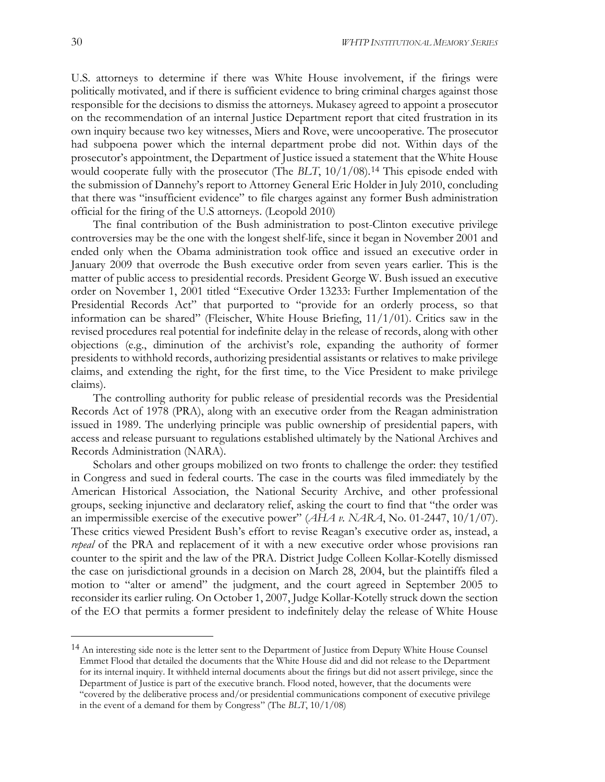U.S. attorneys to determine if there was White House involvement, if the firings were politically motivated, and if there is sufficient evidence to bring criminal charges against those responsible for the decisions to dismiss the attorneys. Mukasey agreed to appoint a prosecutor on the recommendation of an internal Justice Department report that cited frustration in its own inquiry because two key witnesses, Miers and Rove, were uncooperative. The prosecutor had subpoena power which the internal department probe did not. Within days of the prosecutor's appointment, the Department of Justice issued a statement that the White House would cooperate fully with the prosecutor (The *BLT*, 10/1/08).[14](#page-39-0) This episode ended with the submission of Dannehy's report to Attorney General Eric Holder in July 2010, concluding that there was "insufficient evidence" to file charges against any former Bush administration official for the firing of the U.S attorneys. (Leopold 2010)

The final contribution of the Bush administration to post-Clinton executive privilege controversies may be the one with the longest shelf-life, since it began in November 2001 and ended only when the Obama administration took office and issued an executive order in January 2009 that overrode the Bush executive order from seven years earlier. This is the matter of public access to presidential records. President George W. Bush issued an executive order on November 1, 2001 titled "Executive Order 13233: Further Implementation of the Presidential Records Act" that purported to "provide for an orderly process, so that information can be shared" (Fleischer, White House Briefing, 11/1/01). Critics saw in the revised procedures real potential for indefinite delay in the release of records, along with other objections (e.g., diminution of the archivist's role, expanding the authority of former presidents to withhold records, authorizing presidential assistants or relatives to make privilege claims, and extending the right, for the first time, to the Vice President to make privilege claims).

The controlling authority for public release of presidential records was the Presidential Records Act of 1978 (PRA), along with an executive order from the Reagan administration issued in 1989. The underlying principle was public ownership of presidential papers, with access and release pursuant to regulations established ultimately by the National Archives and Records Administration (NARA).

Scholars and other groups mobilized on two fronts to challenge the order: they testified in Congress and sued in federal courts. The case in the courts was filed immediately by the American Historical Association, the National Security Archive, and other professional groups, seeking injunctive and declaratory relief, asking the court to find that "the order was an impermissible exercise of the executive power" (*AHA v. NARA*, No. 01-2447, 10/1/07). These critics viewed President Bush's effort to revise Reagan's executive order as, instead, a *repeal* of the PRA and replacement of it with a new executive order whose provisions ran counter to the spirit and the law of the PRA. District Judge Colleen Kollar-Kotelly dismissed the case on jurisdictional grounds in a decision on March 28, 2004, but the plaintiffs filed a motion to "alter or amend" the judgment, and the court agreed in September 2005 to reconsider its earlier ruling. On October 1, 2007, Judge Kollar-Kotelly struck down the section of the EO that permits a former president to indefinitely delay the release of White House

<span id="page-39-0"></span><sup>&</sup>lt;sup>14</sup> An interesting side note is the letter sent to the Department of Justice from Deputy White House Counsel Emmet Flood that detailed the documents that the White House did and did not release to the Department for its internal inquiry. It withheld internal documents about the firings but did not assert privilege, since the Department of Justice is part of the executive branch. Flood noted, however, that the documents were "covered by the deliberative process and/or presidential communications component of executive privilege in the event of a demand for them by Congress" (The *BLT*, 10/1/08)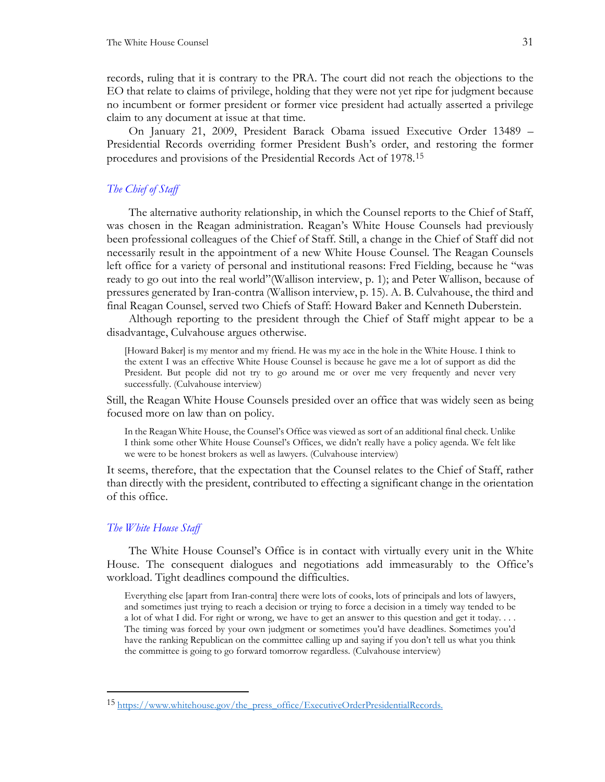records, ruling that it is contrary to the PRA. The court did not reach the objections to the EO that relate to claims of privilege, holding that they were not yet ripe for judgment because no incumbent or former president or former vice president had actually asserted a privilege claim to any document at issue at that time.

On January 21, 2009, President Barack Obama issued Executive Order 13489 – Presidential Records overriding former President Bush's order, and restoring the former procedures and provisions of the Presidential Records Act of 1978.[15](#page-40-0)

#### *The Chief of Staff*

The alternative authority relationship, in which the Counsel reports to the Chief of Staff, was chosen in the Reagan administration. Reagan's White House Counsels had previously been professional colleagues of the Chief of Staff. Still, a change in the Chief of Staff did not necessarily result in the appointment of a new White House Counsel. The Reagan Counsels left office for a variety of personal and institutional reasons: Fred Fielding, because he "was ready to go out into the real world"(Wallison interview, p. 1); and Peter Wallison, because of pressures generated by Iran-contra (Wallison interview, p. 15). A. B. Culvahouse, the third and final Reagan Counsel, served two Chiefs of Staff: Howard Baker and Kenneth Duberstein.

Although reporting to the president through the Chief of Staff might appear to be a disadvantage, Culvahouse argues otherwise.

[Howard Baker] is my mentor and my friend. He was my ace in the hole in the White House. I think to the extent I was an effective White House Counsel is because he gave me a lot of support as did the President. But people did not try to go around me or over me very frequently and never very successfully. (Culvahouse interview)

Still, the Reagan White House Counsels presided over an office that was widely seen as being focused more on law than on policy.

In the Reagan White House, the Counsel's Office was viewed as sort of an additional final check. Unlike I think some other White House Counsel's Offices, we didn't really have a policy agenda. We felt like we were to be honest brokers as well as lawyers. (Culvahouse interview)

It seems, therefore, that the expectation that the Counsel relates to the Chief of Staff, rather than directly with the president, contributed to effecting a significant change in the orientation of this office.

#### *The White House Staff*

The White House Counsel's Office is in contact with virtually every unit in the White House. The consequent dialogues and negotiations add immeasurably to the Office's workload. Tight deadlines compound the difficulties.

Everything else [apart from Iran-contra] there were lots of cooks, lots of principals and lots of lawyers, and sometimes just trying to reach a decision or trying to force a decision in a timely way tended to be a lot of what I did. For right or wrong, we have to get an answer to this question and get it today. . . . The timing was forced by your own judgment or sometimes you'd have deadlines. Sometimes you'd have the ranking Republican on the committee calling up and saying if you don't tell us what you think the committee is going to go forward tomorrow regardless. (Culvahouse interview)

<span id="page-40-0"></span><sup>15</sup> [https://www.whitehouse.gov/the\\_press\\_office/ExecutiveOrderPresidentialRecords.](https://www.whitehouse.gov/the_press_office/ExecutiveOrderPresidentialRecords)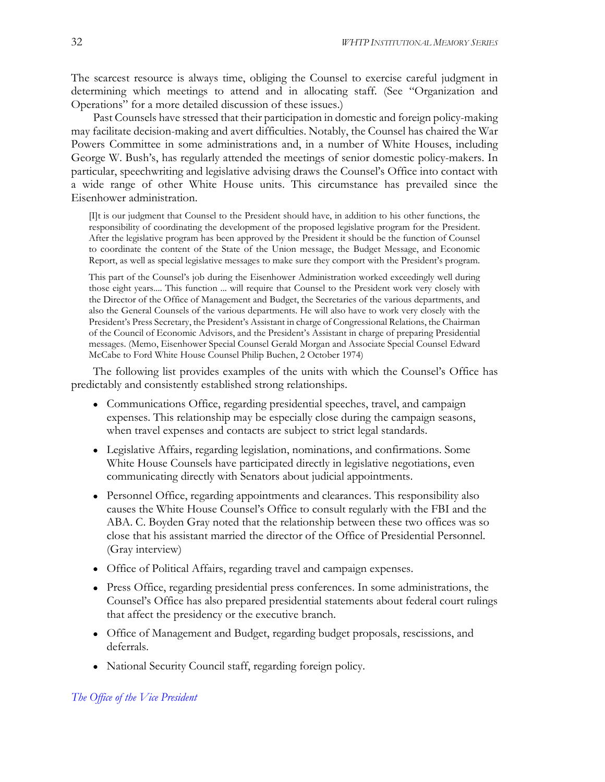The scarcest resource is always time, obliging the Counsel to exercise careful judgment in determining which meetings to attend and in allocating staff. (See ["Organization and](#page-47-0)  [Operations"](#page-47-0) for a more detailed discussion of these issues.)

Past Counsels have stressed that their participation in domestic and foreign policy-making may facilitate decision-making and avert difficulties. Notably, the Counsel has chaired the War Powers Committee in some administrations and, in a number of White Houses, including George W. Bush's, has regularly attended the meetings of senior domestic policy-makers. In particular, speechwriting and legislative advising draws the Counsel's Office into contact with a wide range of other White House units. This circumstance has prevailed since the Eisenhower administration.

[I]t is our judgment that Counsel to the President should have, in addition to his other functions, the responsibility of coordinating the development of the proposed legislative program for the President. After the legislative program has been approved by the President it should be the function of Counsel to coordinate the content of the State of the Union message, the Budget Message, and Economic Report, as well as special legislative messages to make sure they comport with the President's program.

This part of the Counsel's job during the Eisenhower Administration worked exceedingly well during those eight years.... This function ... will require that Counsel to the President work very closely with the Director of the Office of Management and Budget, the Secretaries of the various departments, and also the General Counsels of the various departments. He will also have to work very closely with the President's Press Secretary, the President's Assistant in charge of Congressional Relations, the Chairman of the Council of Economic Advisors, and the President's Assistant in charge of preparing Presidential messages. (Memo, Eisenhower Special Counsel Gerald Morgan and Associate Special Counsel Edward McCabe to Ford White House Counsel Philip Buchen, 2 October 1974)

The following list provides examples of the units with which the Counsel's Office has predictably and consistently established strong relationships.

- Communications Office, regarding presidential speeches, travel, and campaign expenses. This relationship may be especially close during the campaign seasons, when travel expenses and contacts are subject to strict legal standards.
- Legislative Affairs, regarding legislation, nominations, and confirmations. Some White House Counsels have participated directly in legislative negotiations, even communicating directly with Senators about judicial appointments.
- Personnel Office, regarding appointments and clearances. This responsibility also causes the White House Counsel's Office to consult regularly with the FBI and the ABA. C. Boyden Gray noted that the relationship between these two offices was so close that his assistant married the director of the Office of Presidential Personnel. (Gray interview)
- Office of Political Affairs, regarding travel and campaign expenses.
- Press Office, regarding presidential press conferences. In some administrations, the Counsel's Office has also prepared presidential statements about federal court rulings that affect the presidency or the executive branch.
- Office of Management and Budget, regarding budget proposals, rescissions, and deferrals.
- National Security Council staff, regarding foreign policy.

#### *The Office of the Vice President*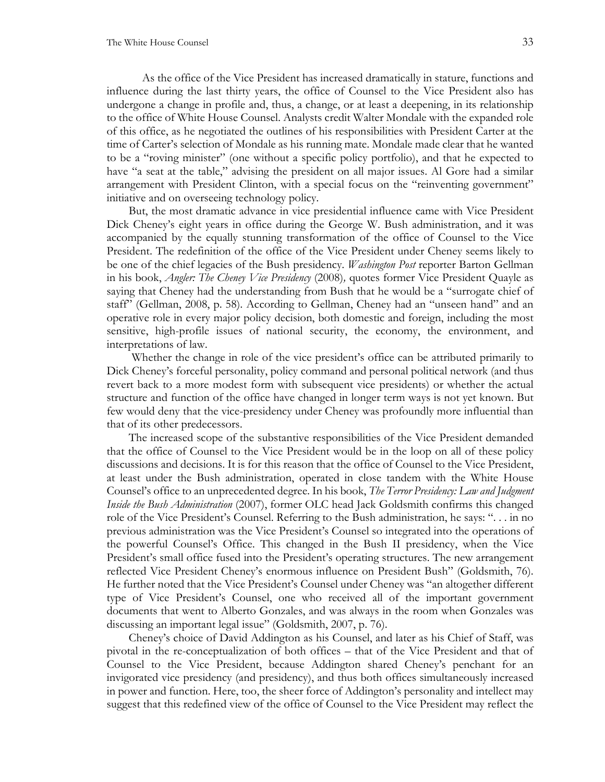As the office of the Vice President has increased dramatically in stature, functions and influence during the last thirty years, the office of Counsel to the Vice President also has undergone a change in profile and, thus, a change, or at least a deepening, in its relationship to the office of White House Counsel. Analysts credit Walter Mondale with the expanded role of this office, as he negotiated the outlines of his responsibilities with President Carter at the time of Carter's selection of Mondale as his running mate. Mondale made clear that he wanted to be a "roving minister" (one without a specific policy portfolio), and that he expected to have "a seat at the table," advising the president on all major issues. Al Gore had a similar arrangement with President Clinton, with a special focus on the "reinventing government" initiative and on overseeing technology policy.

But, the most dramatic advance in vice presidential influence came with Vice President Dick Cheney's eight years in office during the George W. Bush administration, and it was accompanied by the equally stunning transformation of the office of Counsel to the Vice President. The redefinition of the office of the Vice President under Cheney seems likely to be one of the chief legacies of the Bush presidency. *Washington Post* reporter Barton Gellman in his book, *Angler: The Cheney Vice Presidency* (2008)*,* quotes former Vice President Quayle as saying that Cheney had the understanding from Bush that he would be a "surrogate chief of staff" (Gellman, 2008, p. 58). According to Gellman, Cheney had an "unseen hand" and an operative role in every major policy decision, both domestic and foreign, including the most sensitive, high-profile issues of national security, the economy, the environment, and interpretations of law.

Whether the change in role of the vice president's office can be attributed primarily to Dick Cheney's forceful personality, policy command and personal political network (and thus revert back to a more modest form with subsequent vice presidents) or whether the actual structure and function of the office have changed in longer term ways is not yet known. But few would deny that the vice-presidency under Cheney was profoundly more influential than that of its other predecessors.

The increased scope of the substantive responsibilities of the Vice President demanded that the office of Counsel to the Vice President would be in the loop on all of these policy discussions and decisions. It is for this reason that the office of Counsel to the Vice President, at least under the Bush administration, operated in close tandem with the White House Counsel's office to an unprecedented degree. In his book, *The Terror Presidency: Law and Judgment Inside the Bush Administration* (2007), former OLC head Jack Goldsmith confirms this changed role of the Vice President's Counsel. Referring to the Bush administration, he says: ". . . in no previous administration was the Vice President's Counsel so integrated into the operations of the powerful Counsel's Office. This changed in the Bush II presidency, when the Vice President's small office fused into the President's operating structures. The new arrangement reflected Vice President Cheney's enormous influence on President Bush" (Goldsmith, 76). He further noted that the Vice President's Counsel under Cheney was "an altogether different type of Vice President's Counsel, one who received all of the important government documents that went to Alberto Gonzales, and was always in the room when Gonzales was discussing an important legal issue" (Goldsmith, 2007, p. 76).

Cheney's choice of David Addington as his Counsel, and later as his Chief of Staff, was pivotal in the re-conceptualization of both offices – that of the Vice President and that of Counsel to the Vice President, because Addington shared Cheney's penchant for an invigorated vice presidency (and presidency), and thus both offices simultaneously increased in power and function. Here, too, the sheer force of Addington's personality and intellect may suggest that this redefined view of the office of Counsel to the Vice President may reflect the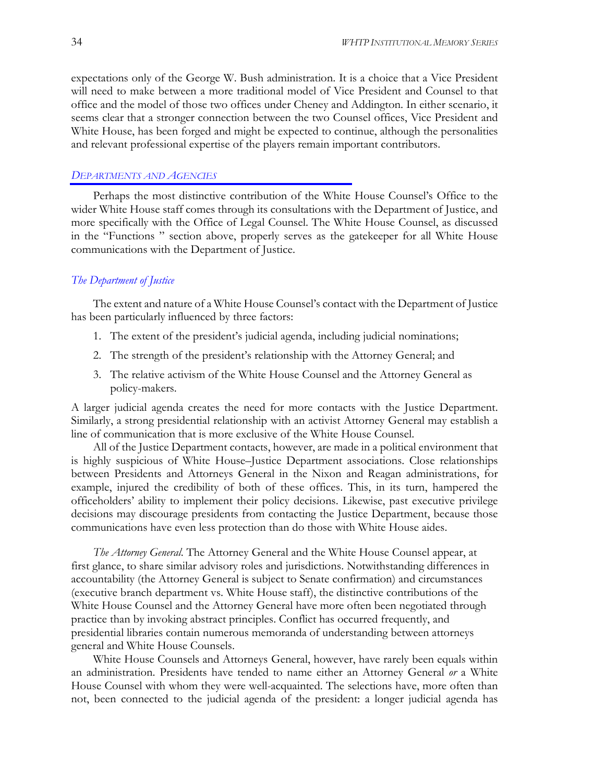expectations only of the George W. Bush administration. It is a choice that a Vice President will need to make between a more traditional model of Vice President and Counsel to that office and the model of those two offices under Cheney and Addington. In either scenario, it seems clear that a stronger connection between the two Counsel offices, Vice President and White House, has been forged and might be expected to continue, although the personalities and relevant professional expertise of the players remain important contributors.

#### <span id="page-43-0"></span>*DEPARTMENTS AND AGENCIES*

Perhaps the most distinctive contribution of the White House Counsel's Office to the wider White House staff comes through its consultations with the Department of Justice, and more specifically with the Office of Legal Counsel. The White House Counsel, as discussed in the ["Functions "](#page-17-0) section above, properly serves as the gatekeeper for all White House communications with the Department of Justice.

#### *The Department of Justice*

The extent and nature of a White House Counsel's contact with the Department of Justice has been particularly influenced by three factors:

- 1. The extent of the president's judicial agenda, including judicial nominations;
- 2. The strength of the president's relationship with the Attorney General; and
- 3. The relative activism of the White House Counsel and the Attorney General as policy-makers.

A larger judicial agenda creates the need for more contacts with the Justice Department. Similarly, a strong presidential relationship with an activist Attorney General may establish a line of communication that is more exclusive of the White House Counsel.

All of the Justice Department contacts, however, are made in a political environment that is highly suspicious of White House–Justice Department associations. Close relationships between Presidents and Attorneys General in the Nixon and Reagan administrations, for example, injured the credibility of both of these offices. This, in its turn, hampered the officeholders' ability to implement their policy decisions. Likewise, past executive privilege decisions may discourage presidents from contacting the Justice Department, because those communications have even less protection than do those with White House aides.

*The Attorney General*. The Attorney General and the White House Counsel appear, at first glance, to share similar advisory roles and jurisdictions. Notwithstanding differences in accountability (the Attorney General is subject to Senate confirmation) and circumstances (executive branch department vs. White House staff), the distinctive contributions of the White House Counsel and the Attorney General have more often been negotiated through practice than by invoking abstract principles. Conflict has occurred frequently, and presidential libraries contain numerous memoranda of understanding between attorneys general and White House Counsels.

White House Counsels and Attorneys General, however, have rarely been equals within an administration. Presidents have tended to name either an Attorney General *or* a White House Counsel with whom they were well-acquainted. The selections have, more often than not, been connected to the judicial agenda of the president: a longer judicial agenda has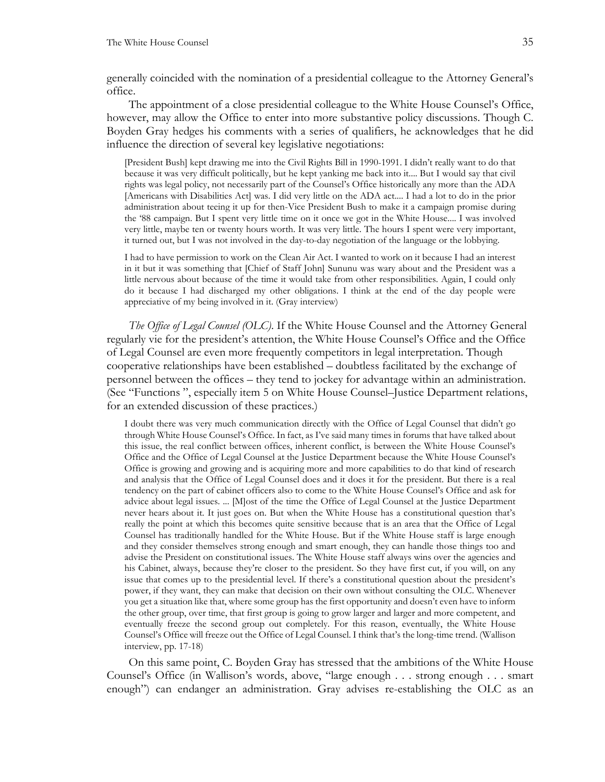generally coincided with the nomination of a presidential colleague to the Attorney General's office.

The appointment of a close presidential colleague to the White House Counsel's Office, however, may allow the Office to enter into more substantive policy discussions. Though C. Boyden Gray hedges his comments with a series of qualifiers, he acknowledges that he did influence the direction of several key legislative negotiations:

[President Bush] kept drawing me into the Civil Rights Bill in 1990-1991. I didn't really want to do that because it was very difficult politically, but he kept yanking me back into it.... But I would say that civil rights was legal policy, not necessarily part of the Counsel's Office historically any more than the ADA [Americans with Disabilities Act] was. I did very little on the ADA act.... I had a lot to do in the prior administration about teeing it up for then-Vice President Bush to make it a campaign promise during the '88 campaign. But I spent very little time on it once we got in the White House.... I was involved very little, maybe ten or twenty hours worth. It was very little. The hours I spent were very important, it turned out, but I was not involved in the day-to-day negotiation of the language or the lobbying.

I had to have permission to work on the Clean Air Act. I wanted to work on it because I had an interest in it but it was something that [Chief of Staff John] Sununu was wary about and the President was a little nervous about because of the time it would take from other responsibilities. Again, I could only do it because I had discharged my other obligations. I think at the end of the day people were appreciative of my being involved in it. (Gray interview)

*The Office of Legal Counsel (OLC)*. If the White House Counsel and the Attorney General regularly vie for the president's attention, the White House Counsel's Office and the Office of Legal Counsel are even more frequently competitors in legal interpretation. Though cooperative relationships have been established – doubtless facilitated by the exchange of personnel between the offices – they tend to jockey for advantage within an administration. (See ["Functions "](#page-17-0), especially item 5 on White House Counsel–Justice Department relations, for an extended discussion of these practices.)

I doubt there was very much communication directly with the Office of Legal Counsel that didn't go through White House Counsel's Office. In fact, as I've said many times in forums that have talked about this issue, the real conflict between offices, inherent conflict, is between the White House Counsel's Office and the Office of Legal Counsel at the Justice Department because the White House Counsel's Office is growing and growing and is acquiring more and more capabilities to do that kind of research and analysis that the Office of Legal Counsel does and it does it for the president. But there is a real tendency on the part of cabinet officers also to come to the White House Counsel's Office and ask for advice about legal issues. ... [M]ost of the time the Office of Legal Counsel at the Justice Department never hears about it. It just goes on. But when the White House has a constitutional question that's really the point at which this becomes quite sensitive because that is an area that the Office of Legal Counsel has traditionally handled for the White House. But if the White House staff is large enough and they consider themselves strong enough and smart enough, they can handle those things too and advise the President on constitutional issues. The White House staff always wins over the agencies and his Cabinet, always, because they're closer to the president. So they have first cut, if you will, on any issue that comes up to the presidential level. If there's a constitutional question about the president's power, if they want, they can make that decision on their own without consulting the OLC. Whenever you get a situation like that, where some group has the first opportunity and doesn't even have to inform the other group, over time, that first group is going to grow larger and larger and more competent, and eventually freeze the second group out completely. For this reason, eventually, the White House Counsel's Office will freeze out the Office of Legal Counsel. I think that's the long-time trend. (Wallison interview, pp. 17-18)

On this same point, C. Boyden Gray has stressed that the ambitions of the White House Counsel's Office (in Wallison's words, above, "large enough . . . strong enough . . . smart enough") can endanger an administration. Gray advises re-establishing the OLC as an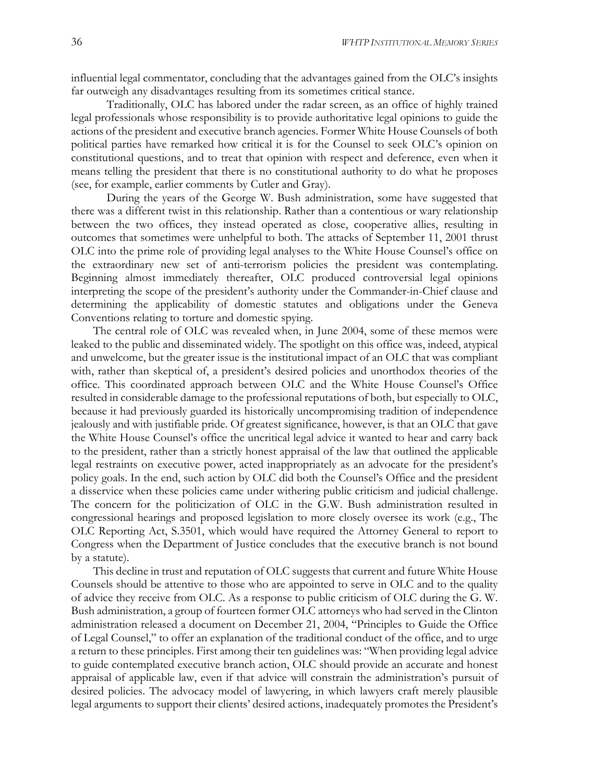influential legal commentator, concluding that the advantages gained from the OLC's insights far outweigh any disadvantages resulting from its sometimes critical stance.

Traditionally, OLC has labored under the radar screen, as an office of highly trained legal professionals whose responsibility is to provide authoritative legal opinions to guide the actions of the president and executive branch agencies. Former White House Counsels of both political parties have remarked how critical it is for the Counsel to seek OLC's opinion on constitutional questions, and to treat that opinion with respect and deference, even when it means telling the president that there is no constitutional authority to do what he proposes (see, for example, earlier comments by Cutler and Gray).

During the years of the George W. Bush administration, some have suggested that there was a different twist in this relationship. Rather than a contentious or wary relationship between the two offices, they instead operated as close, cooperative allies, resulting in outcomes that sometimes were unhelpful to both. The attacks of September 11, 2001 thrust OLC into the prime role of providing legal analyses to the White House Counsel's office on the extraordinary new set of anti-terrorism policies the president was contemplating. Beginning almost immediately thereafter, OLC produced controversial legal opinions interpreting the scope of the president's authority under the Commander-in-Chief clause and determining the applicability of domestic statutes and obligations under the Geneva Conventions relating to torture and domestic spying.

The central role of OLC was revealed when, in June 2004, some of these memos were leaked to the public and disseminated widely. The spotlight on this office was, indeed, atypical and unwelcome, but the greater issue is the institutional impact of an OLC that was compliant with, rather than skeptical of, a president's desired policies and unorthodox theories of the office. This coordinated approach between OLC and the White House Counsel's Office resulted in considerable damage to the professional reputations of both, but especially to OLC, because it had previously guarded its historically uncompromising tradition of independence jealously and with justifiable pride. Of greatest significance, however, is that an OLC that gave the White House Counsel's office the uncritical legal advice it wanted to hear and carry back to the president, rather than a strictly honest appraisal of the law that outlined the applicable legal restraints on executive power, acted inappropriately as an advocate for the president's policy goals. In the end, such action by OLC did both the Counsel's Office and the president a disservice when these policies came under withering public criticism and judicial challenge. The concern for the politicization of OLC in the G.W. Bush administration resulted in congressional hearings and proposed legislation to more closely oversee its work (e.g., The OLC Reporting Act, S.3501, which would have required the Attorney General to report to Congress when the Department of Justice concludes that the executive branch is not bound by a statute).

This decline in trust and reputation of OLC suggests that current and future White House Counsels should be attentive to those who are appointed to serve in OLC and to the quality of advice they receive from OLC. As a response to public criticism of OLC during the G. W. Bush administration, a group of fourteen former OLC attorneys who had served in the Clinton administration released a document on December 21, 2004, "Principles to Guide the Office of Legal Counsel," to offer an explanation of the traditional conduct of the office, and to urge a return to these principles. First among their ten guidelines was: "When providing legal advice to guide contemplated executive branch action, OLC should provide an accurate and honest appraisal of applicable law, even if that advice will constrain the administration's pursuit of desired policies. The advocacy model of lawyering, in which lawyers craft merely plausible legal arguments to support their clients' desired actions, inadequately promotes the President's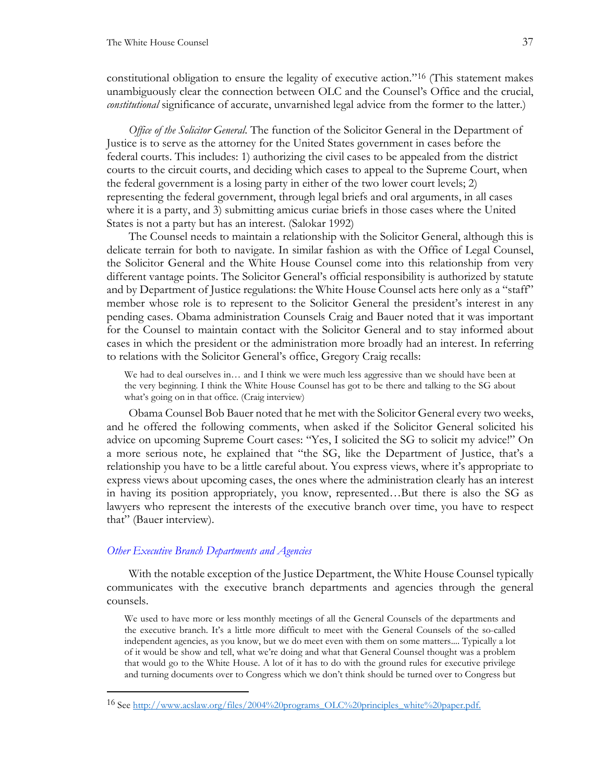constitutional obligation to ensure the legality of executive action."[16](#page-46-0) (This statement makes unambiguously clear the connection between OLC and the Counsel's Office and the crucial, *constitutional* significance of accurate, unvarnished legal advice from the former to the latter.)

*Office of the Solicitor General*. The function of the Solicitor General in the Department of Justice is to serve as the attorney for the United States government in cases before the federal courts. This includes: 1) authorizing the civil cases to be appealed from the district courts to the circuit courts, and deciding which cases to appeal to the Supreme Court, when the federal government is a losing party in either of the two lower court levels; 2) representing the federal government, through legal briefs and oral arguments, in all cases where it is a party, and 3) submitting amicus curiae briefs in those cases where the United States is not a party but has an interest. (Salokar 1992)

The Counsel needs to maintain a relationship with the Solicitor General, although this is delicate terrain for both to navigate. In similar fashion as with the Office of Legal Counsel, the Solicitor General and the White House Counsel come into this relationship from very different vantage points. The Solicitor General's official responsibility is authorized by statute and by Department of Justice regulations: the White House Counsel acts here only as a "staff" member whose role is to represent to the Solicitor General the president's interest in any pending cases. Obama administration Counsels Craig and Bauer noted that it was important for the Counsel to maintain contact with the Solicitor General and to stay informed about cases in which the president or the administration more broadly had an interest. In referring to relations with the Solicitor General's office, Gregory Craig recalls:

We had to deal ourselves in... and I think we were much less aggressive than we should have been at the very beginning. I think the White House Counsel has got to be there and talking to the SG about what's going on in that office. (Craig interview)

Obama Counsel Bob Bauer noted that he met with the Solicitor General every two weeks, and he offered the following comments, when asked if the Solicitor General solicited his advice on upcoming Supreme Court cases: "Yes, I solicited the SG to solicit my advice!" On a more serious note, he explained that "the SG, like the Department of Justice, that's a relationship you have to be a little careful about. You express views, where it's appropriate to express views about upcoming cases, the ones where the administration clearly has an interest in having its position appropriately, you know, represented…But there is also the SG as lawyers who represent the interests of the executive branch over time, you have to respect that" (Bauer interview).

#### *Other Executive Branch Departments and Agencies*

With the notable exception of the Justice Department, the White House Counsel typically communicates with the executive branch departments and agencies through the general counsels.

We used to have more or less monthly meetings of all the General Counsels of the departments and the executive branch. It's a little more difficult to meet with the General Counsels of the so-called independent agencies, as you know, but we do meet even with them on some matters.... Typically a lot of it would be show and tell, what we're doing and what that General Counsel thought was a problem that would go to the White House. A lot of it has to do with the ground rules for executive privilege and turning documents over to Congress which we don't think should be turned over to Congress but

<span id="page-46-0"></span><sup>16</sup> Se[e http://www.acslaw.org/files/2004%20programs\\_OLC%20principles\\_white%20paper.pdf.](http://www.acslaw.org/files/2004%20programs_OLC%20principles_white%20paper.pdf)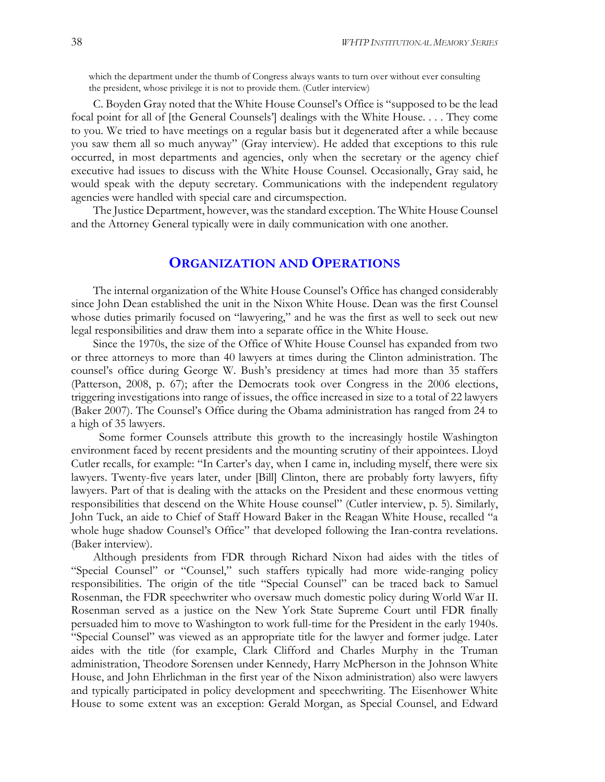which the department under the thumb of Congress always wants to turn over without ever consulting the president, whose privilege it is not to provide them. (Cutler interview)

C. Boyden Gray noted that the White House Counsel's Office is "supposed to be the lead focal point for all of [the General Counsels'] dealings with the White House. . . . They come to you. We tried to have meetings on a regular basis but it degenerated after a while because you saw them all so much anyway" (Gray interview). He added that exceptions to this rule occurred, in most departments and agencies, only when the secretary or the agency chief executive had issues to discuss with the White House Counsel. Occasionally, Gray said, he would speak with the deputy secretary. Communications with the independent regulatory agencies were handled with special care and circumspection.

<span id="page-47-0"></span>The Justice Department, however, was the standard exception. The White House Counsel and the Attorney General typically were in daily communication with one another.

### **ORGANIZATION AND OPERATIONS**

The internal organization of the White House Counsel's Office has changed considerably since John Dean established the unit in the Nixon White House. Dean was the first Counsel whose duties primarily focused on "lawyering," and he was the first as well to seek out new legal responsibilities and draw them into a separate office in the White House.

Since the 1970s, the size of the Office of White House Counsel has expanded from two or three attorneys to more than 40 lawyers at times during the Clinton administration. The counsel's office during George W. Bush's presidency at times had more than 35 staffers (Patterson, 2008, p. 67); after the Democrats took over Congress in the 2006 elections, triggering investigations into range of issues, the office increased in size to a total of 22 lawyers (Baker 2007). The Counsel's Office during the Obama administration has ranged from 24 to a high of 35 lawyers.

Some former Counsels attribute this growth to the increasingly hostile Washington environment faced by recent presidents and the mounting scrutiny of their appointees. Lloyd Cutler recalls, for example: "In Carter's day, when I came in, including myself, there were six lawyers. Twenty-five years later, under [Bill] Clinton, there are probably forty lawyers, fifty lawyers. Part of that is dealing with the attacks on the President and these enormous vetting responsibilities that descend on the White House counsel" (Cutler interview, p. 5). Similarly, John Tuck, an aide to Chief of Staff Howard Baker in the Reagan White House, recalled "a whole huge shadow Counsel's Office" that developed following the Iran-contra revelations. (Baker interview).

Although presidents from FDR through Richard Nixon had aides with the titles of "Special Counsel" or "Counsel," such staffers typically had more wide-ranging policy responsibilities. The origin of the title "Special Counsel" can be traced back to Samuel Rosenman, the FDR speechwriter who oversaw much domestic policy during World War II. Rosenman served as a justice on the New York State Supreme Court until FDR finally persuaded him to move to Washington to work full-time for the President in the early 1940s. "Special Counsel" was viewed as an appropriate title for the lawyer and former judge. Later aides with the title (for example, Clark Clifford and Charles Murphy in the Truman administration, Theodore Sorensen under Kennedy, Harry McPherson in the Johnson White House, and John Ehrlichman in the first year of the Nixon administration) also were lawyers and typically participated in policy development and speechwriting. The Eisenhower White House to some extent was an exception: Gerald Morgan, as Special Counsel, and Edward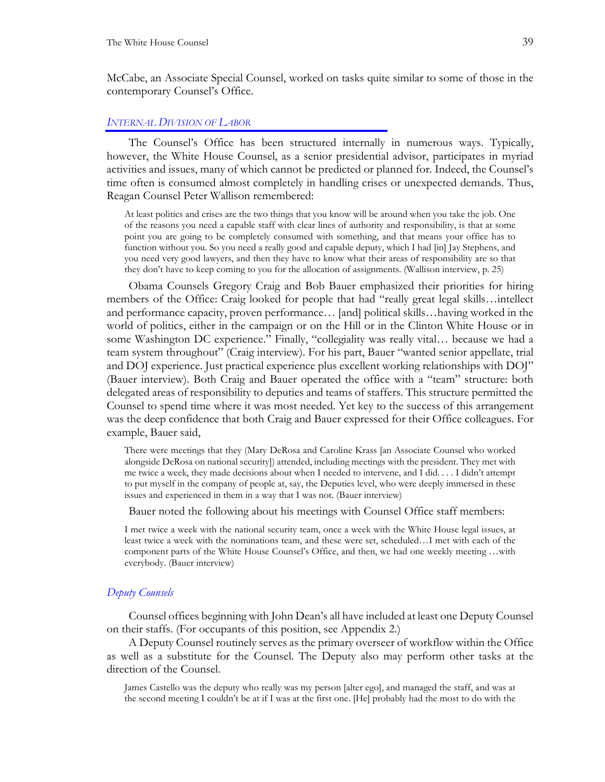McCabe, an Associate Special Counsel, worked on tasks quite similar to some of those in the contemporary Counsel's Office.

#### *INTERNAL DIVISION OF LABOR*

The Counsel's Office has been structured internally in numerous ways. Typically, however, the White House Counsel, as a senior presidential advisor, participates in myriad activities and issues, many of which cannot be predicted or planned for. Indeed, the Counsel's time often is consumed almost completely in handling crises or unexpected demands. Thus, Reagan Counsel Peter Wallison remembered:

At least politics and crises are the two things that you know will be around when you take the job. One of the reasons you need a capable staff with clear lines of authority and responsibility, is that at some point you are going to be completely consumed with something, and that means your office has to function without you. So you need a really good and capable deputy, which I had [in] Jay Stephens, and you need very good lawyers, and then they have to know what their areas of responsibility are so that they don't have to keep coming to you for the allocation of assignments. (Wallison interview, p. 25)

Obama Counsels Gregory Craig and Bob Bauer emphasized their priorities for hiring members of the Office: Craig looked for people that had "really great legal skills…intellect and performance capacity, proven performance… [and] political skills…having worked in the world of politics, either in the campaign or on the Hill or in the Clinton White House or in some Washington DC experience." Finally, "collegiality was really vital… because we had a team system throughout" (Craig interview). For his part, Bauer "wanted senior appellate, trial and DOJ experience. Just practical experience plus excellent working relationships with DOJ" (Bauer interview). Both Craig and Bauer operated the office with a "team" structure: both delegated areas of responsibility to deputies and teams of staffers. This structure permitted the Counsel to spend time where it was most needed. Yet key to the success of this arrangement was the deep confidence that both Craig and Bauer expressed for their Office colleagues. For example, Bauer said,

There were meetings that they (Mary DeRosa and Caroline Krass [an Associate Counsel who worked alongside DeRosa on national security]) attended, including meetings with the president. They met with me twice a week, they made decisions about when I needed to intervene, and I did. . . . I didn't attempt to put myself in the company of people at, say, the Deputies level, who were deeply immersed in these issues and experienced in them in a way that I was not. (Bauer interview)

Bauer noted the following about his meetings with Counsel Office staff members:

I met twice a week with the national security team, once a week with the White House legal issues, at least twice a week with the nominations team, and these were set, scheduled…I met with each of the component parts of the White House Counsel's Office, and then, we had one weekly meeting …with everybody. (Bauer interview)

#### *Deputy Counsels*

Counsel offices beginning with John Dean's all have included at least one Deputy Counsel on their staffs. (For occupants of this position, see [Appendix 2.](#page-59-0))

A Deputy Counsel routinely serves as the primary overseer of workflow within the Office as well as a substitute for the Counsel. The Deputy also may perform other tasks at the direction of the Counsel.

James Castello was the deputy who really was my person [alter ego], and managed the staff, and was at the second meeting I couldn't be at if I was at the first one. [He] probably had the most to do with the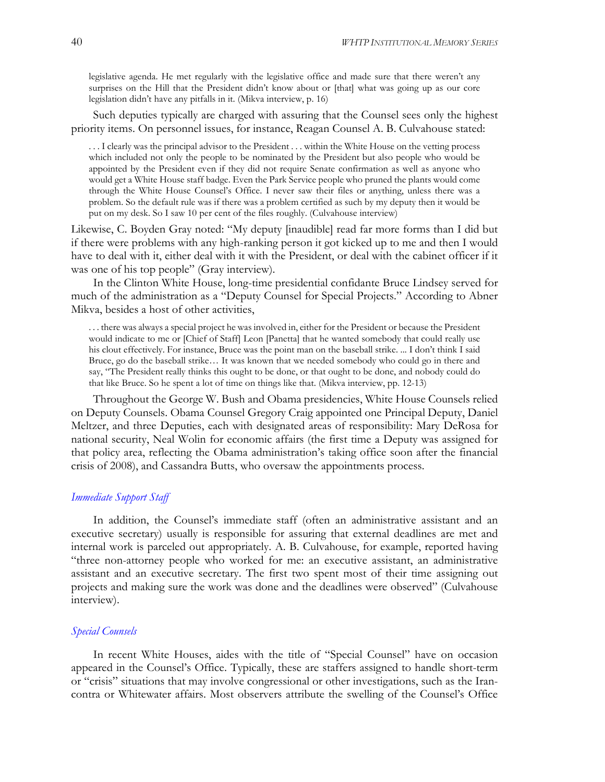legislative agenda. He met regularly with the legislative office and made sure that there weren't any surprises on the Hill that the President didn't know about or [that] what was going up as our core legislation didn't have any pitfalls in it. (Mikva interview, p. 16)

Such deputies typically are charged with assuring that the Counsel sees only the highest priority items. On personnel issues, for instance, Reagan Counsel A. B. Culvahouse stated:

. . . I clearly was the principal advisor to the President . . . within the White House on the vetting process which included not only the people to be nominated by the President but also people who would be appointed by the President even if they did not require Senate confirmation as well as anyone who would get a White House staff badge. Even the Park Service people who pruned the plants would come through the White House Counsel's Office. I never saw their files or anything, unless there was a problem. So the default rule was if there was a problem certified as such by my deputy then it would be put on my desk. So I saw 10 per cent of the files roughly. (Culvahouse interview)

Likewise, C. Boyden Gray noted: "My deputy [inaudible] read far more forms than I did but if there were problems with any high-ranking person it got kicked up to me and then I would have to deal with it, either deal with it with the President, or deal with the cabinet officer if it was one of his top people" (Gray interview).

In the Clinton White House, long-time presidential confidante Bruce Lindsey served for much of the administration as a "Deputy Counsel for Special Projects." According to Abner Mikva, besides a host of other activities,

. . . there was always a special project he was involved in, either for the President or because the President would indicate to me or [Chief of Staff] Leon [Panetta] that he wanted somebody that could really use his clout effectively. For instance, Bruce was the point man on the baseball strike. ... I don't think I said Bruce, go do the baseball strike… It was known that we needed somebody who could go in there and say, "The President really thinks this ought to be done, or that ought to be done, and nobody could do that like Bruce. So he spent a lot of time on things like that. (Mikva interview, pp. 12-13)

Throughout the George W. Bush and Obama presidencies, White House Counsels relied on Deputy Counsels. Obama Counsel Gregory Craig appointed one Principal Deputy, Daniel Meltzer, and three Deputies, each with designated areas of responsibility: Mary DeRosa for national security, Neal Wolin for economic affairs (the first time a Deputy was assigned for that policy area, reflecting the Obama administration's taking office soon after the financial crisis of 2008), and Cassandra Butts, who oversaw the appointments process.

#### *Immediate Support Staff*

In addition, the Counsel's immediate staff (often an administrative assistant and an executive secretary) usually is responsible for assuring that external deadlines are met and internal work is parceled out appropriately. A. B. Culvahouse, for example, reported having "three non-attorney people who worked for me: an executive assistant, an administrative assistant and an executive secretary. The first two spent most of their time assigning out projects and making sure the work was done and the deadlines were observed" (Culvahouse interview).

#### *Special Counsels*

In recent White Houses, aides with the title of "Special Counsel" have on occasion appeared in the Counsel's Office. Typically, these are staffers assigned to handle short-term or "crisis" situations that may involve congressional or other investigations, such as the Irancontra or Whitewater affairs. Most observers attribute the swelling of the Counsel's Office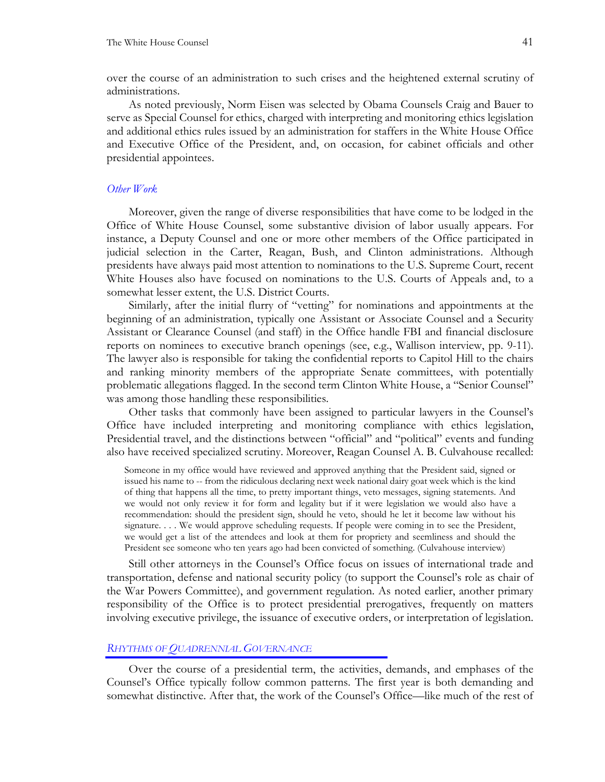over the course of an administration to such crises and the heightened external scrutiny of administrations.

As noted previously, Norm Eisen was selected by Obama Counsels Craig and Bauer to serve as Special Counsel for ethics, charged with interpreting and monitoring ethics legislation and additional ethics rules issued by an administration for staffers in the White House Office and Executive Office of the President, and, on occasion, for cabinet officials and other presidential appointees.

#### *Other Work*

Moreover, given the range of diverse responsibilities that have come to be lodged in the Office of White House Counsel, some substantive division of labor usually appears. For instance, a Deputy Counsel and one or more other members of the Office participated in judicial selection in the Carter, Reagan, Bush, and Clinton administrations. Although presidents have always paid most attention to nominations to the U.S. Supreme Court, recent White Houses also have focused on nominations to the U.S. Courts of Appeals and, to a somewhat lesser extent, the U.S. District Courts.

Similarly, after the initial flurry of "vetting" for nominations and appointments at the beginning of an administration, typically one Assistant or Associate Counsel and a Security Assistant or Clearance Counsel (and staff) in the Office handle FBI and financial disclosure reports on nominees to executive branch openings (see, e.g., Wallison interview, pp. 9-11). The lawyer also is responsible for taking the confidential reports to Capitol Hill to the chairs and ranking minority members of the appropriate Senate committees, with potentially problematic allegations flagged. In the second term Clinton White House, a "Senior Counsel" was among those handling these responsibilities.

Other tasks that commonly have been assigned to particular lawyers in the Counsel's Office have included interpreting and monitoring compliance with ethics legislation, Presidential travel, and the distinctions between "official" and "political" events and funding also have received specialized scrutiny. Moreover, Reagan Counsel A. B. Culvahouse recalled:

Someone in my office would have reviewed and approved anything that the President said, signed or issued his name to -- from the ridiculous declaring next week national dairy goat week which is the kind of thing that happens all the time, to pretty important things, veto messages, signing statements. And we would not only review it for form and legality but if it were legislation we would also have a recommendation: should the president sign, should he veto, should he let it become law without his signature. . . . We would approve scheduling requests. If people were coming in to see the President, we would get a list of the attendees and look at them for propriety and seemliness and should the President see someone who ten years ago had been convicted of something. (Culvahouse interview)

Still other attorneys in the Counsel's Office focus on issues of international trade and transportation, defense and national security policy (to support the Counsel's role as chair of the War Powers Committee), and government regulation. As noted earlier, another primary responsibility of the Office is to protect presidential prerogatives, frequently on matters involving executive privilege, the issuance of executive orders, or interpretation of legislation.

#### <span id="page-50-0"></span>*RHYTHMS OF QUADRENNIAL GOVERNANCE*

Over the course of a presidential term, the activities, demands, and emphases of the Counsel's Office typically follow common patterns. The first year is both demanding and somewhat distinctive. After that, the work of the Counsel's Office—like much of the rest of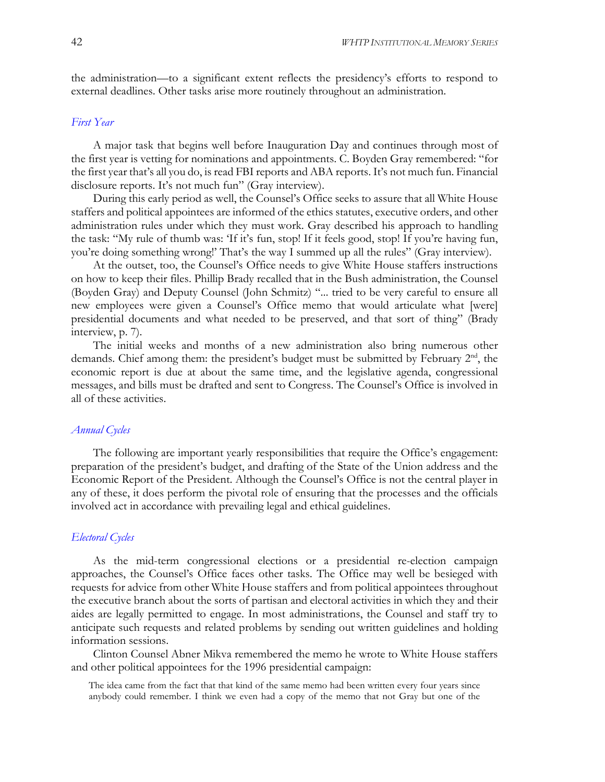the administration—to a significant extent reflects the presidency's efforts to respond to external deadlines. Other tasks arise more routinely throughout an administration.

#### *First Year*

A major task that begins well before Inauguration Day and continues through most of the first year is vetting for nominations and appointments. C. Boyden Gray remembered: "for the first year that's all you do, is read FBI reports and ABA reports. It's not much fun. Financial disclosure reports. It's not much fun" (Gray interview).

During this early period as well, the Counsel's Office seeks to assure that all White House staffers and political appointees are informed of the ethics statutes, executive orders, and other administration rules under which they must work. Gray described his approach to handling the task: "My rule of thumb was: 'If it's fun, stop! If it feels good, stop! If you're having fun, you're doing something wrong!' That's the way I summed up all the rules" (Gray interview).

At the outset, too, the Counsel's Office needs to give White House staffers instructions on how to keep their files. Phillip Brady recalled that in the Bush administration, the Counsel (Boyden Gray) and Deputy Counsel (John Schmitz) "... tried to be very careful to ensure all new employees were given a Counsel's Office memo that would articulate what [were] presidential documents and what needed to be preserved, and that sort of thing" (Brady interview, p. 7).

The initial weeks and months of a new administration also bring numerous other demands. Chief among them: the president's budget must be submitted by February 2<sup>nd</sup>, the economic report is due at about the same time, and the legislative agenda, congressional messages, and bills must be drafted and sent to Congress. The Counsel's Office is involved in all of these activities.

#### *Annual Cycles*

The following are important yearly responsibilities that require the Office's engagement: preparation of the president's budget, and drafting of the State of the Union address and the Economic Report of the President. Although the Counsel's Office is not the central player in any of these, it does perform the pivotal role of ensuring that the processes and the officials involved act in accordance with prevailing legal and ethical guidelines.

#### *Electoral Cycles*

As the mid-term congressional elections or a presidential re-election campaign approaches, the Counsel's Office faces other tasks. The Office may well be besieged with requests for advice from other White House staffers and from political appointees throughout the executive branch about the sorts of partisan and electoral activities in which they and their aides are legally permitted to engage. In most administrations, the Counsel and staff try to anticipate such requests and related problems by sending out written guidelines and holding information sessions.

Clinton Counsel Abner Mikva remembered the memo he wrote to White House staffers and other political appointees for the 1996 presidential campaign:

The idea came from the fact that that kind of the same memo had been written every four years since anybody could remember. I think we even had a copy of the memo that not Gray but one of the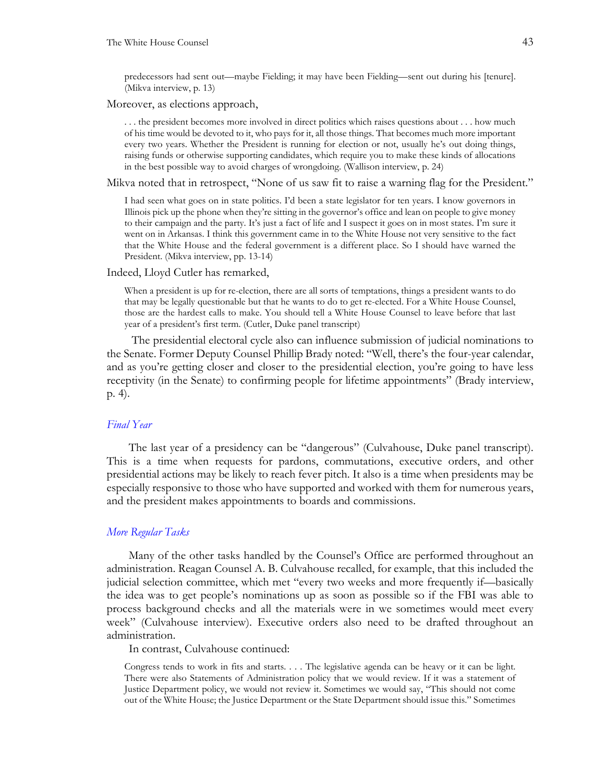predecessors had sent out—maybe Fielding; it may have been Fielding—sent out during his [tenure]. (Mikva interview, p. 13)

#### Moreover, as elections approach,

. . . the president becomes more involved in direct politics which raises questions about . . . how much of his time would be devoted to it, who pays for it, all those things. That becomes much more important every two years. Whether the President is running for election or not, usually he's out doing things, raising funds or otherwise supporting candidates, which require you to make these kinds of allocations in the best possible way to avoid charges of wrongdoing. (Wallison interview, p. 24)

Mikva noted that in retrospect, "None of us saw fit to raise a warning flag for the President."

I had seen what goes on in state politics. I'd been a state legislator for ten years. I know governors in Illinois pick up the phone when they're sitting in the governor's office and lean on people to give money to their campaign and the party. It's just a fact of life and I suspect it goes on in most states. I'm sure it went on in Arkansas. I think this government came in to the White House not very sensitive to the fact that the White House and the federal government is a different place. So I should have warned the President. (Mikva interview, pp. 13-14)

#### Indeed, Lloyd Cutler has remarked,

When a president is up for re-election, there are all sorts of temptations, things a president wants to do that may be legally questionable but that he wants to do to get re-elected. For a White House Counsel, those are the hardest calls to make. You should tell a White House Counsel to leave before that last year of a president's first term. (Cutler, Duke panel transcript)

The presidential electoral cycle also can influence submission of judicial nominations to the Senate. Former Deputy Counsel Phillip Brady noted: "Well, there's the four-year calendar, and as you're getting closer and closer to the presidential election, you're going to have less receptivity (in the Senate) to confirming people for lifetime appointments" (Brady interview, p. 4).

#### *Final Year*

The last year of a presidency can be "dangerous" (Culvahouse, Duke panel transcript). This is a time when requests for pardons, commutations, executive orders, and other presidential actions may be likely to reach fever pitch. It also is a time when presidents may be especially responsive to those who have supported and worked with them for numerous years, and the president makes appointments to boards and commissions.

#### *More Regular Tasks*

Many of the other tasks handled by the Counsel's Office are performed throughout an administration. Reagan Counsel A. B. Culvahouse recalled, for example, that this included the judicial selection committee, which met "every two weeks and more frequently if—basically the idea was to get people's nominations up as soon as possible so if the FBI was able to process background checks and all the materials were in we sometimes would meet every week" (Culvahouse interview). Executive orders also need to be drafted throughout an administration.

In contrast, Culvahouse continued:

Congress tends to work in fits and starts. . . . The legislative agenda can be heavy or it can be light. There were also Statements of Administration policy that we would review. If it was a statement of Justice Department policy, we would not review it. Sometimes we would say, "This should not come out of the White House; the Justice Department or the State Department should issue this." Sometimes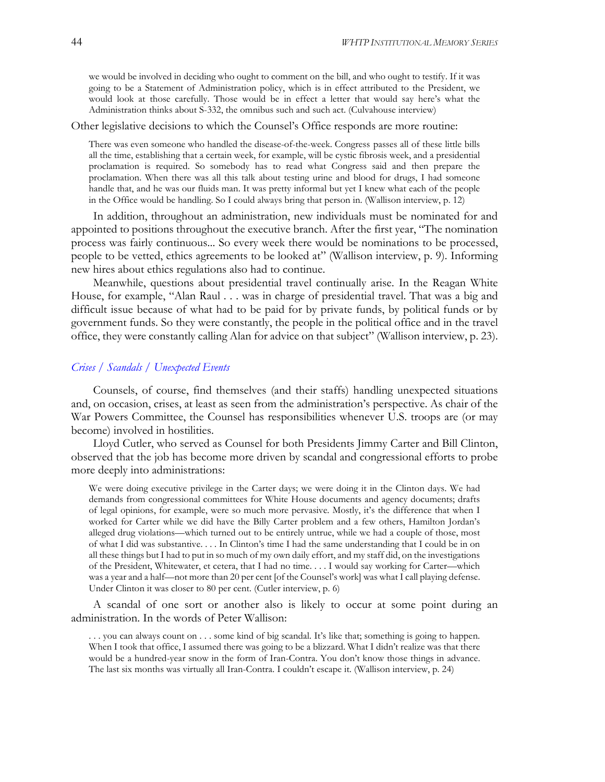we would be involved in deciding who ought to comment on the bill, and who ought to testify. If it was going to be a Statement of Administration policy, which is in effect attributed to the President, we would look at those carefully. Those would be in effect a letter that would say here's what the Administration thinks about S-332, the omnibus such and such act. (Culvahouse interview)

Other legislative decisions to which the Counsel's Office responds are more routine:

There was even someone who handled the disease-of-the-week. Congress passes all of these little bills all the time, establishing that a certain week, for example, will be cystic fibrosis week, and a presidential proclamation is required. So somebody has to read what Congress said and then prepare the proclamation. When there was all this talk about testing urine and blood for drugs, I had someone handle that, and he was our fluids man. It was pretty informal but yet I knew what each of the people in the Office would be handling. So I could always bring that person in. (Wallison interview, p. 12)

In addition, throughout an administration, new individuals must be nominated for and appointed to positions throughout the executive branch. After the first year, "The nomination process was fairly continuous... So every week there would be nominations to be processed, people to be vetted, ethics agreements to be looked at" (Wallison interview, p. 9). Informing new hires about ethics regulations also had to continue.

Meanwhile, questions about presidential travel continually arise. In the Reagan White House, for example, "Alan Raul . . . was in charge of presidential travel. That was a big and difficult issue because of what had to be paid for by private funds, by political funds or by government funds. So they were constantly, the people in the political office and in the travel office, they were constantly calling Alan for advice on that subject" (Wallison interview, p. 23).

#### *Crises / Scandals / Unexpected Events*

Counsels, of course, find themselves (and their staffs) handling unexpected situations and, on occasion, crises, at least as seen from the administration's perspective. As chair of the War Powers Committee, the Counsel has responsibilities whenever U.S. troops are (or may become) involved in hostilities.

Lloyd Cutler, who served as Counsel for both Presidents Jimmy Carter and Bill Clinton, observed that the job has become more driven by scandal and congressional efforts to probe more deeply into administrations:

We were doing executive privilege in the Carter days; we were doing it in the Clinton days. We had demands from congressional committees for White House documents and agency documents; drafts of legal opinions, for example, were so much more pervasive. Mostly, it's the difference that when I worked for Carter while we did have the Billy Carter problem and a few others, Hamilton Jordan's alleged drug violations—which turned out to be entirely untrue, while we had a couple of those, most of what I did was substantive. . . . In Clinton's time I had the same understanding that I could be in on all these things but I had to put in so much of my own daily effort, and my staff did, on the investigations of the President, Whitewater, et cetera, that I had no time. . . . I would say working for Carter—which was a year and a half—not more than 20 per cent [of the Counsel's work] was what I call playing defense. Under Clinton it was closer to 80 per cent. (Cutler interview, p. 6)

A scandal of one sort or another also is likely to occur at some point during an administration. In the words of Peter Wallison:

. . . you can always count on . . . some kind of big scandal. It's like that; something is going to happen. When I took that office, I assumed there was going to be a blizzard. What I didn't realize was that there would be a hundred-year snow in the form of Iran-Contra. You don't know those things in advance. The last six months was virtually all Iran-Contra. I couldn't escape it. (Wallison interview, p. 24)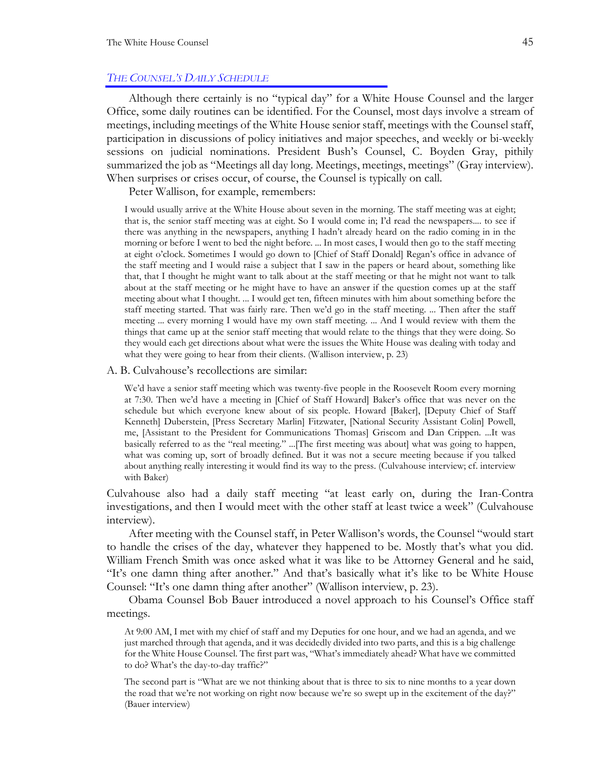#### *THE COUNSEL'S DAILY SCHEDULE*

Although there certainly is no "typical day" for a White House Counsel and the larger Office, some daily routines can be identified. For the Counsel, most days involve a stream of meetings, including meetings of the White House senior staff, meetings with the Counsel staff, participation in discussions of policy initiatives and major speeches, and weekly or bi-weekly sessions on judicial nominations. President Bush's Counsel, C. Boyden Gray, pithily summarized the job as "Meetings all day long. Meetings, meetings, meetings" (Gray interview). When surprises or crises occur, of course, the Counsel is typically on call.

Peter Wallison, for example, remembers:

I would usually arrive at the White House about seven in the morning. The staff meeting was at eight; that is, the senior staff meeting was at eight. So I would come in; I'd read the newspapers.... to see if there was anything in the newspapers, anything I hadn't already heard on the radio coming in in the morning or before I went to bed the night before. ... In most cases, I would then go to the staff meeting at eight o'clock. Sometimes I would go down to [Chief of Staff Donald] Regan's office in advance of the staff meeting and I would raise a subject that I saw in the papers or heard about, something like that, that I thought he might want to talk about at the staff meeting or that he might not want to talk about at the staff meeting or he might have to have an answer if the question comes up at the staff meeting about what I thought. ... I would get ten, fifteen minutes with him about something before the staff meeting started. That was fairly rare. Then we'd go in the staff meeting. ... Then after the staff meeting ... every morning I would have my own staff meeting. ... And I would review with them the things that came up at the senior staff meeting that would relate to the things that they were doing. So they would each get directions about what were the issues the White House was dealing with today and what they were going to hear from their clients. (Wallison interview, p. 23)

#### A. B. Culvahouse's recollections are similar:

We'd have a senior staff meeting which was twenty-five people in the Roosevelt Room every morning at 7:30. Then we'd have a meeting in [Chief of Staff Howard] Baker's office that was never on the schedule but which everyone knew about of six people. Howard [Baker], [Deputy Chief of Staff Kenneth] Duberstein, [Press Secretary Marlin] Fitzwater, [National Security Assistant Colin] Powell, me, [Assistant to the President for Communications Thomas] Griscom and Dan Crippen. ...It was basically referred to as the "real meeting." ...[The first meeting was about] what was going to happen, what was coming up, sort of broadly defined. But it was not a secure meeting because if you talked about anything really interesting it would find its way to the press. (Culvahouse interview; cf. interview with Baker)

Culvahouse also had a daily staff meeting "at least early on, during the Iran-Contra investigations, and then I would meet with the other staff at least twice a week" (Culvahouse interview).

After meeting with the Counsel staff, in Peter Wallison's words, the Counsel "would start to handle the crises of the day, whatever they happened to be. Mostly that's what you did. William French Smith was once asked what it was like to be Attorney General and he said, "It's one damn thing after another." And that's basically what it's like to be White House Counsel: "It's one damn thing after another" (Wallison interview, p. 23).

Obama Counsel Bob Bauer introduced a novel approach to his Counsel's Office staff meetings.

At 9:00 AM, I met with my chief of staff and my Deputies for one hour, and we had an agenda, and we just marched through that agenda, and it was decidedly divided into two parts, and this is a big challenge for the White House Counsel. The first part was, "What's immediately ahead? What have we committed to do? What's the day-to-day traffic?"

The second part is "What are we not thinking about that is three to six to nine months to a year down the road that we're not working on right now because we're so swept up in the excitement of the day?" (Bauer interview)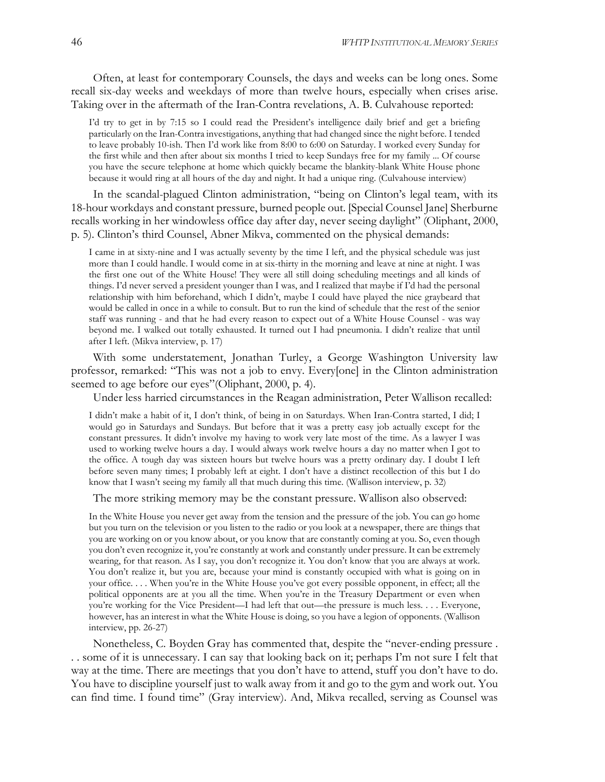Often, at least for contemporary Counsels, the days and weeks can be long ones. Some recall six-day weeks and weekdays of more than twelve hours, especially when crises arise. Taking over in the aftermath of the Iran-Contra revelations, A. B. Culvahouse reported:

I'd try to get in by 7:15 so I could read the President's intelligence daily brief and get a briefing particularly on the Iran-Contra investigations, anything that had changed since the night before. I tended to leave probably 10-ish. Then I'd work like from 8:00 to 6:00 on Saturday. I worked every Sunday for the first while and then after about six months I tried to keep Sundays free for my family ... Of course you have the secure telephone at home which quickly became the blankity-blank White House phone because it would ring at all hours of the day and night. It had a unique ring. (Culvahouse interview)

In the scandal-plagued Clinton administration, "being on Clinton's legal team, with its 18-hour workdays and constant pressure, burned people out. [Special Counsel Jane] Sherburne recalls working in her windowless office day after day, never seeing daylight" (Oliphant, 2000, p. 5). Clinton's third Counsel, Abner Mikva, commented on the physical demands:

I came in at sixty-nine and I was actually seventy by the time I left, and the physical schedule was just more than I could handle. I would come in at six-thirty in the morning and leave at nine at night. I was the first one out of the White House! They were all still doing scheduling meetings and all kinds of things. I'd never served a president younger than I was, and I realized that maybe if I'd had the personal relationship with him beforehand, which I didn't, maybe I could have played the nice graybeard that would be called in once in a while to consult. But to run the kind of schedule that the rest of the senior staff was running - and that he had every reason to expect out of a White House Counsel - was way beyond me. I walked out totally exhausted. It turned out I had pneumonia. I didn't realize that until after I left. (Mikva interview, p. 17)

With some understatement, Jonathan Turley, a George Washington University law professor, remarked: "This was not a job to envy. Every[one] in the Clinton administration seemed to age before our eyes"(Oliphant, 2000, p. 4).

Under less harried circumstances in the Reagan administration, Peter Wallison recalled:

I didn't make a habit of it, I don't think, of being in on Saturdays. When Iran-Contra started, I did; I would go in Saturdays and Sundays. But before that it was a pretty easy job actually except for the constant pressures. It didn't involve my having to work very late most of the time. As a lawyer I was used to working twelve hours a day. I would always work twelve hours a day no matter when I got to the office. A tough day was sixteen hours but twelve hours was a pretty ordinary day. I doubt I left before seven many times; I probably left at eight. I don't have a distinct recollection of this but I do know that I wasn't seeing my family all that much during this time. (Wallison interview, p. 32)

The more striking memory may be the constant pressure. Wallison also observed:

In the White House you never get away from the tension and the pressure of the job. You can go home but you turn on the television or you listen to the radio or you look at a newspaper, there are things that you are working on or you know about, or you know that are constantly coming at you. So, even though you don't even recognize it, you're constantly at work and constantly under pressure. It can be extremely wearing, for that reason. As I say, you don't recognize it. You don't know that you are always at work. You don't realize it, but you are, because your mind is constantly occupied with what is going on in your office. . . . When you're in the White House you've got every possible opponent, in effect; all the political opponents are at you all the time. When you're in the Treasury Department or even when you're working for the Vice President—I had left that out—the pressure is much less. . . . Everyone, however, has an interest in what the White House is doing, so you have a legion of opponents. (Wallison interview, pp. 26-27)

Nonetheless, C. Boyden Gray has commented that, despite the "never-ending pressure . . . some of it is unnecessary. I can say that looking back on it; perhaps I'm not sure I felt that way at the time. There are meetings that you don't have to attend, stuff you don't have to do. You have to discipline yourself just to walk away from it and go to the gym and work out. You can find time. I found time" (Gray interview). And, Mikva recalled, serving as Counsel was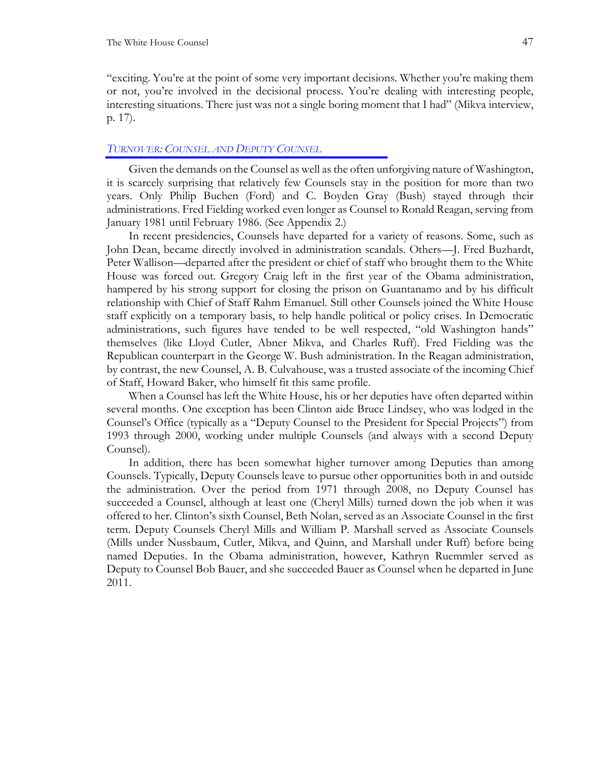"exciting. You're at the point of some very important decisions. Whether you're making them or not, you're involved in the decisional process. You're dealing with interesting people, interesting situations. There just was not a single boring moment that I had" (Mikva interview, p. 17).

#### *TURNOVER: COUNSEL AND DEPUTY COUNSEL*

Given the demands on the Counsel as well as the often unforgiving nature of Washington, it is scarcely surprising that relatively few Counsels stay in the position for more than two years. Only Philip Buchen (Ford) and C. Boyden Gray (Bush) stayed through their administrations. Fred Fielding worked even longer as Counsel to Ronald Reagan, serving from January 1981 until February 1986. (See [Appendix 2.](#page-59-0))

In recent presidencies, Counsels have departed for a variety of reasons. Some, such as John Dean, became directly involved in administration scandals. Others—J. Fred Buzhardt, Peter Wallison—departed after the president or chief of staff who brought them to the White House was forced out. Gregory Craig left in the first year of the Obama administration, hampered by his strong support for closing the prison on Guantanamo and by his difficult relationship with Chief of Staff Rahm Emanuel. Still other Counsels joined the White House staff explicitly on a temporary basis, to help handle political or policy crises. In Democratic administrations, such figures have tended to be well respected, "old Washington hands" themselves (like Lloyd Cutler, Abner Mikva, and Charles Ruff). Fred Fielding was the Republican counterpart in the George W. Bush administration. In the Reagan administration, by contrast, the new Counsel, A. B. Culvahouse, was a trusted associate of the incoming Chief of Staff, Howard Baker, who himself fit this same profile.

When a Counsel has left the White House, his or her deputies have often departed within several months. One exception has been Clinton aide Bruce Lindsey, who was lodged in the Counsel's Office (typically as a "Deputy Counsel to the President for Special Projects") from 1993 through 2000, working under multiple Counsels (and always with a second Deputy Counsel).

In addition, there has been somewhat higher turnover among Deputies than among Counsels. Typically, Deputy Counsels leave to pursue other opportunities both in and outside the administration. Over the period from 1971 through 2008, no Deputy Counsel has succeeded a Counsel, although at least one (Cheryl Mills) turned down the job when it was offered to her. Clinton's sixth Counsel, Beth Nolan, served as an Associate Counsel in the first term. Deputy Counsels Cheryl Mills and William P. Marshall served as Associate Counsels (Mills under Nussbaum, Cutler, Mikva, and Quinn, and Marshall under Ruff) before being named Deputies. In the Obama administration, however, Kathryn Ruemmler served as Deputy to Counsel Bob Bauer, and she succeeded Bauer as Counsel when he departed in June 2011.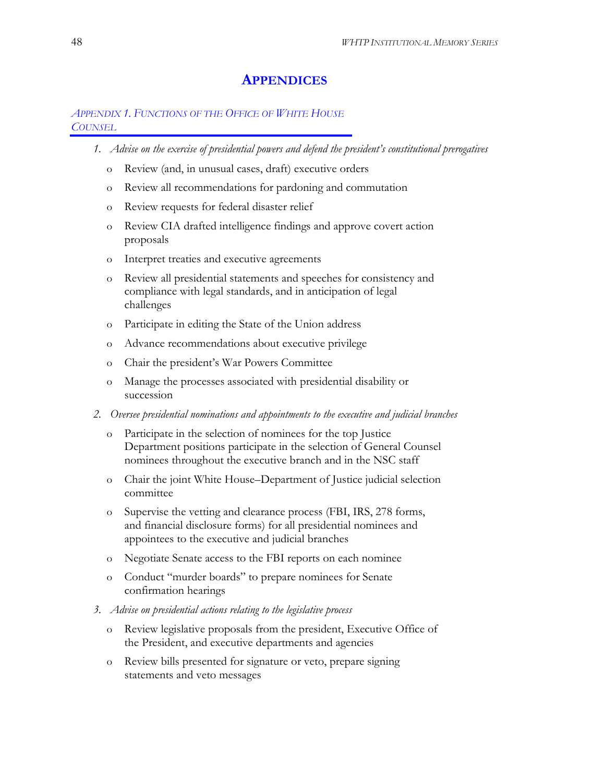## **APPENDICES**

## <span id="page-57-0"></span>*APPENDIX 1. FUNCTIONS OF THE OFFICE OF WHITE HOUSE COUNSEL*

- *1. Advise on the exercise of presidential powers and defend the president's constitutional prerogatives*
	- o Review (and, in unusual cases, draft) executive orders
	- o Review all recommendations for pardoning and commutation
	- o Review requests for federal disaster relief
	- o Review CIA drafted intelligence findings and approve covert action proposals
	- o Interpret treaties and executive agreements
	- o Review all presidential statements and speeches for consistency and compliance with legal standards, and in anticipation of legal challenges
	- o Participate in editing the State of the Union address
	- o Advance recommendations about executive privilege
	- o Chair the president's War Powers Committee
	- o Manage the processes associated with presidential disability or succession
- *2. Oversee presidential nominations and appointments to the executive and judicial branches*
	- o Participate in the selection of nominees for the top Justice Department positions participate in the selection of General Counsel nominees throughout the executive branch and in the NSC staff
	- o Chair the joint White House–Department of Justice judicial selection committee
	- o Supervise the vetting and clearance process (FBI, IRS, 278 forms, and financial disclosure forms) for all presidential nominees and appointees to the executive and judicial branches
	- o Negotiate Senate access to the FBI reports on each nominee
	- o Conduct "murder boards" to prepare nominees for Senate confirmation hearings
- *3. Advise on presidential actions relating to the legislative process* 
	- o Review legislative proposals from the president, Executive Office of the President, and executive departments and agencies
	- o Review bills presented for signature or veto, prepare signing statements and veto messages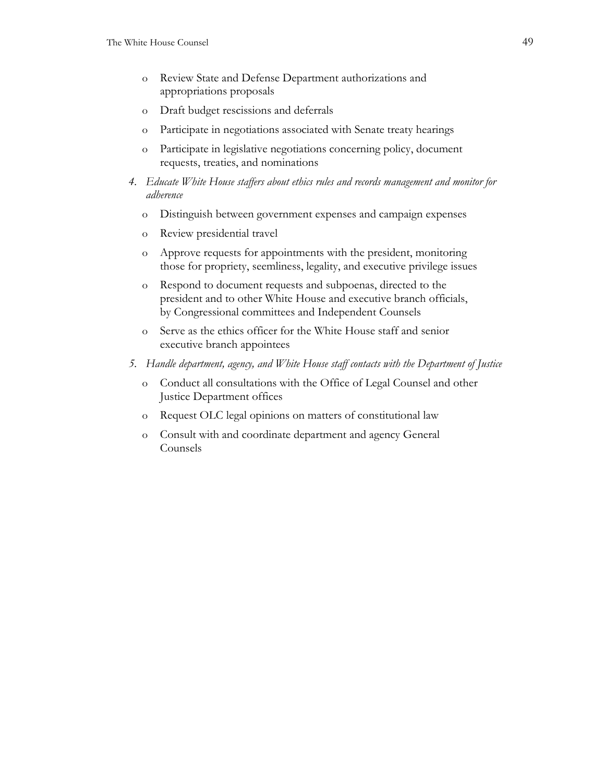- o Review State and Defense Department authorizations and appropriations proposals
- o Draft budget rescissions and deferrals
- o Participate in negotiations associated with Senate treaty hearings
- o Participate in legislative negotiations concerning policy, document requests, treaties, and nominations
- *4. Educate White House staffers about ethics rules and records management and monitor for adherence* 
	- o Distinguish between government expenses and campaign expenses
	- o Review presidential travel
	- o Approve requests for appointments with the president, monitoring those for propriety, seemliness, legality, and executive privilege issues
	- o Respond to document requests and subpoenas, directed to the president and to other White House and executive branch officials, by Congressional committees and Independent Counsels
	- o Serve as the ethics officer for the White House staff and senior executive branch appointees
- *5. Handle department, agency, and White House staff contacts with the Department of Justice* 
	- o Conduct all consultations with the Office of Legal Counsel and other Justice Department offices
	- o Request OLC legal opinions on matters of constitutional law
	- o Consult with and coordinate department and agency General Counsels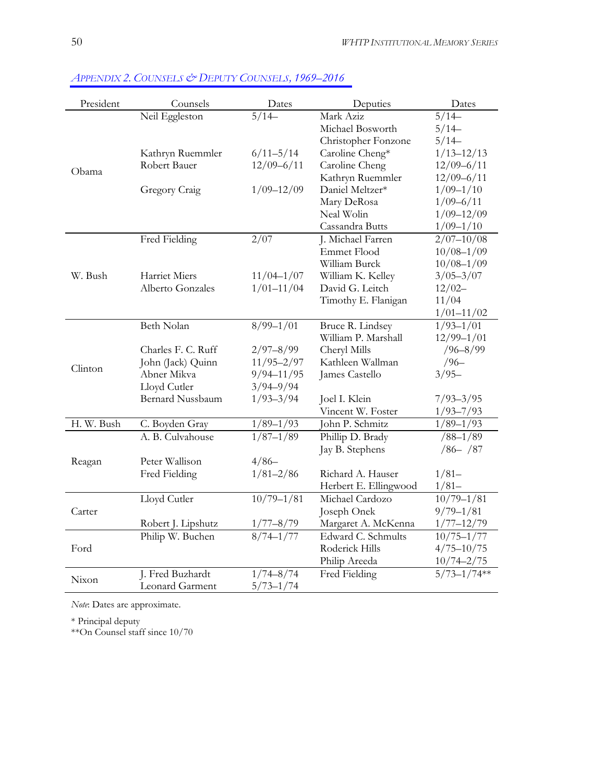| President  | Counsels                | Dates                             | Deputies              | Dates           |
|------------|-------------------------|-----------------------------------|-----------------------|-----------------|
|            | Neil Eggleston          | $5/14-$                           | Mark Aziz             | $5/14-$         |
|            |                         |                                   | Michael Bosworth      | $5/14-$         |
|            |                         |                                   | Christopher Fonzone   | $5/14-$         |
|            | Kathryn Ruemmler        | $6/11 - 5/14$                     | Caroline Cheng*       | $1/13 - 12/13$  |
| Obama      | Robert Bauer            | $12/09 - 6/11$                    | Caroline Cheng        | $12/09 - 6/11$  |
|            |                         |                                   | Kathryn Ruemmler      | $12/09 - 6/11$  |
|            | Gregory Craig           | $1/09 - 12/09$                    | Daniel Meltzer*       | $1/09 - 1/10$   |
|            |                         |                                   | Mary DeRosa           | $1/09 - 6/11$   |
|            |                         |                                   | Neal Wolin            | $1/09 - 12/09$  |
|            |                         |                                   | Cassandra Butts       | $1/09 - 1/10$   |
|            | Fred Fielding           | 2/07                              | J. Michael Farren     | $2/07 - 10/08$  |
|            |                         |                                   | Emmet Flood           | $10/08 - 1/09$  |
|            |                         |                                   | William Burck         | $10/08 - 1/09$  |
| W. Bush    | <b>Harriet Miers</b>    | $11/04 - 1/07$                    | William K. Kelley     | $3/05 - 3/07$   |
|            | Alberto Gonzales        | $1/01 - 11/04$                    | David G. Leitch       | $12/02-$        |
|            |                         |                                   | Timothy E. Flanigan   | 11/04           |
|            |                         |                                   |                       | $1/01 - 11/02$  |
|            | <b>Beth Nolan</b>       | $8/99 - 1/01$                     | Bruce R. Lindsey      | $1/93 - 1/01$   |
|            |                         |                                   | William P. Marshall   | $12/99 - 1/01$  |
|            | Charles F. C. Ruff      | $2/97 - 8/99$                     | Cheryl Mills          | $/96 - 8/99$    |
| Clinton    | John (Jack) Quinn       | $11/95 - 2/97$                    | Kathleen Wallman      | $/96-$          |
|            | Abner Mikva             | $9/94 - 11/95$                    | James Castello        | $3/95 -$        |
|            | Lloyd Cutler            | $3/94 - 9/94$                     |                       |                 |
|            | <b>Bernard Nussbaum</b> | $1/93 - 3/94$                     | Joel I. Klein         | $7/93 - 3/95$   |
|            |                         |                                   | Vincent W. Foster     | $1/93 - 7/93$   |
| H. W. Bush | C. Boyden Gray          | $1/89 - 1/93$                     | John P. Schmitz       | $1/89 - 1/93$   |
| Reagan     | A. B. Culvahouse        | $1/87 - 1/89$                     | Phillip D. Brady      | $/88 - 1/89$    |
|            |                         |                                   | Jay B. Stephens       | $/86 - /87$     |
|            | Peter Wallison          | $4/86-$                           |                       |                 |
|            | Fred Fielding           | $1/81 - 2/86$                     | Richard A. Hauser     | $1/81-$         |
|            |                         |                                   | Herbert E. Ellingwood | $1/81-$         |
|            | Lloyd Cutler            | $10/79 - 1/81$                    | Michael Cardozo       | $10/79 - 1/81$  |
| Carter     |                         |                                   | Joseph Onek           | $9/79 - 1/81$   |
|            | Robert J. Lipshutz      |                                   | Margaret A. McKenna   | $1/77 - 12/79$  |
| Ford       | Philip W. Buchen        | $\frac{1/77 - 8/79}{8/74 - 1/77}$ | Edward C. Schmults    | $10/75 - 1/77$  |
|            |                         |                                   | Roderick Hills        | $4/75 - 10/75$  |
|            |                         |                                   | Philip Areeda         | $10/74 - 2/75$  |
|            | J. Fred Buzhardt        | $1/74 - 8/74$                     | Fred Fielding         | $5/73 - 1/74**$ |
| Nixon      | <b>Leonard Garment</b>  | $5/73 - 1/74$                     |                       |                 |

## <span id="page-59-0"></span>*APPENDIX 2. COUNSELS & DEPUTY COUNSELS, 1969–2016*

*Note*: Dates are approximate.

\* Principal deputy

\*\*On Counsel staff since 10/70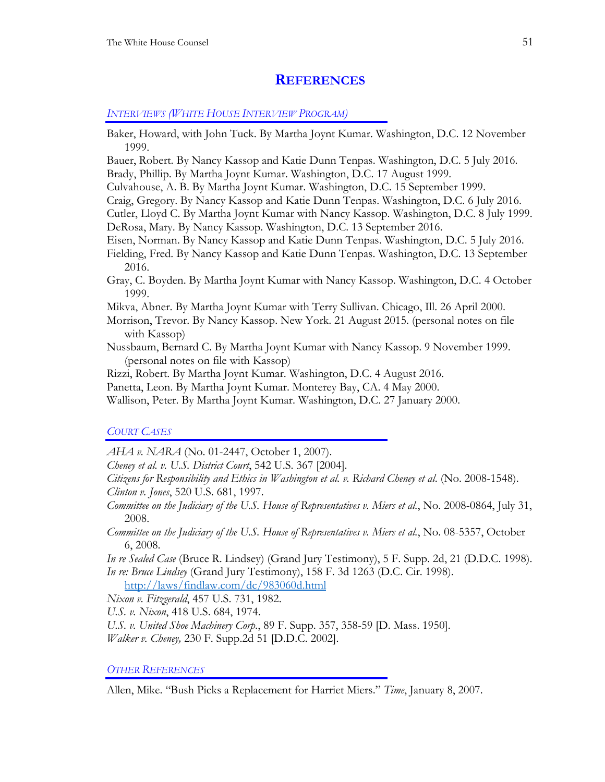## **REFERENCES**

*INTERVIEWS (WHITE HOUSE INTERVIEW PROGRAM)*

Baker, Howard, with John Tuck. By Martha Joynt Kumar. Washington, D.C. 12 November 1999.

Bauer, Robert. By Nancy Kassop and Katie Dunn Tenpas. Washington, D.C. 5 July 2016. Brady, Phillip. By Martha Joynt Kumar. Washington, D.C. 17 August 1999.

Culvahouse, A. B. By Martha Joynt Kumar. Washington, D.C. 15 September 1999.

Craig, Gregory. By Nancy Kassop and Katie Dunn Tenpas. Washington, D.C. 6 July 2016.

Cutler, Lloyd C. By Martha Joynt Kumar with Nancy Kassop. Washington, D.C. 8 July 1999. DeRosa, Mary. By Nancy Kassop. Washington, D.C. 13 September 2016.

Eisen, Norman. By Nancy Kassop and Katie Dunn Tenpas. Washington, D.C. 5 July 2016. Fielding, Fred. By Nancy Kassop and Katie Dunn Tenpas. Washington, D.C. 13 September 2016.

Gray, C. Boyden. By Martha Joynt Kumar with Nancy Kassop. Washington, D.C. 4 October 1999.

Mikva, Abner. By Martha Joynt Kumar with Terry Sullivan. Chicago, Ill. 26 April 2000.

- Morrison, Trevor. By Nancy Kassop. New York. 21 August 2015. (personal notes on file with Kassop)
- Nussbaum, Bernard C. By Martha Joynt Kumar with Nancy Kassop. 9 November 1999. (personal notes on file with Kassop)
- Rizzi, Robert. By Martha Joynt Kumar. Washington, D.C. 4 August 2016.
- Panetta, Leon. By Martha Joynt Kumar. Monterey Bay, CA. 4 May 2000.

Wallison, Peter. By Martha Joynt Kumar. Washington, D.C. 27 January 2000.

#### *COURT CASES*

*AHA v. NARA* (No. 01-2447, October 1, 2007).

*Cheney et al. v. U.S. District Court*, 542 U.S. 367 [2004].

*Citizens for Responsibility and Ethics in Washington et al. v. Richard Cheney et al*. (No. 2008-1548). *Clinton v. Jones*, 520 U.S. 681, 1997.

*Committee on the Judiciary of the U.S. House of Representatives v. Miers et al.*, No. 2008-0864, July 31, 2008.

*Committee on the Judiciary of the U.S. House of Representatives v. Miers et al.*, No. 08-5357, October 6, 2008.

*In re Sealed Case* (Bruce R. Lindsey) (Grand Jury Testimony), 5 F. Supp. 2d, 21 (D.D.C. 1998). *In re: Bruce Lindsey* (Grand Jury Testimony), 158 F. 3d 1263 (D.C. Cir. 1998).

<http://laws/findlaw.com/dc/983060d.html>

*Nixon v. Fitzgerald*, 457 U.S. 731, 1982.

*U.S. v. Nixon*, 418 U.S. 684, 1974.

*U.S. v. United Shoe Machinery Corp.*, 89 F. Supp. 357, 358-59 [D. Mass. 1950].

*Walker v. Cheney,* 230 F. Supp.2d 51 [D.D.C. 2002].

*OTHER REFERENCES*

Allen, Mike. "Bush Picks a Replacement for Harriet Miers." *Time*, January 8, 2007.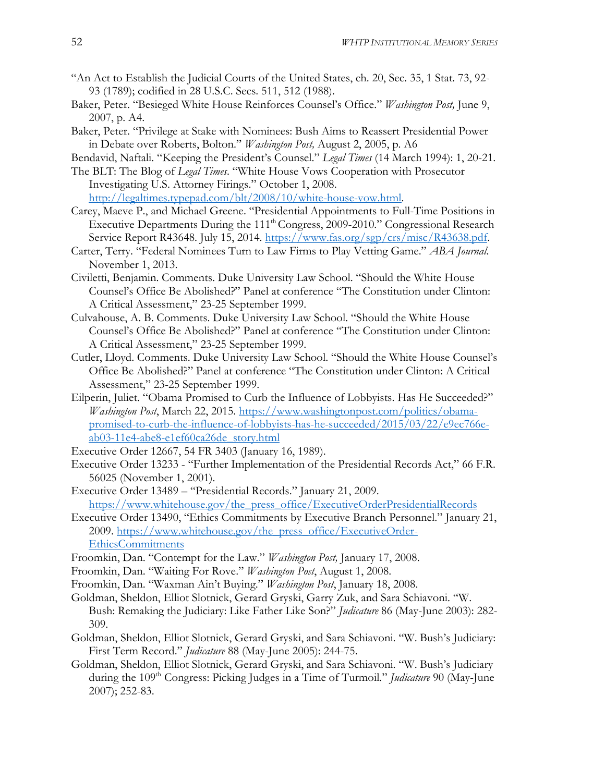- "An Act to Establish the Judicial Courts of the United States, ch. 20, Sec. 35, 1 Stat. 73, 92- 93 (1789); codified in 28 U.S.C. Secs. 511, 512 (1988).
- Baker, Peter. "Besieged White House Reinforces Counsel's Office." *Washington Post,* June 9, 2007, p. A4.
- Baker, Peter. "Privilege at Stake with Nominees: Bush Aims to Reassert Presidential Power in Debate over Roberts, Bolton." *Washington Post,* August 2, 2005, p. A6
- Bendavid, Naftali. "Keeping the President's Counsel." *Legal Times* (14 March 1994): 1, 20-21.
- The BLT: The Blog of *Legal Times*. "White House Vows Cooperation with Prosecutor Investigating U.S. Attorney Firings." October 1, 2008. [http://legaltimes.typepad.com/blt/2008/10/white-house-vow.html.](http://legaltimes.typepad.com/blt/2008/10/white-house-vow.html)
- Carey, Maeve P., and Michael Greene. "Presidential Appointments to Full-Time Positions in Executive Departments During the 111<sup>th</sup> Congress, 2009-2010." Congressional Research Service Report R43648. July 15, 2014. [https://www.fas.org/sgp/crs/misc/R43638.pdf.](https://www.fas.org/sgp/crs/misc/R43638.pdf)
- Carter, Terry. "Federal Nominees Turn to Law Firms to Play Vetting Game." *ABA Journal*. November 1, 2013.
- Civiletti, Benjamin. Comments. Duke University Law School. "Should the White House Counsel's Office Be Abolished?" Panel at conference "The Constitution under Clinton: A Critical Assessment," 23-25 September 1999.
- Culvahouse, A. B. Comments. Duke University Law School. "Should the White House Counsel's Office Be Abolished?" Panel at conference "The Constitution under Clinton: A Critical Assessment," 23-25 September 1999.
- Cutler, Lloyd. Comments. Duke University Law School. "Should the White House Counsel's Office Be Abolished?" Panel at conference "The Constitution under Clinton: A Critical Assessment," 23-25 September 1999.
- Eilperin, Juliet. "Obama Promised to Curb the Influence of Lobbyists. Has He Succeeded?" *Washington Post*, March 22, 2015. [https://www.washingtonpost.com/politics/obama](https://www.washingtonpost.com/politics/obama-promised-to-curb-the-influence-of-lobbyists-has-he-succeeded/2015/03/22/e9ec766e-ab03-11e4-abe8-e1ef60ca26de_story.html)[promised-to-curb-the-influence-of-lobbyists-has-he-succeeded/2015/03/22/e9ec766e](https://www.washingtonpost.com/politics/obama-promised-to-curb-the-influence-of-lobbyists-has-he-succeeded/2015/03/22/e9ec766e-ab03-11e4-abe8-e1ef60ca26de_story.html)[ab03-11e4-abe8-e1ef60ca26de\\_story.html](https://www.washingtonpost.com/politics/obama-promised-to-curb-the-influence-of-lobbyists-has-he-succeeded/2015/03/22/e9ec766e-ab03-11e4-abe8-e1ef60ca26de_story.html)
- Executive Order 12667, 54 FR 3403 (January 16, 1989).
- Executive Order 13233 "Further Implementation of the Presidential Records Act," 66 F.R. 56025 (November 1, 2001).
- Executive Order 13489 "Presidential Records." January 21, 2009. [https://www.whitehouse.gov/the\\_press\\_office/ExecutiveOrderPresidentialRecords](https://www.whitehouse.gov/the_press_office/ExecutiveOrderPresidentialRecords)
- Executive Order 13490, "Ethics Commitments by Executive Branch Personnel." January 21, 2009. [https://www.whitehouse.gov/the\\_press\\_office/ExecutiveOrder-](https://www.whitehouse.gov/the_press_office/ExecutiveOrder-EthicsCommitments)**[EthicsCommitments](https://www.whitehouse.gov/the_press_office/ExecutiveOrder-EthicsCommitments)**
- Froomkin, Dan. "Contempt for the Law." *Washington Post,* January 17, 2008.
- Froomkin, Dan. "Waiting For Rove." *Washington Post*, August 1, 2008.
- Froomkin, Dan. "Waxman Ain't Buying." *Washington Post*, January 18, 2008.
- Goldman, Sheldon, Elliot Slotnick, Gerard Gryski, Garry Zuk, and Sara Schiavoni. "W. Bush: Remaking the Judiciary: Like Father Like Son?" *Judicature* 86 (May-June 2003): 282- 309.
- Goldman, Sheldon, Elliot Slotnick, Gerard Gryski, and Sara Schiavoni. "W. Bush's Judiciary: First Term Record." *Judicature* 88 (May-June 2005): 244-75.
- Goldman, Sheldon, Elliot Slotnick, Gerard Gryski, and Sara Schiavoni. "W. Bush's Judiciary during the 109<sup>th</sup> Congress: Picking Judges in a Time of Turmoil." *Judicature* 90 (May-June 2007); 252-83.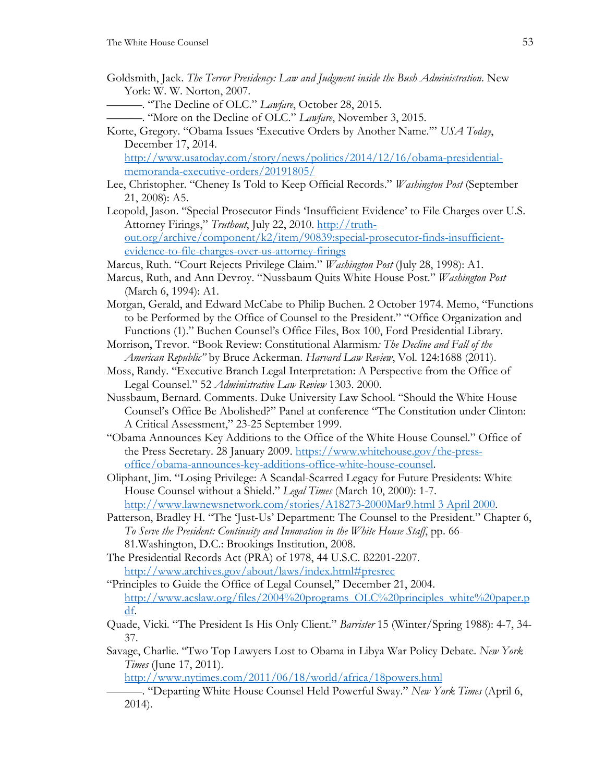- Goldsmith, Jack. *The Terror Presidency: Law and Judgment inside the Bush Administration*. New York: W. W. Norton, 2007.
	- ———. "The Decline of OLC." *Lawfare*, October 28, 2015.
- ———. "More on the Decline of OLC." *Lawfare*, November 3, 2015.
- Korte, Gregory. "Obama Issues 'Executive Orders by Another Name.'" *USA Today*, December 17, 2014.

[http://www.usatoday.com/story/news/politics/2014/12/16/obama-presidential](http://www.usatoday.com/story/news/politics/2014/12/16/obama-presidential-memoranda-executive-orders/20191805/)[memoranda-executive-orders/20191805/](http://www.usatoday.com/story/news/politics/2014/12/16/obama-presidential-memoranda-executive-orders/20191805/)

- Lee, Christopher. "Cheney Is Told to Keep Official Records." *Washington Post* (September 21, 2008): A5.
- Leopold, Jason. "Special Prosecutor Finds 'Insufficient Evidence' to File Charges over U.S. Attorney Firings," *Truthout*, July 22, 2010. [http://truth](http://truth-out.org/archive/component/k2/item/90839:special-prosecutor-finds-insufficient-evidence-to-file-charges-over-us-attorney-firings)[out.org/archive/component/k2/item/90839:special-prosecutor-finds-insufficient](http://truth-out.org/archive/component/k2/item/90839:special-prosecutor-finds-insufficient-evidence-to-file-charges-over-us-attorney-firings)[evidence-to-file-charges-over-us-attorney-firings](http://truth-out.org/archive/component/k2/item/90839:special-prosecutor-finds-insufficient-evidence-to-file-charges-over-us-attorney-firings)
- Marcus, Ruth. "Court Rejects Privilege Claim." *Washington Post* (July 28, 1998): A1.
- Marcus, Ruth, and Ann Devroy. "Nussbaum Quits White House Post." *Washington Post* (March 6, 1994): A1.
- Morgan, Gerald, and Edward McCabe to Philip Buchen. 2 October 1974. Memo, "Functions to be Performed by the Office of Counsel to the President." "Office Organization and Functions (1)." Buchen Counsel's Office Files, Box 100, Ford Presidential Library.
- Morrison, Trevor. "Book Review: Constitutional Alarmism*: The Decline and Fall of the American Republic"* by Bruce Ackerman. *Harvard Law Review*, Vol. 124:1688 (2011).
- Moss, Randy. "Executive Branch Legal Interpretation: A Perspective from the Office of Legal Counsel." 52 *Administrative Law Review* 1303. 2000.
- Nussbaum, Bernard. Comments. Duke University Law School. "Should the White House Counsel's Office Be Abolished?" Panel at conference "The Constitution under Clinton: A Critical Assessment," 23-25 September 1999.
- "Obama Announces Key Additions to the Office of the White House Counsel." Office of the Press Secretary. 28 January 2009. [https://www.whitehouse.gov/the-press](https://www.whitehouse.gov/the-press-office/obama-announces-key-additions-office-white-house-counsel)[office/obama-announces-key-additions-office-white-house-counsel.](https://www.whitehouse.gov/the-press-office/obama-announces-key-additions-office-white-house-counsel)
- Oliphant, Jim. "Losing Privilege: A Scandal-Scarred Legacy for Future Presidents: White House Counsel without a Shield." *Legal Times* (March 10, 2000): 1-7. [http://www.lawnewsnetwork.com/stories/A18273-2000Mar9.html 3 April 2000.](http://www.lawnewsnetwork.com/stories/A18273-2000Mar9.html%203%20April%202000)
- Patterson, Bradley H. "The 'Just-Us' Department: The Counsel to the President." Chapter 6, *To Serve the President: Continuity and Innovation in the White House Staff*, pp. 66- 81.Washington, D.C.: Brookings Institution, 2008.
- The Presidential Records Act (PRA) of 1978, 44 U.S.C. ß2201-2207. <http://www.archives.gov/about/laws/index.html#presrec>
- "Principles to Guide the Office of Legal Counsel," December 21, 2004. [http://www.acslaw.org/files/2004%20programs\\_OLC%20principles\\_white%20paper.p](http://www.acslaw.org/files/2004%20programs_OLC%20principles_white%20paper.pdf) [df.](http://www.acslaw.org/files/2004%20programs_OLC%20principles_white%20paper.pdf)
- Quade, Vicki. "The President Is His Only Client." *Barrister* 15 (Winter/Spring 1988): 4-7, 34- 37.
- Savage, Charlie. "Two Top Lawyers Lost to Obama in Libya War Policy Debate. *New York Times* (June 17, 2011).

<http://www.nytimes.com/2011/06/18/world/africa/18powers.html>

———. "Departing White House Counsel Held Powerful Sway." *New York Times* (April 6, 2014).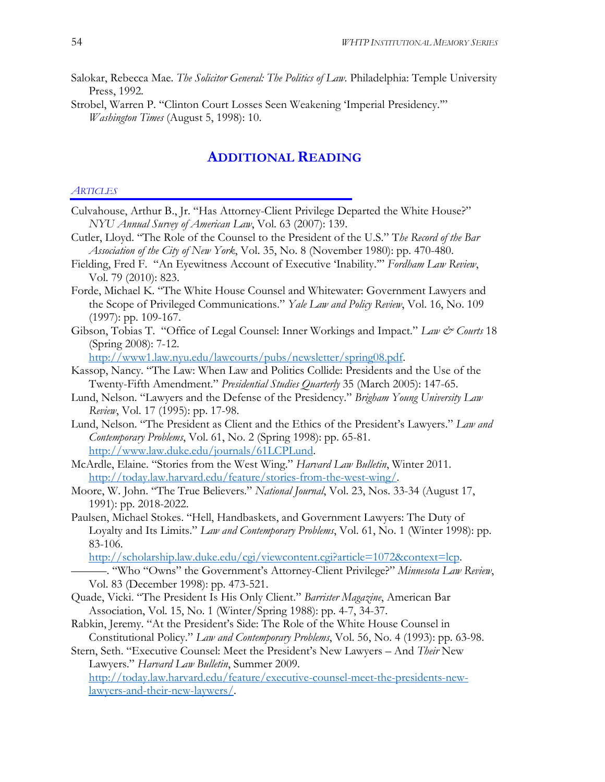- Salokar, Rebecca Mae. *The Solicitor General: The Politics of Law*. Philadelphia: Temple University Press, 1992.
- Strobel, Warren P. "Clinton Court Losses Seen Weakening 'Imperial Presidency.'" *Washington Times* (August 5, 1998): 10.

## **ADDITIONAL READING**

#### *ARTICLES*

- Culvahouse, Arthur B., Jr. "Has Attorney-Client Privilege Departed the White House?" *NYU Annual Survey of American Law*, Vol. 63 (2007): 139.
- Cutler, Lloyd. "The Role of the Counsel to the President of the U.S." T*he Record of the Bar Association of the City of New York*, Vol. 35, No. 8 (November 1980): pp. 470-480.
- Fielding, Fred F. "An Eyewitness Account of Executive 'Inability.'" *Fordham Law Review*, Vol. 79 (2010): 823.
- Forde, Michael K. "The White House Counsel and Whitewater: Government Lawyers and the Scope of Privileged Communications." *Yale Law and Policy Review*, Vol. 16, No. 109 (1997): pp. 109-167.
- Gibson, Tobias T. "Office of Legal Counsel: Inner Workings and Impact." *Law & Courts* 18 (Spring 2008): 7-12.

[http://www1.law.nyu.edu/lawcourts/pubs/newsletter/spring08.pdf.](http://www1.law.nyu.edu/lawcourts/pubs/newsletter/spring08.pdf)

- Kassop, Nancy. "The Law: When Law and Politics Collide: Presidents and the Use of the Twenty-Fifth Amendment." *Presidential Studies Quarterly* 35 (March 2005): 147-65.
- Lund, Nelson. "Lawyers and the Defense of the Presidency." *Brigham Young University Law Review*, Vol. 17 (1995): pp. 17-98.
- Lund, Nelson. "The President as Client and the Ethics of the President's Lawyers." *Law and Contemporary Problems*, Vol. 61, No. 2 (Spring 1998): pp. 65-81. [http://www.law.duke.edu/journals/61LCPLund.](http://www.law.duke.edu/journals/61LCPLund)
- McArdle, Elaine. "Stories from the West Wing." *Harvard Law Bulletin*, Winter 2011. [http://today.law.harvard.edu/feature/stories-from-the-west-wing/.](http://today.law.harvard.edu/feature/stories-from-the-west-wing/)
- Moore, W. John. "The True Believers." *National Journal*, Vol. 23, Nos. 33-34 (August 17, 1991): pp. 2018-2022.
- Paulsen, Michael Stokes. "Hell, Handbaskets, and Government Lawyers: The Duty of Loyalty and Its Limits." *Law and Contemporary Problems*, Vol. 61, No. 1 (Winter 1998): pp. 83-106.

[http://scholarship.law.duke.edu/cgi/viewcontent.cgi?article=1072&context=lcp.](http://scholarship.law.duke.edu/cgi/viewcontent.cgi?article=1072&context=lcp)

- ———. "Who "Owns" the Government's Attorney-Client Privilege?" *Minnesota Law Review*, Vol. 83 (December 1998): pp. 473-521.
- Quade, Vicki. "The President Is His Only Client." *Barrister Magazine*, American Bar Association, Vol. 15, No. 1 (Winter/Spring 1988): pp. 4-7, 34-37.
- Rabkin, Jeremy. "At the President's Side: The Role of the White House Counsel in Constitutional Policy." *Law and Contemporary Problems*, Vol. 56, No. 4 (1993): pp. 63-98.

Stern, Seth. "Executive Counsel: Meet the President's New Lawyers – And *Their* New Lawyers." *Harvard Law Bulletin*, Summer 2009.

[http://today.law.harvard.edu/feature/executive-counsel-meet-the-presidents-new](http://today.law.harvard.edu/feature/executive-counsel-meet-the-presidents-new-lawyers-and-their-new-laywers/)[lawyers-and-their-new-laywers/.](http://today.law.harvard.edu/feature/executive-counsel-meet-the-presidents-new-lawyers-and-their-new-laywers/)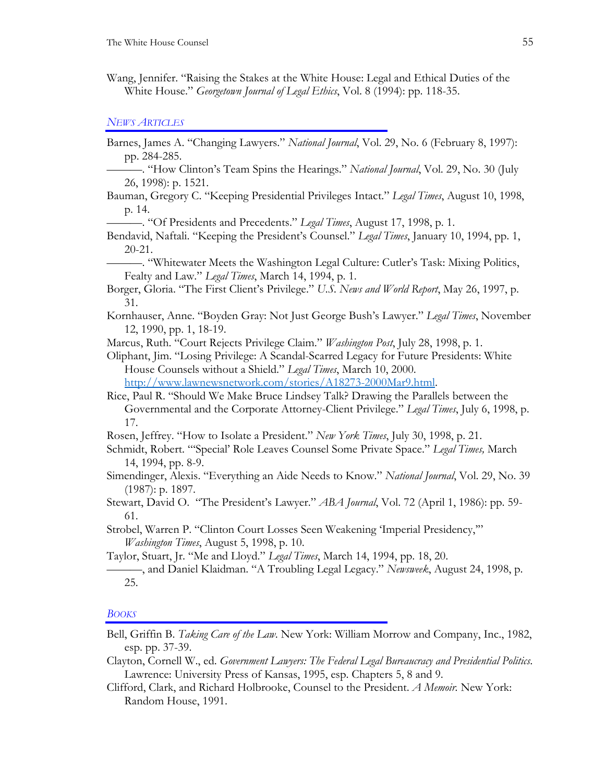Wang, Jennifer. "Raising the Stakes at the White House: Legal and Ethical Duties of the White House." *Georgetown Journal of Legal Ethics*, Vol. 8 (1994): pp. 118-35.

#### *NEWS ARTICLES*

Barnes, James A. "Changing Lawyers." *National Journal*, Vol. 29, No. 6 (February 8, 1997): pp. 284-285. ———. "How Clinton's Team Spins the Hearings." *National Journal*, Vol. 29, No. 30 (July 26, 1998): p. 1521. Bauman, Gregory C. "Keeping Presidential Privileges Intact." *Legal Times*, August 10, 1998, p. 14. ———. "Of Presidents and Precedents." *Legal Times*, August 17, 1998, p. 1. Bendavid, Naftali. "Keeping the President's Counsel." *Legal Times*, January 10, 1994, pp. 1, 20-21. ———. "Whitewater Meets the Washington Legal Culture: Cutler's Task: Mixing Politics, Fealty and Law." *Legal Times*, March 14, 1994, p. 1. Borger, Gloria. "The First Client's Privilege." *U.S. News and World Report*, May 26, 1997, p. 31. Kornhauser, Anne. "Boyden Gray: Not Just George Bush's Lawyer." *Legal Times*, November 12, 1990, pp. 1, 18-19. Marcus, Ruth. "Court Rejects Privilege Claim." *Washington Post*, July 28, 1998, p. 1. Oliphant, Jim. "Losing Privilege: A Scandal-Scarred Legacy for Future Presidents: White House Counsels without a Shield." *Legal Times*, March 10, 2000. [http://www.lawnewsnetwork.com/stories/A18273-2000Mar9.html.](http://www.lawnewsnetwork.com/stories/A18273-2000Mar9.html) Rice, Paul R. "Should We Make Bruce Lindsey Talk? Drawing the Parallels between the Governmental and the Corporate Attorney-Client Privilege." *Legal Times*, July 6, 1998, p. 17. Rosen, Jeffrey. "How to Isolate a President." *New York Times*, July 30, 1998, p. 21. Schmidt, Robert. "'Special' Role Leaves Counsel Some Private Space." *Legal Times,* March 14, 1994, pp. 8-9. Simendinger, Alexis. "Everything an Aide Needs to Know." *National Journal*, Vol. 29, No. 39 (1987): p. 1897. Stewart, David O. "The President's Lawyer." *ABA Journal*, Vol. 72 (April 1, 1986): pp. 59- 61. Strobel, Warren P. "Clinton Court Losses Seen Weakening 'Imperial Presidency,'" *Washington Times*, August 5, 1998, p. 10. Taylor, Stuart, Jr. "Me and Lloyd." *Legal Times*, March 14, 1994, pp. 18, 20. ———, and Daniel Klaidman. "A Troubling Legal Legacy." *Newsweek*, August 24, 1998, p. 25. *BOOKS* Bell, Griffin B. *Taking Care of the Law*. New York: William Morrow and Company, Inc., 1982,

- esp. pp. 37-39. Clayton, Cornell W., ed. *Government Lawyers: The Federal Legal Bureaucracy and Presidential Politics*. Lawrence: University Press of Kansas, 1995, esp. Chapters 5, 8 and 9.
- Clifford, Clark, and Richard Holbrooke, Counsel to the President. *A Memoir.* New York: Random House, 1991.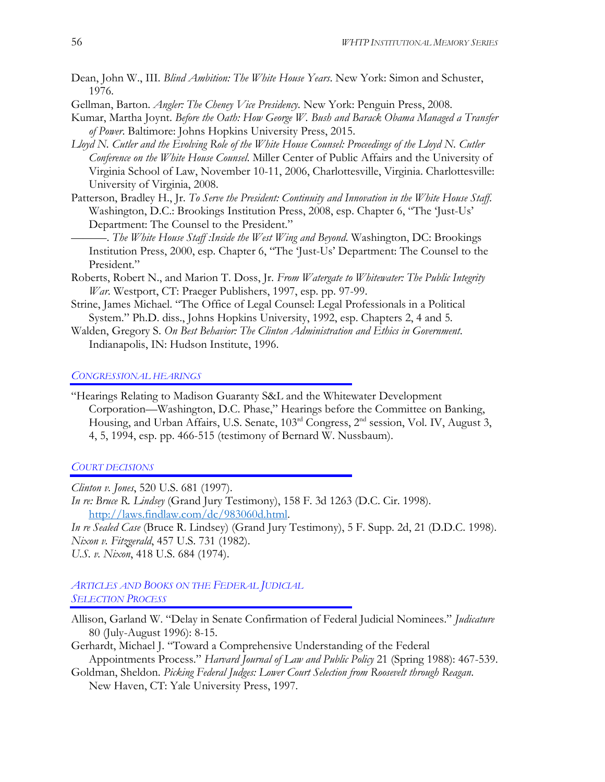- Dean, John W., III. *Blind Ambition: The White House Years*. New York: Simon and Schuster, 1976.
- Gellman, Barton. *Angler: The Cheney Vice Presidency*. New York: Penguin Press, 2008.
- Kumar, Martha Joynt. *Before the Oath: How George W. Bush and Barack Obama Managed a Transfer of Power*. Baltimore: Johns Hopkins University Press, 2015.
- *Lloyd N. Cutler and the Evolving Role of the White House Counsel: Proceedings of the Lloyd N. Cutler Conference on the White House Counsel*. Miller Center of Public Affairs and the University of Virginia School of Law, November 10-11, 2006, Charlottesville, Virginia. Charlottesville: University of Virginia, 2008.
- Patterson, Bradley H., Jr. *To Serve the President: Continuity and Innovation in the White House Staff*. Washington, D.C.: Brookings Institution Press, 2008, esp. Chapter 6, "The 'Just-Us' Department: The Counsel to the President."
	- ———. *The White House Staff :Inside the West Wing and Beyond*. Washington, DC: Brookings Institution Press, 2000, esp. Chapter 6, "The 'Just-Us' Department: The Counsel to the President."
- Roberts, Robert N., and Marion T. Doss, Jr. *From Watergate to Whitewater: The Public Integrity War*. Westport, CT: Praeger Publishers, 1997, esp. pp. 97-99.
- Strine, James Michael. "The Office of Legal Counsel: Legal Professionals in a Political System." Ph.D. diss., Johns Hopkins University, 1992, esp. Chapters 2, 4 and 5.
- Walden, Gregory S. *On Best Behavior: The Clinton Administration and Ethics in Government*. Indianapolis, IN: Hudson Institute, 1996.

#### *CONGRESSIONAL HEARINGS*

"Hearings Relating to Madison Guaranty S&L and the Whitewater Development Corporation—Washington, D.C. Phase," Hearings before the Committee on Banking, Housing, and Urban Affairs, U.S. Senate, 103<sup>rd</sup> Congress, 2<sup>nd</sup> session, Vol. IV, August 3, 4, 5, 1994, esp. pp. 466-515 (testimony of Bernard W. Nussbaum).

#### *COURT DECISIONS*

*Clinton v. Jones*, 520 U.S. 681 (1997). *In re: Bruce R. Lindsey* (Grand Jury Testimony), 158 F. 3d 1263 (D.C. Cir. 1998). [http://laws.findlaw.com/dc/983060d.html.](http://laws.findlaw.com/dc/983060d.html)

*In re Sealed Case* (Bruce R. Lindsey) (Grand Jury Testimony), 5 F. Supp. 2d, 21 (D.D.C. 1998). *Nixon v. Fitzgerald*, 457 U.S. 731 (1982). *U.S. v. Nixon*, 418 U.S. 684 (1974).

### *ARTICLES AND BOOKS ON THE FEDERAL JUDICIAL SELECTION PROCESS*

- Allison, Garland W. "Delay in Senate Confirmation of Federal Judicial Nominees." *Judicature* 80 (July-August 1996): 8-15.
- Gerhardt, Michael J. "Toward a Comprehensive Understanding of the Federal Appointments Process." *Harvard Journal of Law and Public Policy* 21 (Spring 1988): 467-539.
- Goldman, Sheldon. *Picking Federal Judges: Lower Court Selection from Roosevelt through Reagan*. New Haven, CT: Yale University Press, 1997.